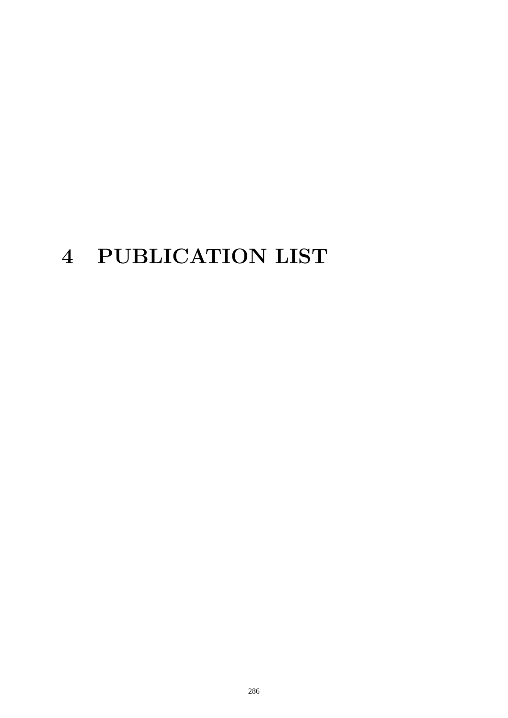# 4 PUBLICATION LIST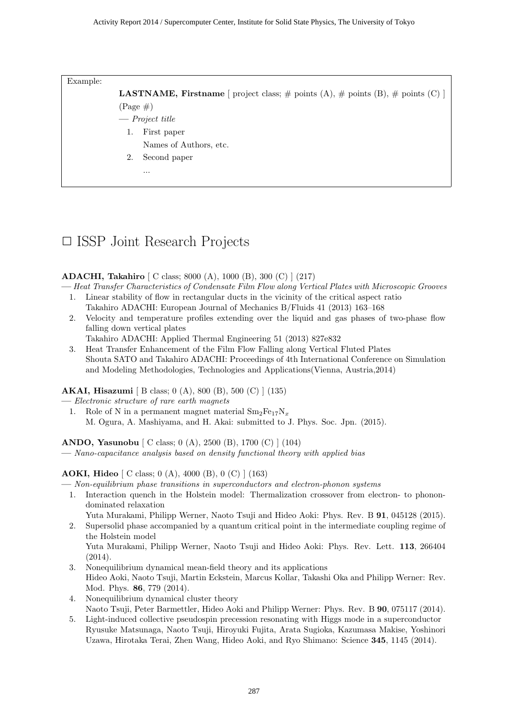Example:

**LASTNAME, Firstname** [ project class;  $\#$  points (A),  $\#$  points (B),  $\#$  points (C) ]  $(Page \#)$ 

- **—** *Project title*
	- 1. First paper
		- Names of Authors, etc.
	- 2. Second paper

...

# *✷* ISSP Joint Research Projects

# **ADACHI, Takahiro** [ C class; 8000 (A), 1000 (B), 300 (C) ] (217)

**—** *Heat Transfer Characteristics of Condensate Film Flow along Vertical Plates with Microscopic Grooves*

- 1. Linear stability of flow in rectangular ducts in the vicinity of the critical aspect ratio Takahiro ADACHI: European Journal of Mechanics B/Fluids 41 (2013) 163–168
- 2. Velocity and temperature profiles extending over the liquid and gas phases of two-phase flow falling down vertical plates

Takahiro ADACHI: Applied Thermal Engineering 51 (2013) 827e832

3. Heat Transfer Enhancement of the Film Flow Falling along Vertical Fluted Plates Shouta SATO and Takahiro ADACHI: Proceedings of 4th International Conference on Simulation and Modeling Methodologies, Technologies and Applications(Vienna, Austria,2014)

**AKAI, Hisazumi** [ B class; 0 (A), 800 (B), 500 (C) ] (135)

**—** *Electronic structure of rare earth magnets*

1. Role of N in a permanent magnet material  $Sm<sub>2</sub>Fe<sub>17</sub>N<sub>x</sub>$ M. Ogura, A. Mashiyama, and H. Akai: submitted to J. Phys. Soc. Jpn. (2015).

**ANDO, Yasunobu** [ C class; 0 (A), 2500 (B), 1700 (C) ] (104)

**—** *Nano-capacitance analysis based on density functional theory with applied bias*

**AOKI, Hideo** [ C class; 0 (A), 4000 (B), 0 (C) ] (163)

**—** *Non-equilibrium phase transitions in superconductors and electron-phonon systems*

1. Interaction quench in the Holstein model: Thermalization crossover from electron- to phonondominated relaxation

Yuta Murakami, Philipp Werner, Naoto Tsuji and Hideo Aoki: Phys. Rev. B **91**, 045128 (2015).

- 2. Supersolid phase accompanied by a quantum critical point in the intermediate coupling regime of the Holstein model Yuta Murakami, Philipp Werner, Naoto Tsuji and Hideo Aoki: Phys. Rev. Lett. **113**, 266404
- $(2014)$ . 3. Nonequilibrium dynamical mean-field theory and its applications Hideo Aoki, Naoto Tsuji, Martin Eckstein, Marcus Kollar, Takashi Oka and Philipp Werner: Rev. Mod. Phys. **86**, 779 (2014).
- 4. Nonequilibrium dynamical cluster theory Naoto Tsuji, Peter Barmettler, Hideo Aoki and Philipp Werner: Phys. Rev. B **90**, 075117 (2014).
- 5. Light-induced collective pseudospin precession resonating with Higgs mode in a superconductor Ryusuke Matsunaga, Naoto Tsuji, Hiroyuki Fujita, Arata Sugioka, Kazumasa Makise, Yoshinori Uzawa, Hirotaka Terai, Zhen Wang, Hideo Aoki, and Ryo Shimano: Science **345**, 1145 (2014).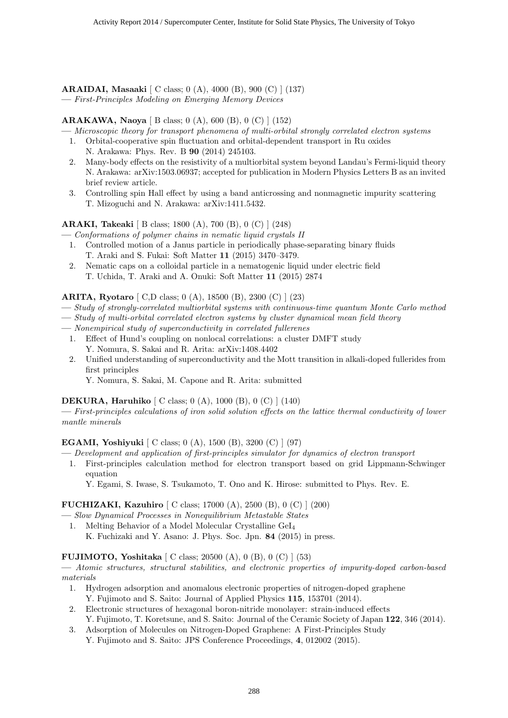**ARAIDAI, Masaaki** [ C class; 0 (A), 4000 (B), 900 (C) ] (137) **—** *First-Principles Modeling on Emerging Memory Devices*

#### **ARAKAWA, Naoya** [ B class; 0 (A), 600 (B), 0 (C) ] (152)

**—** *Microscopic theory for transport phenomena of multi-orbital strongly correlated electron systems*

- 1. Orbital-cooperative spin fluctuation and orbital-dependent transport in Ru oxides N. Arakawa: Phys. Rev. B **90** (2014) 245103.
- 2. Many-body effects on the resistivity of a multiorbital system beyond Landau's Fermi-liquid theory N. Arakawa: arXiv:1503.06937; accepted for publication in Modern Physics Letters B as an invited brief review article.
- 3. Controlling spin Hall effect by using a band anticrossing and nonmagnetic impurity scattering T. Mizoguchi and N. Arakawa: arXiv:1411.5432.

**ARAKI, Takeaki** [ B class; 1800 (A), 700 (B), 0 (C) ] (248)

- **—** *Conformations of polymer chains in nematic liquid crystals II*
	- 1. Controlled motion of a Janus particle in periodically phase-separating binary fluids T. Araki and S. Fukai: Soft Matter **11** (2015) 3470–3479.
	- 2. Nematic caps on a colloidal particle in a nematogenic liquid under electric field T. Uchida, T. Araki and A. Onuki: Soft Matter **11** (2015) 2874

#### **ARITA, Ryotaro** [ C,D class; 0 (A), 18500 (B), 2300 (C) ] (23)

- **—** *Study of strongly-correlated multiorbital systems with continuous-time quantum Monte Carlo method*
- **—** *Study of multi-orbital correlated electron systems by cluster dynamical mean field theory*
- **—** *Nonempirical study of superconductivity in correlated fullerenes*
- 1. Effect of Hund's coupling on nonlocal correlations: a cluster DMFT study Y. Nomura, S. Sakai and R. Arita: arXiv:1408.4402
- 2. Unified understanding of superconductivity and the Mott transition in alkali-doped fullerides from first principles
	- Y. Nomura, S. Sakai, M. Capone and R. Arita: submitted

#### **DEKURA, Haruhiko** [ C class; 0 (A), 1000 (B), 0 (C) ] (140)

**—** *First-principles calculations of iron solid solution effects on the lattice thermal conductivity of lower mantle minerals*

#### **EGAMI, Yoshiyuki** [ C class; 0 (A), 1500 (B), 3200 (C) ] (97)

**—** *Development and application of first-principles simulator for dynamics of electron transport*

1. First-principles calculation method for electron transport based on grid Lippmann-Schwinger equation

Y. Egami, S. Iwase, S. Tsukamoto, T. Ono and K. Hirose: submitted to Phys. Rev. E.

# **FUCHIZAKI, Kazuhiro** [ C class; 17000 (A), 2500 (B), 0 (C) ] (200)

- **—** *Slow Dynamical Processes in Nonequilibrium Metastable States*
- 1. Melting Behavior of a Model Molecular Crystalline GeI<sup>4</sup>
	- K. Fuchizaki and Y. Asano: J. Phys. Soc. Jpn. **84** (2015) in press.

# **FUJIMOTO, Yoshitaka** [ C class; 20500 (A), 0 (B), 0 (C) ] (53)

**—** *Atomic structures, structural stabilities, and electronic properties of impurity-doped carbon-based materials*

- 1. Hydrogen adsorption and anomalous electronic properties of nitrogen-doped graphene Y. Fujimoto and S. Saito: Journal of Applied Physics **115**, 153701 (2014).
- 2. Electronic structures of hexagonal boron-nitride monolayer: strain-induced effects Y. Fujimoto, T. Koretsune, and S. Saito: Journal of the Ceramic Society of Japan **122**, 346 (2014).
- 3. Adsorption of Molecules on Nitrogen-Doped Graphene: A First-Principles Study
	- Y. Fujimoto and S. Saito: JPS Conference Proceedings, **4**, 012002 (2015).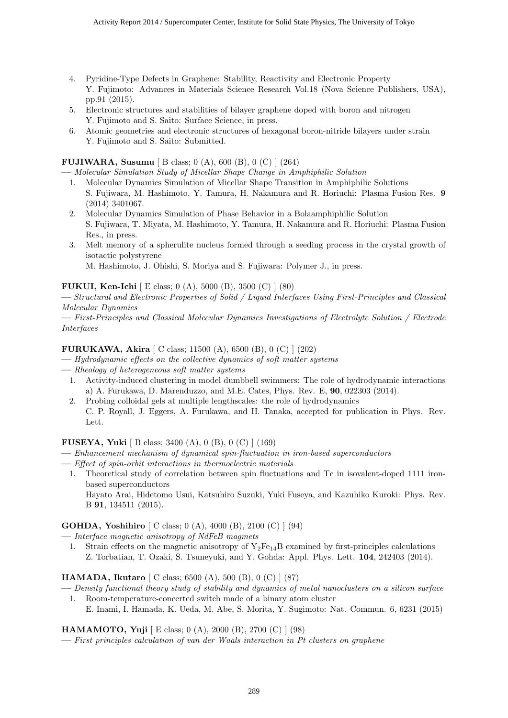- 4. Pyridine-Type Defects in Graphene: Stability, Reactivity and Electronic Property Y. Fujimoto: Advances in Materials Science Research Vol.18 (Nova Science Publishers, USA), pp.91 (2015).
- 5. Electronic structures and stabilities of bilayer graphene doped with boron and nitrogen Y. Fujimoto and S. Saito: Surface Science, in press.
- 6. Atomic geometries and electronic structures of hexagonal boron-nitride bilayers under strain Y. Fujimoto and S. Saito: Submitted.

#### **FUJIWARA, Susumu** [ B class; 0 (A), 600 (B), 0 (C) ] (264)

**—** *Molecular Simulation Study of Micellar Shape Change in Amphiphilic Solution*

- 1. Molecular Dynamics Simulation of Micellar Shape Transition in Amphiphilic Solutions S. Fujiwara, M. Hashimoto, Y. Tamura, H. Nakamura and R. Horiuchi: Plasma Fusion Res. **9** (2014) 3401067.
- 2. Molecular Dynamics Simulation of Phase Behavior in a Bolaamphiphilic Solution S. Fujiwara, T. Miyata, M. Hashimoto, Y. Tamura, H. Nakamura and R. Horiuchi: Plasma Fusion Res., in press.
- 3. Melt memory of a spherulite nucleus formed through a seeding process in the crystal growth of isotactic polystyrene

M. Hashimoto, J. Ohishi, S. Moriya and S. Fujiwara: Polymer J., in press.

#### **FUKUI, Ken-Ichi** [ E class; 0 (A), 5000 (B), 3500 (C) ] (80)

**—** *Structural and Electronic Properties of Solid / Liquid Interfaces Using First-Principles and Classical Molecular Dynamics*

**—** *First-Principles and Classical Molecular Dynamics Investigations of Electrolyte Solution / Electrode Interfaces*

#### **FURUKAWA, Akira** [ C class; 11500 (A), 6500 (B), 0 (C) ] (202)

- **—** *Hydrodynamic effects on the collective dynamics of soft matter systems*
- **—** *Rheology of heterogeneous soft matter systems*

Lett.

- 1. Activity-induced clustering in model dumbbell swimmers: The role of hydrodynamic interactions a) A. Furukawa, D. Marenduzzo, and M.E. Cates, Phys. Rev. E, **90**, 022303 (2014).
- 2. Probing colloidal gels at multiple lengthscales: the role of hydrodynamics C. P. Royall, J. Eggers, A. Furukawa, and H. Tanaka, accepted for publication in Phys. Rev.

#### **FUSEYA, Yuki** [ B class; 3400 (A), 0 (B), 0 (C) ] (169)

- **—** *Enhancement mechanism of dynamical spin-fluctuation in iron-based superconductors*
- **—** *Effect of spin-orbit interactions in thermoelectric materials*
- 1. Theoretical study of correlation between spin fluctuations and Tc in isovalent-doped 1111 ironbased superconductors Hayato Arai, Hidetomo Usui, Katsuhiro Suzuki, Yuki Fuseya, and Kazuhiko Kuroki: Phys. Rev.

B **91**, 134511 (2015).

**GOHDA, Yoshihiro** [ C class; 0 (A), 4000 (B), 2100 (C) ] (94)

- **—** *Interface magnetic anisotropy of NdFeB magmets*
- 1. Strain effects on the magnetic anisotropy of  $Y_2Fe_{14}B$  examined by first-principles calculations Z. Torbatian, T. Ozaki, S. Tsuneyuki, and Y. Gohda: Appl. Phys. Lett. **104**, 242403 (2014).

**HAMADA, Ikutaro** [ C class; 6500 (A), 500 (B), 0 (C) ] (87)

- **—** *Density functional theory study of stability and dynamics of metal nanoclusters on a silicon surface*
	- 1. Room-temperature-concerted switch made of a binary atom cluster E. Inami, I. Hamada, K. Ueda, M. Abe, S. Morita, Y. Sugimoto: Nat. Commun. 6, 6231 (2015)

**HAMAMOTO, Yuji** [ E class; 0 (A), 2000 (B), 2700 (C) ] (98)

**—** *First principles calculation of van der Waals interaction in Pt clusters on graphene*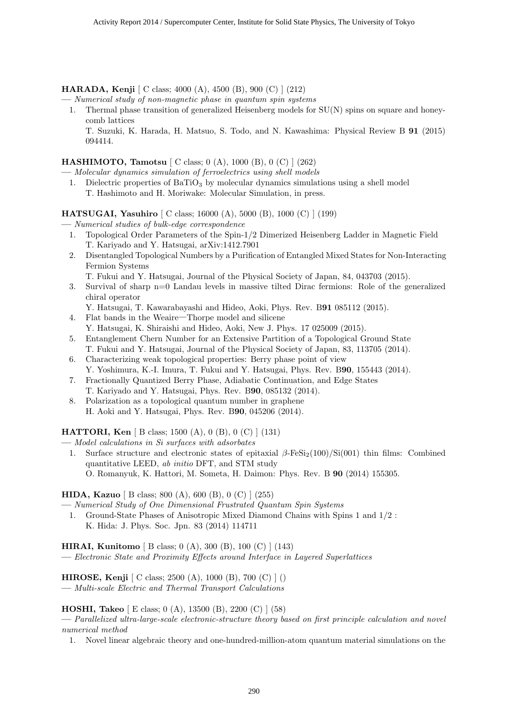**HARADA, Kenji** [ C class; 4000 (A), 4500 (B), 900 (C) ] (212)

- **—** *Numerical study of non-magnetic phase in quantum spin systems*
	- 1. Thermal phase transition of generalized Heisenberg models for SU(N) spins on square and honeycomb lattices

T. Suzuki, K. Harada, H. Matsuo, S. Todo, and N. Kawashima: Physical Review B **91** (2015) 094414.

#### **HASHIMOTO, Tamotsu** [ C class; 0 (A), 1000 (B), 0 (C) ] (262)

**—** *Molecular dynamics simulation of ferroelectrics using shell models*

1. Dielectric properties of  $BaTiO<sub>3</sub>$  by molecular dynamics simulations using a shell model T. Hashimoto and H. Moriwake: Molecular Simulation, in press.

**HATSUGAI, Yasuhiro** [ C class; 16000 (A), 5000 (B), 1000 (C) ] (199)

**—** *Numerical studies of bulk-edge correspondence*

- 1. Topological Order Parameters of the Spin-1/2 Dimerized Heisenberg Ladder in Magnetic Field T. Kariyado and Y. Hatsugai, arXiv:1412.7901
- 2. Disentangled Topological Numbers by a Purification of Entangled Mixed States for Non-Interacting Fermion Systems

T. Fukui and Y. Hatsugai, Journal of the Physical Society of Japan, 84, 043703 (2015).

- 3. Survival of sharp n=0 Landau levels in massive tilted Dirac fermions: Role of the generalized chiral operator
	- Y. Hatsugai, T. Kawarabayashi and Hideo, Aoki, Phys. Rev. B**91** 085112 (2015).
- 4. Flat bands in the Weaire―Thorpe model and silicene
	- Y. Hatsugai, K. Shiraishi and Hideo, Aoki, New J. Phys. 17 025009 (2015).
- 5. Entanglement Chern Number for an Extensive Partition of a Topological Ground State T. Fukui and Y. Hatsugai, Journal of the Physical Society of Japan, 83, 113705 (2014).
- 6. Characterizing weak topological properties: Berry phase point of view Y. Yoshimura, K.-I. Imura, T. Fukui and Y. Hatsugai, Phys. Rev. B**90**, 155443 (2014).
- 7. Fractionally Quantized Berry Phase, Adiabatic Continuation, and Edge States T. Kariyado and Y. Hatsugai, Phys. Rev. B**90**, 085132 (2014).
- 8. Polarization as a topological quantum number in graphene H. Aoki and Y. Hatsugai, Phys. Rev. B**90**, 045206 (2014).

#### **HATTORI, Ken** [ B class; 1500 (A), 0 (B), 0 (C) ] (131)

- **—** *Model calculations in Si surfaces with adsorbates*
	- 1. Surface structure and electronic states of epitaxial *β*-FeSi<sub>2</sub>(100)/Si(001) thin films: Combined quantitative LEED, *ab initio* DFT, and STM study O. Romanyuk, K. Hattori, M. Someta, H. Daimon: Phys. Rev. B **90** (2014) 155305.

#### **HIDA, Kazuo** [ B class; 800 (A), 600 (B), 0 (C) ] (255)

**—** *Numerical Study of One Dimensional Frustrated Quantum Spin Systems*

1. Ground-State Phases of Anisotropic Mixed Diamond Chains with Spins 1 and 1/2 : K. Hida: J. Phys. Soc. Jpn. 83 (2014) 114711

#### **HIRAI, Kunitomo** [ B class; 0 (A), 300 (B), 100 (C) ] (143)

**—** *Electronic State and Proximity Effects around Interface in Layered Superlattices*

**HIROSE, Kenji** [ C class; 2500 (A), 1000 (B), 700 (C) ] ()

**—** *Multi-scale Electric and Thermal Transport Calculations*

#### **HOSHI, Takeo** [ E class; 0 (A), 13500 (B), 2200 (C) ] (58)

**—** *Parallelized ultra-large-scale electronic-structure theory based on first principle calculation and novel numerical method*

1. Novel linear algebraic theory and one-hundred-million-atom quantum material simulations on the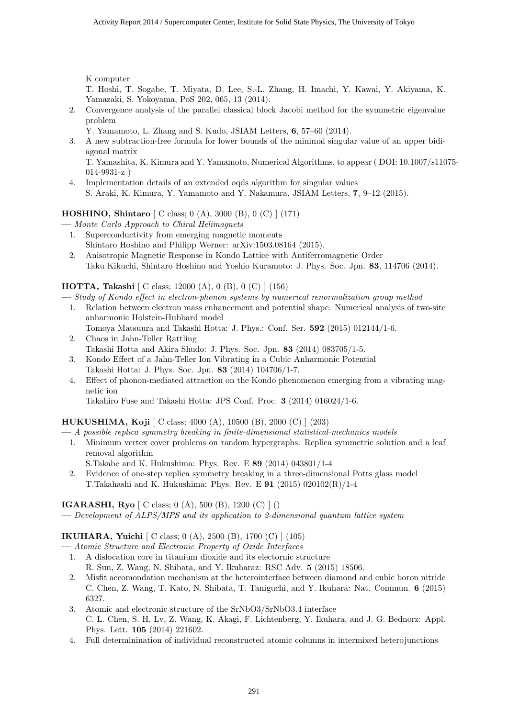K computer

T. Hoshi, T. Sogabe, T. Miyata, D. Lee, S.-L. Zhang, H. Imachi, Y. Kawai, Y. Akiyama, K. Yamazaki, S. Yokoyama, PoS 202, 065, 13 (2014).

2. Convergence analysis of the parallel classical block Jacobi method for the symmetric eigenvalue problem

Y. Yamamoto, L. Zhang and S. Kudo, JSIAM Letters, **6**, 57–60 (2014).

3. A new subtraction-free formula for lower bounds of the minimal singular value of an upper bidiagonal matrix

T. Yamashita, K. Kimura and Y. Yamamoto, Numerical Algorithms, to appear ( DOI: 10.1007/s11075- 014-9931-z )

4. Implementation details of an extended oqds algorithm for singular values S. Araki, K. Kimura, Y. Yamamoto and Y. Nakamura, JSIAM Letters, **7**, 9–12 (2015).

**HOSHINO, Shintaro** [ C class; 0 (A), 3000 (B), 0 (C) ] (171)

**—** *Monte Carlo Approach to Chiral Helimagnets*

- 1. Superconductivity from emerging magnetic moments Shintaro Hoshino and Philipp Werner: arXiv:1503.08164 (2015).
- 2. Anisotropic Magnetic Response in Kondo Lattice with Antiferromagnetic Order Taku Kikuchi, Shintaro Hoshino and Yoshio Kuramoto: J. Phys. Soc. Jpn. **83**, 114706 (2014).

# **HOTTA, Takashi** [ C class; 12000 (A), 0 (B), 0 (C) ] (156)

**—** *Study of Kondo effect in electron-phonon systems by numerical renormalization group method*

- 1. Relation between electron mass enhancement and potential shape: Numerical analysis of two-site anharmonic Holstein-Hubbard model
- Tomoya Matsuura and Takashi Hotta: J. Phys.: Conf. Ser. **592** (2015) 012144/1-6. 2. Chaos in Jahn-Teller Rattling
- Takashi Hotta and Akira Shudo: J. Phys. Soc. Jpn. **83** (2014) 083705/1-5.
- 3. Kondo Effect of a Jahn-Teller Ion Vibrating in a Cubic Anharmonic Potential Takashi Hotta: J. Phys. Soc. Jpn. **83** (2014) 104706/1-7.
- 4. Effect of phonon-mediated attraction on the Kondo phenomenon emerging from a vibrating magnetic ion

Takahiro Fuse and Takashi Hotta: JPS Conf. Proc. **3** (2014) 016024/1-6.

# **HUKUSHIMA, Koji** [ C class; 4000 (A), 10500 (B), 2000 (C) ] (203)

- **—** *A possible replica symmetry breaking in finite-dimensional statistical-mechanics models*
	- 1. Minimum vertex cover problems on random hypergraphs: Replica symmetric solution and a leaf removal algorithm
	- S.Takabe and K. Hukushima: Phys. Rev. E **89** (2014) 043801/1-4 2. Evidence of one-step replica symmetry breaking in a three-dimensional Potts glass model
		- T.Takahashi and K. Hukushima: Phys. Rev. E **91** (2015) 020102(R)/1-4

# **IGARASHI, Ryo** [ C class; 0 (A), 500 (B), 1200 (C) ] ()

**—** *Development of ALPS/MPS and its application to 2-dimensional quantum lattice system*

# **IKUHARA, Yuichi** [ C class; 0 (A), 2500 (B), 1700 (C) ] (105)

**—** *Atomic Structure and Electronic Property of Oxide Interfaces*

- 1. A dislocation core in titanium dioxide and its electornic structure R. Sun, Z. Wang, N. Shibata, and Y. Ikuharaz: RSC Adv. **5** (2015) 18506.
- 2. Misfit accomondation mechanism at the heterointerface between diamond and cubic boron nitride C. Chen, Z. Wang, T. Kato, N. Shibata, T. Taniguchi, and Y. Ikuhara: Nat. Commun. **6** (2015) 6327.
- 3. Atomic and electronic structure of the SrNbO3/SrNbO3.4 interface C. L. Chen, S. H. Lv, Z. Wang, K. Akagi, F. Lichtenberg, Y. Ikuhara, and J. G. Bednorz: Appl. Phys. Lett. **105** (2014) 221602.
- 4. Full determinination of individual reconstructed atomic columns in intermixed heterojunctions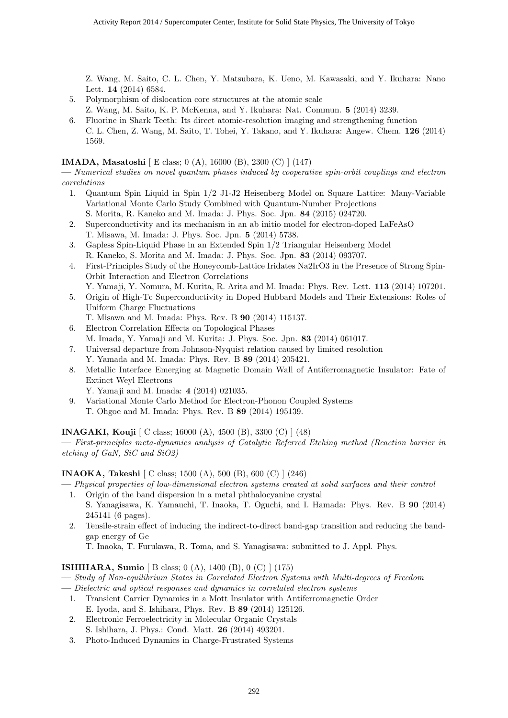Z. Wang, M. Saito, C. L. Chen, Y. Matsubara, K. Ueno, M. Kawasaki, and Y. Ikuhara: Nano Lett. **14** (2014) 6584.

- 5. Polymorphism of dislocation core structures at the atomic scale
- Z. Wang, M. Saito, K. P. McKenna, and Y. Ikuhara: Nat. Commun. **5** (2014) 3239.
- 6. Fluorine in Shark Teeth: Its direct atomic-resolution imaging and strengthening function C. L. Chen, Z. Wang, M. Saito, T. Tohei, Y. Takano, and Y. Ikuhara: Angew. Chem. **126** (2014) 1569.

#### **IMADA, Masatoshi** [ E class; 0 (A), 16000 (B), 2300 (C) ] (147)

**—** *Numerical studies on novel quantum phases induced by cooperative spin-orbit couplings and electron correlations*

- 1. Quantum Spin Liquid in Spin 1/2 J1-J2 Heisenberg Model on Square Lattice: Many-Variable Variational Monte Carlo Study Combined with Quantum-Number Projections S. Morita, R. Kaneko and M. Imada: J. Phys. Soc. Jpn. **84** (2015) 024720.
- 2. Superconductivity and its mechanism in an ab initio model for electron-doped LaFeAsO T. Misawa, M. Imada: J. Phys. Soc. Jpn. **5** (2014) 5738.
- 3. Gapless Spin-Liquid Phase in an Extended Spin 1/2 Triangular Heisenberg Model R. Kaneko, S. Morita and M. Imada: J. Phys. Soc. Jpn. **83** (2014) 093707.
- 4. First-Principles Study of the Honeycomb-Lattice Iridates Na2IrO3 in the Presence of Strong Spin-Orbit Interaction and Electron Correlations
	- Y. Yamaji, Y. Nomura, M. Kurita, R. Arita and M. Imada: Phys. Rev. Lett. **113** (2014) 107201.
- 5. Origin of High-Tc Superconductivity in Doped Hubbard Models and Their Extensions: Roles of Uniform Charge Fluctuations
	- T. Misawa and M. Imada: Phys. Rev. B **90** (2014) 115137.
- 6. Electron Correlation Effects on Topological Phases M. Imada, Y. Yamaji and M. Kurita: J. Phys. Soc. Jpn. **83** (2014) 061017.
- 7. Universal departure from Johnson-Nyquist relation caused by limited resolution Y. Yamada and M. Imada: Phys. Rev. B **89** (2014) 205421.
- 8. Metallic Interface Emerging at Magnetic Domain Wall of Antiferromagnetic Insulator: Fate of Extinct Weyl Electrons
	- Y. Yamaji and M. Imada: **4** (2014) 021035.
- 9. Variational Monte Carlo Method for Electron-Phonon Coupled Systems T. Ohgoe and M. Imada: Phys. Rev. B **89** (2014) 195139.

**INAGAKI, Kouji** [ C class; 16000 (A), 4500 (B), 3300 (C) ] (48)

**—** *First-principles meta-dynamics analysis of Catalytic Referred Etching method (Reaction barrier in etching of GaN, SiC and SiO2)*

**INAOKA, Takeshi** [ C class; 1500 (A), 500 (B), 600 (C) ] (246)

- **—** *Physical properties of low-dimensional electron systems created at solid surfaces and their control*
	- 1. Origin of the band dispersion in a metal phthalocyanine crystal S. Yanagisawa, K. Yamauchi, T. Inaoka, T. Oguchi, and I. Hamada: Phys. Rev. B **90** (2014) 245141 (6 pages).
	- 2. Tensile-strain effect of inducing the indirect-to-direct band-gap transition and reducing the bandgap energy of Ge

T. Inaoka, T. Furukawa, R. Toma, and S. Yanagisawa: submitted to J. Appl. Phys.

**ISHIHARA, Sumio** [ B class; 0 (A), 1400 (B), 0 (C) ] (175)

- **—** *Study of Non-equilibrium States in Correlated Electron Systems with Multi-degrees of Freedom*
- **—** *Dielectric and optical responses and dynamics in correlated electron systems*
	- 1. Transient Carrier Dynamics in a Mott Insulator with Antiferromagnetic Order E. Iyoda, and S. Ishihara, Phys. Rev. B **89** (2014) 125126.
	- 2. Electronic Ferroelectricity in Molecular Organic Crystals S. Ishihara, J. Phys.: Cond. Matt. **26** (2014) 493201.
	- 3. Photo-Induced Dynamics in Charge-Frustrated Systems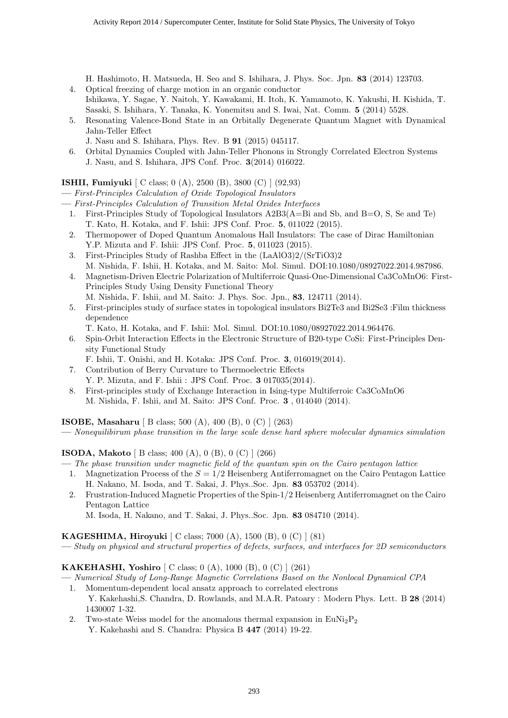H. Hashimoto, H. Matsueda, H. Seo and S. Ishihara, J. Phys. Soc. Jpn. **83** (2014) 123703.

- 4. Optical freezing of charge motion in an organic conductor Ishikawa, Y. Sagae, Y. Naitoh, Y. Kawakami, H. Itoh, K. Yamamoto, K. Yakushi, H. Kishida, T. Sasaki, S. Ishihara, Y. Tanaka, K. Yonemitsu and S. Iwai, Nat. Comm. **5** (2014) 5528.
- 5. Resonating Valence-Bond State in an Orbitally Degenerate Quantum Magnet with Dynamical Jahn-Teller Effect
	- J. Nasu and S. Ishihara, Phys. Rev. B **91** (2015) 045117.
- 6. Orbital Dynamics Coupled with Jahn-Teller Phonons in Strongly Correlated Electron Systems J. Nasu, and S. Ishihara, JPS Conf. Proc. **3**(2014) 016022.

# **ISHII, Fumiyuki** [ C class; 0 (A), 2500 (B), 3800 (C) ] (92,93)

**—** *First-Principles Calculation of Oxide Topological Insulators*

- **—** *First-Principles Calculation of Transition Metal Oxides Interfaces*
	- 1. First-Principles Study of Topological Insulators A2B3(A=Bi and Sb, and B=O, S, Se and Te) T. Kato, H. Kotaka, and F. Ishii: JPS Conf. Proc. **5**, 011022 (2015).
	- 2. Thermopower of Doped Quantum Anomalous Hall Insulators: The case of Dirac Hamiltonian Y.P. Mizuta and F. Ishii: JPS Conf. Proc. **5**, 011023 (2015).
	- 3. First-Principles Study of Rashba Effect in the (LaAlO3)2/(SrTiO3)2 M. Nishida, F. Ishii, H. Kotaka, and M. Saito: Mol. Simul. DOI:10.1080/08927022.2014.987986.
	- 4. Magnetism-Driven Electric Polarization of Multiferroic Quasi-One-Dimensional Ca3CoMnO6: First-Principles Study Using Density Functional Theory M. Nishida, F. Ishii, and M. Saito: J. Phys. Soc. Jpn., **83**, 124711 (2014).
	- 5. First-principles study of surface states in topological insulators Bi2Te3 and Bi2Se3 :Film thickness dependence
	- T. Kato, H. Kotaka, and F. Ishii: Mol. Simul. DOI:10.1080/08927022.2014.964476.
	- 6. Spin-Orbit Interaction Effects in the Electronic Structure of B20-type CoSi: First-Principles Density Functional Study
		- F. Ishii, T. Onishi, and H. Kotaka: JPS Conf. Proc. **3**, 016019(2014).
	- 7. Contribution of Berry Curvature to Thermoelectric Effects Y. P. Mizuta, and F. Ishii : JPS Conf. Proc. **3** 017035(2014).
	- 8. First-principles study of Exchange Interaction in Ising-type Multiferroic Ca3CoMnO6 M. Nishida, F. Ishii, and M. Saito: JPS Conf. Proc. **3** , 014040 (2014).

**ISOBE, Masaharu** [ B class; 500 (A), 400 (B), 0 (C) ] (263)

**—** *Nonequilibirum phase transition in the large scale dense hard sphere molecular dynamics simulation*

**ISODA, Makoto** [ B class; 400 (A), 0 (B), 0 (C) ] (266)

- **—** *The phase transition under magnetic field of the quantum spin on the Cairo pentagon lattice*
	- 1. Magnetization Process of the *S* = 1*/*2 Heisenberg Antiferromagnet on the Cairo Pentagon Lattice H. Nakano, M. Isoda, and T. Sakai, J. Phys..Soc. Jpn. **83** 053702 (2014).
	- 2. Frustration-Induced Magnetic Properties of the Spin-1/2 Heisenberg Antiferromagnet on the Cairo Pentagon Lattice

M. Isoda, H. Nakano, and T. Sakai, J. Phys..Soc. Jpn. **83** 084710 (2014).

**KAGESHIMA, Hiroyuki** [ C class; 7000 (A), 1500 (B), 0 (C) ] (81)

**—** *Study on physical and structural properties of defects, surfaces, and interfaces for 2D semiconductors*

**KAKEHASHI, Yoshiro** [ C class; 0 (A), 1000 (B), 0 (C) ] (261)

- **—** *Numerical Study of Long-Range Magnetic Correlations Based on the Nonlocal Dynamical CPA*
- 1. Momentum-dependent local ansatz approach to correlated electrons Y. Kakehashi,S. Chandra, D. Rowlands, and M.A.R. Patoary : Modern Phys. Lett. B **28** (2014) 1430007 1-32.
- 2. Two-state Weiss model for the anomalous thermal expansion in  $\text{EuNi}_2\text{P}_2$ Y. Kakehashi and S. Chandra: Physica B **447** (2014) 19-22.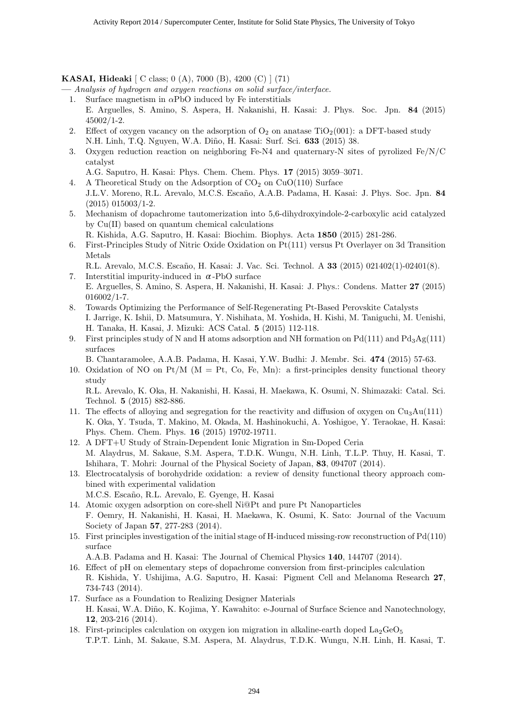**KASAI, Hideaki** [ C class; 0 (A), 7000 (B), 4200 (C) ] (71)

**—** *Analysis of hydrogen and oxygen reactions on solid surface/interface.*

- 1. Surface magnetism in *α*PbO induced by Fe interstitials E. Arguelles, S. Amino, S. Aspera, H. Nakanishi, H. Kasai: J. Phys. Soc. Jpn. **84** (2015) 45002/1-2.
- 2. Effect of oxygen vacancy on the adsorption of  $O_2$  on anatase TiO<sub>2</sub>(001): a DFT-based study N.H. Linh, T.Q. Nguyen, W.A. Di˜no, H. Kasai: Surf. Sci. **633** (2015) 38.
- 3. Oxygen reduction reaction on neighboring Fe-N4 and quaternary-N sites of pyrolized Fe/N/C catalyst

A.G. Saputro, H. Kasai: Phys. Chem. Chem. Phys. **17** (2015) 3059–3071.

- 4. A Theoretical Study on the Adsorption of  $CO<sub>2</sub>$  on  $CuO(110)$  Surface J.L.V. Moreno, R.L. Arevalo, M.C.S. Esca˜no, A.A.B. Padama, H. Kasai: J. Phys. Soc. Jpn. **84** (2015) 015003/1-2.
- 5. Mechanism of dopachrome tautomerization into 5,6-dihydroxyindole-2-carboxylic acid catalyzed by Cu(II) based on quantum chemical calculations

R. Kishida, A.G. Saputro, H. Kasai: Biochim. Biophys. Acta **1850** (2015) 281-286.

- 6. First-Principles Study of Nitric Oxide Oxidation on Pt(111) versus Pt Overlayer on 3d Transition Metals
	- R.L. Arevalo, M.C.S. Escaño, H. Kasai: J. Vac. Sci. Technol. A 33 (2015) 021402(1)-02401(8).
- 7. Interstitial impurity-induced in  $\alpha$ -PbO surface E. Arguelles, S. Amino, S. Aspera, H. Nakanishi, H. Kasai: J. Phys.: Condens. Matter **27** (2015) 016002/1-7.
- 8. Towards Optimizing the Performance of Self-Regenerating Pt-Based Perovskite Catalysts I. Jarrige, K. Ishii, D. Matsumura, Y. Nishihata, M. Yoshida, H. Kishi, M. Taniguchi, M. Uenishi, H. Tanaka, H. Kasai, J. Mizuki: ACS Catal. **5** (2015) 112-118.
- 9. First principles study of N and H atoms adsorption and NH formation on  $Pd(111)$  and  $Pd_3Ag(111)$ surfaces
	- B. Chantaramolee, A.A.B. Padama, H. Kasai, Y.W. Budhi: J. Membr. Sci. **474** (2015) 57-63.
- 10. Oxidation of NO on Pt/M ( $M = Pt$ , Co, Fe, Mn): a first-principles density functional theory study

R.L. Arevalo, K. Oka, H. Nakanishi, H. Kasai, H. Maekawa, K. Osumi, N. Shimazaki: Catal. Sci. Technol. **5** (2015) 882-886.

- 11. The effects of alloying and segregation for the reactivity and diffusion of oxygen on  $Cu<sub>3</sub>Au(111)$ K. Oka, Y. Tsuda, T. Makino, M. Okada, M. Hashinokuchi, A. Yoshigoe, Y. Teraokae, H. Kasai: Phys. Chem. Chem. Phys. **16** (2015) 19702-19711.
- 12. A DFT+U Study of Strain-Dependent Ionic Migration in Sm-Doped Ceria M. Alaydrus, M. Sakaue, S.M. Aspera, T.D.K. Wungu, N.H. Linh, T.L.P. Thuy, H. Kasai, T. Ishihara, T. Mohri: Journal of the Physical Society of Japan, **83**, 094707 (2014).
- 13. Electrocatalysis of borohydride oxidation: a review of density functional theory approach combined with experimental validation
	- M.C.S. Esca˜no, R.L. Arevalo, E. Gyenge, H. Kasai
- 14. Atomic oxygen adsorption on core-shell Ni@Pt and pure Pt Nanoparticles F. Oemry, H. Nakanishi, H. Kasai, H. Maekawa, K. Osumi, K. Sato: Journal of the Vacuum Society of Japan **57**, 277-283 (2014).
- 15. First principles investigation of the initial stage of H-induced missing-row reconstruction of Pd(110) surface

A.A.B. Padama and H. Kasai: The Journal of Chemical Physics **140**, 144707 (2014).

- 16. Effect of pH on elementary steps of dopachrome conversion from first-principles calculation R. Kishida, Y. Ushijima, A.G. Saputro, H. Kasai: Pigment Cell and Melanoma Research **27**, 734-743 (2014).
- 17. Surface as a Foundation to Realizing Designer Materials H. Kasai, W.A. Diño, K. Kojima, Y. Kawahito: e-Journal of Surface Science and Nanotechnology, **12**, 203-216 (2014).
- 18. First-principles calculation on oxygen ion migration in alkaline-earth doped  $\text{La}_2\text{GeO}_5$ T.P.T. Linh, M. Sakaue, S.M. Aspera, M. Alaydrus, T.D.K. Wungu, N.H. Linh, H. Kasai, T.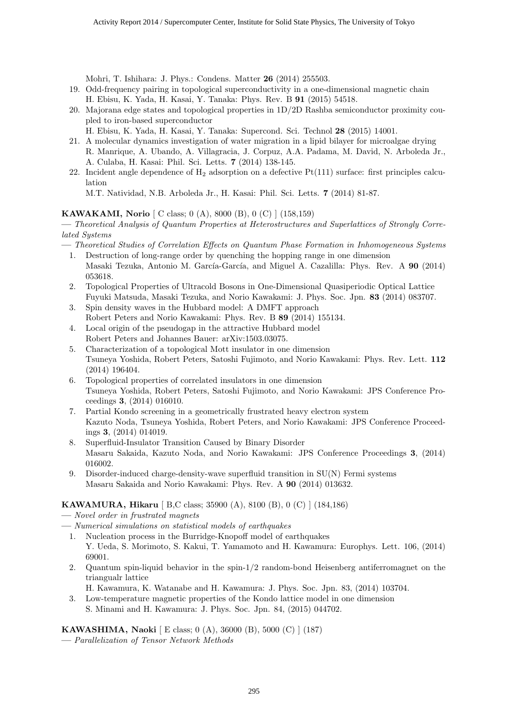Mohri, T. Ishihara: J. Phys.: Condens. Matter **26** (2014) 255503.

- 19. Odd-frequency pairing in topological superconductivity in a one-dimensional magnetic chain H. Ebisu, K. Yada, H. Kasai, Y. Tanaka: Phys. Rev. B **91** (2015) 54518.
- 20. Majorana edge states and topological properties in 1D/2D Rashba semiconductor proximity coupled to iron-based superconductor
	- H. Ebisu, K. Yada, H. Kasai, Y. Tanaka: Supercond. Sci. Technol **28** (2015) 14001.
- 21. A molecular dynamics investigation of water migration in a lipid bilayer for microalgae drying R. Manrique, A. Ubando, A. Villagracia, J. Corpuz, A.A. Padama, M. David, N. Arboleda Jr., A. Culaba, H. Kasai: Phil. Sci. Letts. **7** (2014) 138-145.
- 22. Incident angle dependence of  $H_2$  adsorption on a defective  $Pt(111)$  surface: first principles calculation

M.T. Natividad, N.B. Arboleda Jr., H. Kasai: Phil. Sci. Letts. **7** (2014) 81-87.

# **KAWAKAMI, Norio** [ C class; 0 (A), 8000 (B), 0 (C) ] (158,159)

**—** *Theoretical Analysis of Quantum Properties at Heterostructures and Superlattices of Strongly Correlated Systems*

- **—** *Theoretical Studies of Correlation Effects on Quantum Phase Formation in Inhomogeneous Systems*
	- 1. Destruction of long-range order by quenching the hopping range in one dimension Masaki Tezuka, Antonio M. García-García, and Miguel A. Cazalilla: Phys. Rev. A 90 (2014) 053618.
	- 2. Topological Properties of Ultracold Bosons in One-Dimensional Quasiperiodic Optical Lattice Fuyuki Matsuda, Masaki Tezuka, and Norio Kawakami: J. Phys. Soc. Jpn. **83** (2014) 083707.
	- 3. Spin density waves in the Hubbard model: A DMFT approach Robert Peters and Norio Kawakami: Phys. Rev. B **89** (2014) 155134.
	- 4. Local origin of the pseudogap in the attractive Hubbard model Robert Peters and Johannes Bauer: arXiv:1503.03075.
	- 5. Characterization of a topological Mott insulator in one dimension Tsuneya Yoshida, Robert Peters, Satoshi Fujimoto, and Norio Kawakami: Phys. Rev. Lett. **112** (2014) 196404.
	- 6. Topological properties of correlated insulators in one dimension Tsuneya Yoshida, Robert Peters, Satoshi Fujimoto, and Norio Kawakami: JPS Conference Proceedings **3**, (2014) 016010.
	- 7. Partial Kondo screening in a geometrically frustrated heavy electron system Kazuto Noda, Tsuneya Yoshida, Robert Peters, and Norio Kawakami: JPS Conference Proceedings **3**, (2014) 014019.
	- 8. Superfluid-Insulator Transition Caused by Binary Disorder Masaru Sakaida, Kazuto Noda, and Norio Kawakami: JPS Conference Proceedings **3**, (2014) 016002.
	- 9. Disorder-induced charge-density-wave superfluid transition in SU(N) Fermi systems Masaru Sakaida and Norio Kawakami: Phys. Rev. A **90** (2014) 013632.

# **KAWAMURA, Hikaru** [ B,C class; 35900 (A), 8100 (B), 0 (C) ] (184,186)

- **—** *Novel order in frustrated magnets*
- **—** *Numerical simulations on statistical models of earthquakes*
	- 1. Nucleation process in the Burridge-Knopoff model of earthquakes Y. Ueda, S. Morimoto, S. Kakui, T. Yamamoto and H. Kawamura: Europhys. Lett. 106, (2014) 69001.
	- 2. Quantum spin-liquid behavior in the spin-1/2 random-bond Heisenberg antiferromagnet on the triangualr lattice
		- H. Kawamura, K. Watanabe and H. Kawamura: J. Phys. Soc. Jpn. 83, (2014) 103704.
	- 3. Low-temperature magnetic properties of the Kondo lattice model in one dimension S. Minami and H. Kawamura: J. Phys. Soc. Jpn. 84, (2015) 044702.

**KAWASHIMA, Naoki** [ E class; 0 (A), 36000 (B), 5000 (C) ] (187)

**—** *Parallelization of Tensor Network Methods*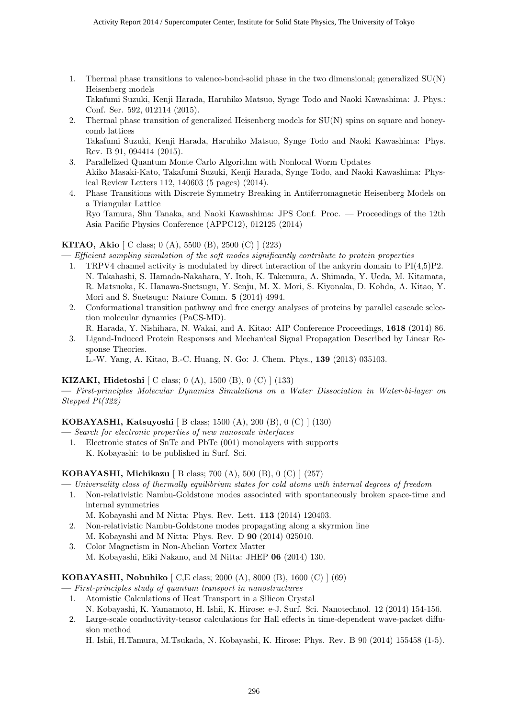1. Thermal phase transitions to valence-bond-solid phase in the two dimensional; generalized SU(N) Heisenberg models

Takafumi Suzuki, Kenji Harada, Haruhiko Matsuo, Synge Todo and Naoki Kawashima: J. Phys.: Conf. Ser. 592, 012114 (2015).

2. Thermal phase transition of generalized Heisenberg models for SU(N) spins on square and honeycomb lattices

Takafumi Suzuki, Kenji Harada, Haruhiko Matsuo, Synge Todo and Naoki Kawashima: Phys. Rev. B 91, 094414 (2015).

- 3. Parallelized Quantum Monte Carlo Algorithm with Nonlocal Worm Updates Akiko Masaki-Kato, Takafumi Suzuki, Kenji Harada, Synge Todo, and Naoki Kawashima: Physical Review Letters 112, 140603 (5 pages) (2014).
- 4. Phase Transitions with Discrete Symmetry Breaking in Antiferromagnetic Heisenberg Models on a Triangular Lattice Ryo Tamura, Shu Tanaka, and Naoki Kawashima: JPS Conf. Proc. — Proceedings of the 12th

Asia Pacific Physics Conference (APPC12), 012125 (2014)

#### **KITAO, Akio** [ C class; 0 (A), 5500 (B), 2500 (C) ] (223)

**—** *Efficient sampling simulation of the soft modes significantly contribute to protein properties*

- 1. TRPV4 channel activity is modulated by direct interaction of the ankyrin domain to PI(4,5)P2. N. Takahashi, S. Hamada-Nakahara, Y. Itoh, K. Takemura, A. Shimada, Y. Ueda, M. Kitamata, R. Matsuoka, K. Hanawa-Suetsugu, Y. Senju, M. X. Mori, S. Kiyonaka, D. Kohda, A. Kitao, Y. Mori and S. Suetsugu: Nature Comm. **5** (2014) 4994.
- 2. Conformational transition pathway and free energy analyses of proteins by parallel cascade selection molecular dynamics (PaCS-MD).
- R. Harada, Y. Nishihara, N. Wakai, and A. Kitao: AIP Conference Proceedings, **1618** (2014) 86. 3. Ligand-Induced Protein Responses and Mechanical Signal Propagation Described by Linear Response Theories.

L.-W. Yang, A. Kitao, B.-C. Huang, N. Go: J. Chem. Phys., **139** (2013) 035103.

#### **KIZAKI, Hidetoshi** [ C class; 0 (A), 1500 (B), 0 (C) ] (133)

**—** *First-principles Molecular Dynamics Simulations on a Water Dissociation in Water-bi-layer on Stepped Pt(322)*

**KOBAYASHI, Katsuyoshi** [ B class; 1500 (A), 200 (B), 0 (C) ] (130)

- **—** *Search for electronic properties of new nanoscale interfaces*
	- 1. Electronic states of SnTe and PbTe (001) monolayers with supports K. Kobayashi: to be published in Surf. Sci.

**KOBAYASHI, Michikazu** [ B class; 700 (A), 500 (B), 0 (C) ] (257)

**—** *Universality class of thermally equilibrium states for cold atoms with internal degrees of freedom*

1. Non-relativistic Nambu-Goldstone modes associated with spontaneously broken space-time and internal symmetries

M. Kobayashi and M Nitta: Phys. Rev. Lett. **113** (2014) 120403.

- 2. Non-relativistic Nambu-Goldstone modes propagating along a skyrmion line M. Kobayashi and M Nitta: Phys. Rev. D **90** (2014) 025010.
- 3. Color Magnetism in Non-Abelian Vortex Matter M. Kobayashi, Eiki Nakano, and M Nitta: JHEP **06** (2014) 130.

**KOBAYASHI, Nobuhiko** [ C,E class; 2000 (A), 8000 (B), 1600 (C) ] (69)

- **—** *First-principles study of quantum transport in nanostructures*
	- 1. Atomistic Calculations of Heat Transport in a Silicon Crystal N. Kobayashi, K. Yamamoto, H. Ishii, K. Hirose: e-J. Surf. Sci. Nanotechnol. 12 (2014) 154-156.
	- 2. Large-scale conductivity-tensor calculations for Hall effects in time-dependent wave-packet diffusion method

H. Ishii, H.Tamura, M.Tsukada, N. Kobayashi, K. Hirose: Phys. Rev. B 90 (2014) 155458 (1-5).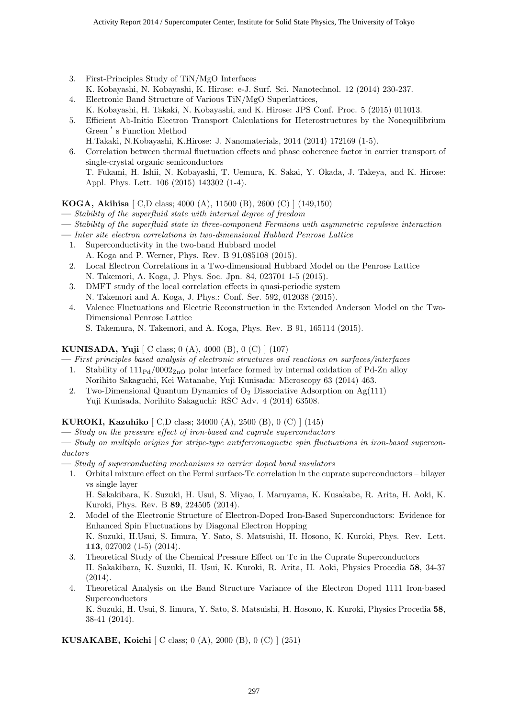- 3. First-Principles Study of TiN/MgO Interfaces K. Kobayashi, N. Kobayashi, K. Hirose: e-J. Surf. Sci. Nanotechnol. 12 (2014) 230-237.
- 4. Electronic Band Structure of Various TiN/MgO Superlattices, K. Kobayashi, H. Takaki, N. Kobayashi, and K. Hirose: JPS Conf. Proc. 5 (2015) 011013.
- 5. Efficient Ab-Initio Electron Transport Calculations for Heterostructures by the Nonequilibrium Green 's Function Method
- H.Takaki, N.Kobayashi, K.Hirose: J. Nanomaterials, 2014 (2014) 172169 (1-5). 6. Correlation between thermal fluctuation effects and phase coherence factor in carrier transport of single-crystal organic semiconductors T. Fukami, H. Ishii, N. Kobayashi, T. Uemura, K. Sakai, Y. Okada, J. Takeya, and K. Hirose: Appl. Phys. Lett. 106 (2015) 143302 (1-4).

**KOGA, Akihisa** [ C,D class; 4000 (A), 11500 (B), 2600 (C) ] (149,150)

- **—** *Stability of the superfluid state with internal degree of freedom*
- **—** *Stability of the superfluid state in three-component Fermions with asymmetric repulsive interaction*
- **—** *Inter site electron correlations in two-dimensional Hubbard Penrose Lattice*
	- 1. Superconductivity in the two-band Hubbard model A. Koga and P. Werner, Phys. Rev. B 91,085108 (2015).
	- 2. Local Electron Correlations in a Two-dimensional Hubbard Model on the Penrose Lattice N. Takemori, A. Koga, J. Phys. Soc. Jpn. 84, 023701 1-5 (2015).
	- 3. DMFT study of the local correlation effects in quasi-periodic system N. Takemori and A. Koga, J. Phys.: Conf. Ser. 592, 012038 (2015).
	- 4. Valence Fluctuations and Electric Reconstruction in the Extended Anderson Model on the Two-Dimensional Penrose Lattice S. Takemura, N. Takemori, and A. Koga, Phys. Rev. B 91, 165114 (2015).

# **KUNISADA, Yuji** [ C class; 0 (A), 4000 (B), 0 (C) ] (107)

**—** *First principles based analysis of electronic structures and reactions on surfaces/interfaces*

- 1. Stability of  $111_{\rm{Pd}}/0002_{\rm{ZnO}}$  polar interface formed by internal oxidation of Pd-Zn alloy Norihito Sakaguchi, Kei Watanabe, Yuji Kunisada: Microscopy 63 (2014) 463.
- 2. Two-Dimensional Quantum Dynamics of  $O_2$  Dissociative Adsorption on Ag(111) Yuji Kunisada, Norihito Sakaguchi: RSC Adv. 4 (2014) 63508.

**KUROKI, Kazuhiko** [ C,D class; 34000 (A), 2500 (B), 0 (C) ] (145)

- **—** *Study on the pressure effect of iron-based and cuprate superconductors*
- **—** *Study on multiple origins for stripe-type antiferromagnetic spin fluctuations in iron-based superconductors*
- **—** *Study of superconducting mechanisms in carrier doped band insulators*
	- 1. Orbital mixture effect on the Fermi surface-Tc correlation in the cuprate superconductors bilayer vs single layer

H. Sakakibara, K. Suzuki, H. Usui, S. Miyao, I. Maruyama, K. Kusakabe, R. Arita, H. Aoki, K. Kuroki, Phys. Rev. B **89**, 224505 (2014).

- 2. Model of the Electronic Structure of Electron-Doped Iron-Based Superconductors: Evidence for Enhanced Spin Fluctuations by Diagonal Electron Hopping K. Suzuki, H.Usui, S. Iimura, Y. Sato, S. Matsuishi, H. Hosono, K. Kuroki, Phys. Rev. Lett. **113**, 027002 (1-5) (2014).
- 3. Theoretical Study of the Chemical Pressure Effect on Tc in the Cuprate Superconductors H. Sakakibara, K. Suzuki, H. Usui, K. Kuroki, R. Arita, H. Aoki, Physics Procedia **58**, 34-37 (2014).
- 4. Theoretical Analysis on the Band Structure Variance of the Electron Doped 1111 Iron-based Superconductors

K. Suzuki, H. Usui, S. Iimura, Y. Sato, S. Matsuishi, H. Hosono, K. Kuroki, Physics Procedia **58**, 38-41 (2014).

# **KUSAKABE, Koichi** [ C class; 0 (A), 2000 (B), 0 (C) ] (251)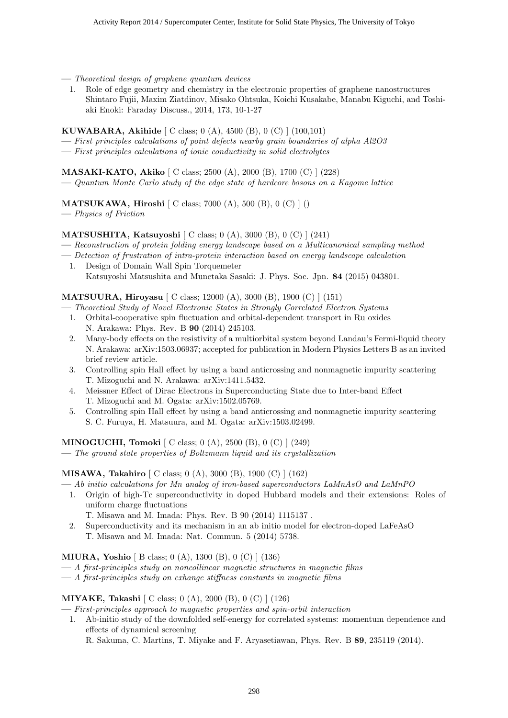- **—** *Theoretical design of graphene quantum devices*
	- 1. Role of edge geometry and chemistry in the electronic properties of graphene nanostructures Shintaro Fujii, Maxim Ziatdinov, Misako Ohtsuka, Koichi Kusakabe, Manabu Kiguchi, and Toshiaki Enoki: Faraday Discuss., 2014, 173, 10-1-27

#### **KUWABARA, Akihide** [ C class; 0 (A), 4500 (B), 0 (C) ] (100,101)

- **—** *First principles calculations of point defects nearby grain boundaries of alpha Al2O3*
- **—** *First principles calculations of ionic conductivity in solid electrolytes*

#### **MASAKI-KATO, Akiko** [ C class; 2500 (A), 2000 (B), 1700 (C) ] (228)

**—** *Quantum Monte Carlo study of the edge state of hardcore bosons on a Kagome lattice*

# **MATSUKAWA, Hiroshi** [ C class; 7000 (A), 500 (B), 0 (C) ] ()

**—** *Physics of Friction*

#### **MATSUSHITA, Katsuyoshi** [ C class; 0 (A), 3000 (B), 0 (C) ] (241)

- **—** *Reconstruction of protein folding energy landscape based on a Multicanonical sampling method*
- **—** *Detection of frustration of intra-protein interaction based on energy landscape calculation*
- 1. Design of Domain Wall Spin Torquemeter Katsuyoshi Matsushita and Munetaka Sasaki: J. Phys. Soc. Jpn. **84** (2015) 043801.

#### **MATSUURA, Hiroyasu** [ C class; 12000 (A), 3000 (B), 1900 (C) ] (151)

- **—** *Theoretical Study of Novel Electronic States in Strongly Correlated Electron Systems*
	- 1. Orbital-cooperative spin fluctuation and orbital-dependent transport in Ru oxides N. Arakawa: Phys. Rev. B **90** (2014) 245103.
	- 2. Many-body effects on the resistivity of a multiorbital system beyond Landau's Fermi-liquid theory N. Arakawa: arXiv:1503.06937; accepted for publication in Modern Physics Letters B as an invited brief review article.
	- 3. Controlling spin Hall effect by using a band anticrossing and nonmagnetic impurity scattering T. Mizoguchi and N. Arakawa: arXiv:1411.5432.
	- 4. Meissner Effect of Dirac Electrons in Superconducting State due to Inter-band Effect T. Mizoguchi and M. Ogata: arXiv:1502.05769.
	- 5. Controlling spin Hall effect by using a band anticrossing and nonmagnetic impurity scattering S. C. Furuya, H. Matsuura, and M. Ogata: arXiv:1503.02499.

#### **MINOGUCHI, Tomoki** [ C class; 0 (A), 2500 (B), 0 (C) ] (249)

**—** *The ground state properties of Boltzmann liquid and its crystallization*

# **MISAWA, Takahiro** [ C class; 0 (A), 3000 (B), 1900 (C) ] (162)

- **—** *Ab initio calculations for Mn analog of iron-based superconductors LaMnAsO and LaMnPO*
	- 1. Origin of high-Tc superconductivity in doped Hubbard models and their extensions: Roles of uniform charge fluctuations
		- T. Misawa and M. Imada: Phys. Rev. B 90 (2014) 1115137 .
	- 2. Superconductivity and its mechanism in an ab initio model for electron-doped LaFeAsO T. Misawa and M. Imada: Nat. Commun. 5 (2014) 5738.

#### **MIURA, Yoshio** [ B class; 0 (A), 1300 (B), 0 (C) ] (136)

- **—** *A first-principles study on noncollinear magnetic structures in magnetic films*
- **—** *A first-principles study on exhange stiffness constants in magnetic films*

#### **MIYAKE, Takashi** [ C class; 0 (A), 2000 (B), 0 (C) ] (126)

- **—** *First-principles approach to magnetic properties and spin-orbit interaction*
	- 1. Ab-initio study of the downfolded self-energy for correlated systems: momentum dependence and effects of dynamical screening
		- R. Sakuma, C. Martins, T. Miyake and F. Aryasetiawan, Phys. Rev. B **89**, 235119 (2014).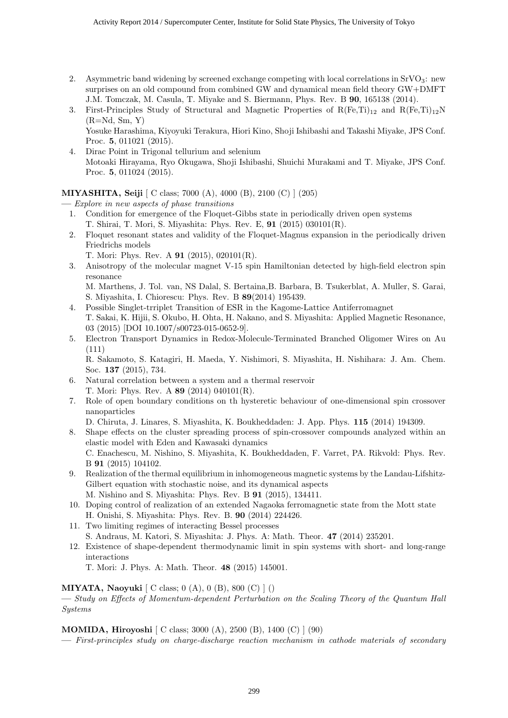- 2. Asymmetric band widening by screened exchange competing with local correlations in  $SrVO<sub>3</sub>$ : new surprises on an old compound from combined GW and dynamical mean field theory GW+DMFT J.M. Tomczak, M. Casula, T. Miyake and S. Biermann, Phys. Rev. B **90**, 165138 (2014).
- 3. First-Principles Study of Structural and Magnetic Properties of  $R(F_{e},T_{i})_{12}$  and  $R(F_{e},T_{i})_{12}N$  $(R=Nd, Sm, Y)$ Yosuke Harashima, Kiyoyuki Terakura, Hiori Kino, Shoji Ishibashi and Takashi Miyake, JPS Conf.
- Proc. **5**, 011021 (2015). 4. Dirac Point in Trigonal tellurium and selenium Motoaki Hirayama, Ryo Okugawa, Shoji Ishibashi, Shuichi Murakami and T. Miyake, JPS Conf. Proc. **5**, 011024 (2015).

**MIYASHITA, Seiji** [ C class; 7000 (A), 4000 (B), 2100 (C) ] (205)

**—** *Explore in new aspects of phase transitions*

- 1. Condition for emergence of the Floquet-Gibbs state in periodically driven open systems T. Shirai, T. Mori, S. Miyashita: Phys. Rev. E, **91** (2015) 030101(R).
- 2. Floquet resonant states and validity of the Floquet-Magnus expansion in the periodically driven Friedrichs models
	- T. Mori: Phys. Rev. A **91** (2015), 020101(R).
- 3. Anisotropy of the molecular magnet V-15 spin Hamiltonian detected by high-field electron spin resonance

M. Marthens, J. Tol. van, NS Dalal, S. Bertaina,B. Barbara, B. Tsukerblat, A. Muller, S. Garai, S. Miyashita, I. Chiorescu: Phys. Rev. B **89**(2014) 195439.

- 4. Possible Singlet-trriplet Transition of ESR in the Kagome-Lattice Antiferromagnet T. Sakai, K. Hijii, S. Okubo, H. Ohta, H. Nakano, and S. Miyashita: Applied Magnetic Resonance, 03 (2015) [DOI 10.1007/s00723-015-0652-9].
- 5. Electron Transport Dynamics in Redox-Molecule-Terminated Branched Oligomer Wires on Au (111)

R. Sakamoto, S. Katagiri, H. Maeda, Y. Nishimori, S. Miyashita, H. Nishihara: J. Am. Chem. Soc. **137** (2015), 734.

- 6. Natural correlation between a system and a thermal reservoir T. Mori: Phys. Rev. A **89** (2014) 040101(R).
- 7. Role of open boundary conditions on th hysteretic behaviour of one-dimensional spin crossover nanoparticles

D. Chiruta, J. Linares, S. Miyashita, K. Boukheddaden: J. App. Phys. **115** (2014) 194309.

- 8. Shape effects on the cluster spreading process of spin-crossover compounds analyzed within an elastic model with Eden and Kawasaki dynamics C. Enachescu, M. Nishino, S. Miyashita, K. Boukheddaden, F. Varret, PA. Rikvold: Phys. Rev. B **91** (2015) 104102.
- 9. Realization of the thermal equilibrium in inhomogeneous magnetic systems by the Landau-Lifshitz-Gilbert equation with stochastic noise, and its dynamical aspects M. Nishino and S. Miyashita: Phys. Rev. B **91** (2015), 134411.
- 10. Doping control of realization of an extended Nagaoka ferromagnetic state from the Mott state H. Onishi, S. Miyashita: Phys. Rev. B. **90** (2014) 224426.
- 11. Two limiting regimes of interacting Bessel processes S. Andraus, M. Katori, S. Miyashita: J. Phys. A: Math. Theor. **47** (2014) 235201.
- 12. Existence of shape-dependent thermodynamic limit in spin systems with short- and long-range interactions

T. Mori: J. Phys. A: Math. Theor. **48** (2015) 145001.

# **MIYATA, Naoyuki** [ C class; 0 (A), 0 (B), 800 (C) ] ()

**—** *Study on Effects of Momentum-dependent Perturbation on the Scaling Theory of the Quantum Hall Systems*

**MOMIDA, Hiroyoshi** [ C class; 3000 (A), 2500 (B), 1400 (C) ] (90)

**—** *First-principles study on charge-discharge reaction mechanism in cathode materials of secondary*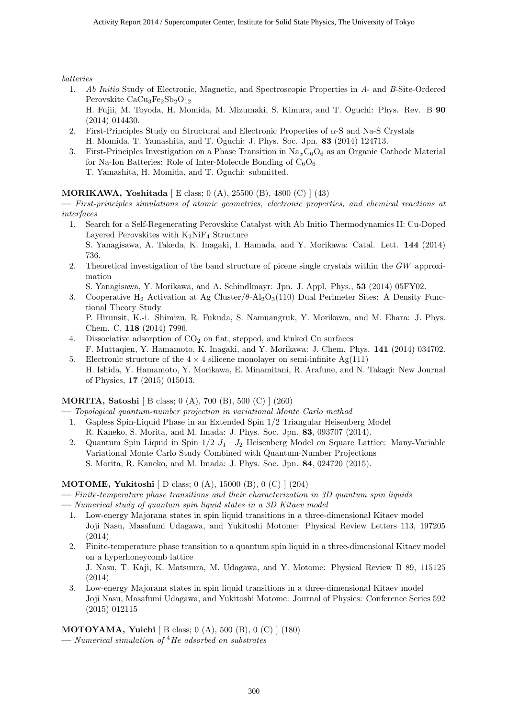*batteries*

1. *Ab Initio* Study of Electronic, Magnetic, and Spectroscopic Properties in *A*- and *B*-Site-Ordered Perovskite  $CaCu<sub>3</sub>Fe<sub>2</sub>Sb<sub>2</sub>O<sub>12</sub>$ 

H. Fujii, M. Toyoda, H. Momida, M. Mizumaki, S. Kimura, and T. Oguchi: Phys. Rev. B **90** (2014) 014430.

- 2. First-Principles Study on Structural and Electronic Properties of *α*-S and Na-S Crystals H. Momida, T. Yamashita, and T. Oguchi: J. Phys. Soc. Jpn. **83** (2014) 124713.
- 3. First-Principles Investigation on a Phase Transition in  $\text{Na}_x\text{C}_6\text{O}_6$  as an Organic Cathode Material for Na-Ion Batteries: Role of Inter-Molecule Bonding of  $C_6O_6$ T. Yamashita, H. Momida, and T. Oguchi: submitted.

# **MORIKAWA, Yoshitada** [ E class; 0 (A), 25500 (B), 4800 (C) ] (43)

**—** *First-principles simulations of atomic geometries, electronic properties, and chemical reactions at interfaces*

- 1. Search for a Self-Regenerating Perovskite Catalyst with Ab Initio Thermodynamics II: Cu-Doped Layered Perovskites with  $K_2NiF_4$  Structure S. Yanagisawa, A. Takeda, K. Inagaki, I. Hamada, and Y. Morikawa: Catal. Lett. **144** (2014) 736.
- 2. Theoretical investigation of the band structure of picene single crystals within the *GW* approximation

S. Yanagisawa, Y. Morikawa, and A. Schindlmayr: Jpn. J. Appl. Phys., **53** (2014) 05FY02.

3. Cooperative H<sup>2</sup> Activation at Ag Cluster/*θ*-Al2O3(110) Dual Perimeter Sites: A Density Functional Theory Study

P. Hirunsit, K.-i. Shimizu, R. Fukuda, S. Namuangruk, Y. Morikawa, and M. Ehara: J. Phys. Chem. C, **118** (2014) 7996.

- 4. Dissociative adsorption of  $CO<sub>2</sub>$  on flat, stepped, and kinked Cu surfaces F. Muttaqien, Y. Hamamoto, K. Inagaki, and Y. Morikawa: J. Chem. Phys. **141** (2014) 034702.
- 5. Electronic structure of the  $4 \times 4$  silicene monolayer on semi-infinite Ag(111) H. Ishida, Y. Hamamoto, Y. Morikawa, E. Minamitani, R. Arafune, and N. Takagi: New Journal of Physics, **17** (2015) 015013.

# **MORITA, Satoshi** [ B class; 0 (A), 700 (B), 500 (C) ] (260)

**—** *Topological quantum-number projection in variational Monte Carlo method*

- 1. Gapless Spin-Liquid Phase in an Extended Spin 1*/*2 Triangular Heisenberg Model R. Kaneko, S. Morita, and M. Imada: J. Phys. Soc. Jpn. **83**, 093707 (2014).
- 2. Quantum Spin Liquid in Spin  $1/2$  *J*<sub>1</sub> *J*<sub>2</sub> Heisenberg Model on Square Lattice: Many-Variable Variational Monte Carlo Study Combined with Quantum-Number Projections S. Morita, R. Kaneko, and M. Imada: J. Phys. Soc. Jpn. **84**, 024720 (2015).

# **MOTOME, Yukitoshi** [ D class; 0 (A), 15000 (B), 0 (C) ] (204)

- **—** *Finite-temperature phase transitions and their characterization in 3D quantum spin liquids*
- **—** *Numerical study of quantum spin liquid states in a 3D Kitaev model*
	- 1. Low-energy Majorana states in spin liquid transitions in a three-dimensional Kitaev model Joji Nasu, Masafumi Udagawa, and Yukitoshi Motome: Physical Review Letters 113, 197205 (2014)
	- 2. Finite-temperature phase transition to a quantum spin liquid in a three-dimensional Kitaev model on a hyperhoneycomb lattice

J. Nasu, T. Kaji, K. Matsuura, M. Udagawa, and Y. Motome: Physical Review B 89, 115125 (2014)

3. Low-energy Majorana states in spin liquid transitions in a three-dimensional Kitaev model Joji Nasu, Masafumi Udagawa, and Yukitoshi Motome: Journal of Physics: Conference Series 592 (2015) 012115

**MOTOYAMA, Yuichi** [ B class; 0 (A), 500 (B), 0 (C) ] (180)

**—** *Numerical simulation of* <sup>4</sup>*He adsorbed on substrates*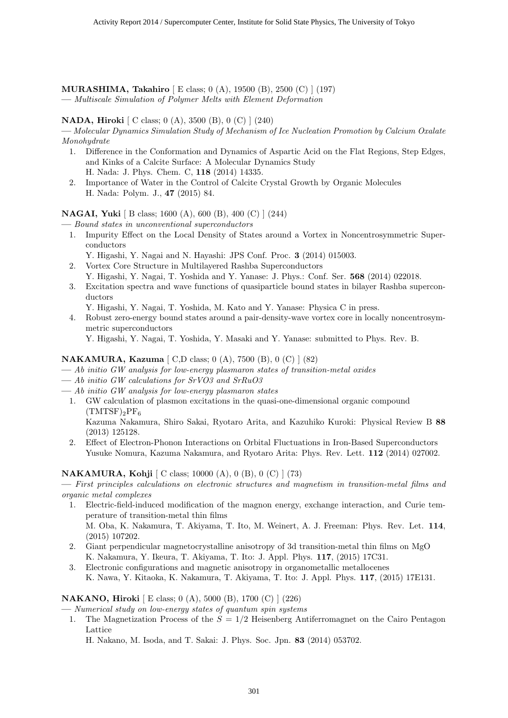**MURASHIMA, Takahiro** [ E class; 0 (A), 19500 (B), 2500 (C) ] (197) **—** *Multiscale Simulation of Polymer Melts with Element Deformation*

#### **NADA, Hiroki** [ C class; 0 (A), 3500 (B), 0 (C) ] (240)

**—** *Molecular Dynamics Simulation Study of Mechanism of Ice Nucleation Promotion by Calcium Oxalate Monohydrate*

- 1. Difference in the Conformation and Dynamics of Aspartic Acid on the Flat Regions, Step Edges, and Kinks of a Calcite Surface: A Molecular Dynamics Study H. Nada: J. Phys. Chem. C, **118** (2014) 14335.
- 2. Importance of Water in the Control of Calcite Crystal Growth by Organic Molecules H. Nada: Polym. J., **47** (2015) 84.

**NAGAI, Yuki** [ B class; 1600 (A), 600 (B), 400 (C) ] (244)

**—** *Bound states in unconventional superconductors*

- 1. Impurity Effect on the Local Density of States around a Vortex in Noncentrosymmetric Superconductors
- Y. Higashi, Y. Nagai and N. Hayashi: JPS Conf. Proc. **3** (2014) 015003. 2. Vortex Core Structure in Multilayered Rashba Superconductors
- Y. Higashi, Y. Nagai, T. Yoshida and Y. Yanase: J. Phys.: Conf. Ser. **568** (2014) 022018. 3. Excitation spectra and wave functions of quasiparticle bound states in bilayer Rashba supercon-
- ductors Y. Higashi, Y. Nagai, T. Yoshida, M. Kato and Y. Yanase: Physica C in press.
- 4. Robust zero-energy bound states around a pair-density-wave vortex core in locally noncentrosymmetric superconductors

Y. Higashi, Y. Nagai, T. Yoshida, Y. Masaki and Y. Yanase: submitted to Phys. Rev. B.

#### **NAKAMURA, Kazuma** [ C,D class; 0 (A), 7500 (B), 0 (C) ] (82)

- **—** *Ab initio GW analysis for low-energy plasmaron states of transition-metal oxides*
- **—** *Ab initio GW calculations for SrVO3 and SrRuO3*
- **—** *Ab initio GW analysis for low-energy plasmaron states*
- 1. GW calculation of plasmon excitations in the quasi-one-dimensional organic compound  $(TMTSF)_2PF_6$

Kazuma Nakamura, Shiro Sakai, Ryotaro Arita, and Kazuhiko Kuroki: Physical Review B **88** (2013) 125128.

2. Effect of Electron-Phonon Interactions on Orbital Fluctuations in Iron-Based Superconductors Yusuke Nomura, Kazuma Nakamura, and Ryotaro Arita: Phys. Rev. Lett. **112** (2014) 027002.

# **NAKAMURA, Kohji** [ C class; 10000 (A), 0 (B), 0 (C) ] (73)

**—** *First principles calculations on electronic structures and magnetism in transition-metal films and organic metal complexes*

- 1. Electric-field-induced modification of the magnon energy, exchange interaction, and Curie temperature of transition-metal thin films M. Oba, K. Nakamura, T. Akiyama, T. Ito, M. Weinert, A. J. Freeman: Phys. Rev. Let. **114**, (2015) 107202.
- 2. Giant perpendicular magnetocrystalline anisotropy of 3d transition-metal thin films on MgO K. Nakamura, Y. Ikeura, T. Akiyama, T. Ito: J. Appl. Phys. **117**, (2015) 17C31.
- 3. Electronic configurations and magnetic anisotropy in organometallic metallocenes K. Nawa, Y. Kitaoka, K. Nakamura, T. Akiyama, T. Ito: J. Appl. Phys. **117**, (2015) 17E131.

#### **NAKANO, Hiroki** [ E class; 0 (A), 5000 (B), 1700 (C) ] (226)

**—** *Numerical study on low-energy states of quantum spin systems*

1. The Magnetization Process of the *S* = 1*/*2 Heisenberg Antiferromagnet on the Cairo Pentagon Lattice

H. Nakano, M. Isoda, and T. Sakai: J. Phys. Soc. Jpn. **83** (2014) 053702.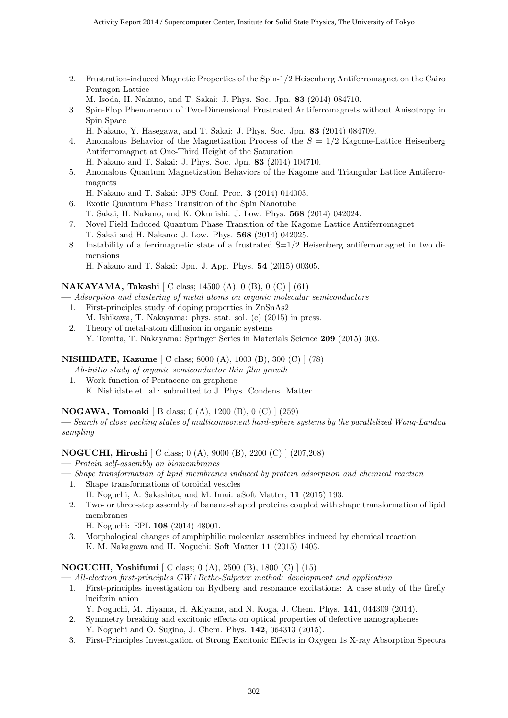2. Frustration-induced Magnetic Properties of the Spin-1/2 Heisenberg Antiferromagnet on the Cairo Pentagon Lattice

M. Isoda, H. Nakano, and T. Sakai: J. Phys. Soc. Jpn. **83** (2014) 084710.

- 3. Spin-Flop Phenomenon of Two-Dimensional Frustrated Antiferromagnets without Anisotropy in Spin Space
	- H. Nakano, Y. Hasegawa, and T. Sakai: J. Phys. Soc. Jpn. **83** (2014) 084709.
- 4. Anomalous Behavior of the Magnetization Process of the *S* = 1*/*2 Kagome-Lattice Heisenberg Antiferromagnet at One-Third Height of the Saturation
- H. Nakano and T. Sakai: J. Phys. Soc. Jpn. **83** (2014) 104710.
- 5. Anomalous Quantum Magnetization Behaviors of the Kagome and Triangular Lattice Antiferromagnets
	- H. Nakano and T. Sakai: JPS Conf. Proc. **3** (2014) 014003.
- 6. Exotic Quantum Phase Transition of the Spin Nanotube T. Sakai, H. Nakano, and K. Okunishi: J. Low. Phys. **568** (2014) 042024.
- 7. Novel Field Induced Quantum Phase Transition of the Kagome Lattice Antiferromagnet T. Sakai and H. Nakano: J. Low. Phys. **568** (2014) 042025.
- 8. Instability of a ferrimagnetic state of a frustrated S=1/2 Heisenberg antiferromagnet in two dimensions
	- H. Nakano and T. Sakai: Jpn. J. App. Phys. **54** (2015) 00305.

#### **NAKAYAMA, Takashi** [ C class; 14500 (A), 0 (B), 0 (C) ] (61)

- **—** *Adsorption and clustering of metal atoms on organic molecular semiconductors*
	- 1. First-principles study of doping properties in ZnSnAs2 M. Ishikawa, T. Nakayama: phys. stat. sol. (c) (2015) in press.
	- 2. Theory of metal-atom diffusion in organic systems Y. Tomita, T. Nakayama: Springer Series in Materials Science **209** (2015) 303.

# **NISHIDATE, Kazume** [ C class; 8000 (A), 1000 (B), 300 (C) ] (78)

- **—** *Ab-initio study of organic semiconductor thin film growth*
	- 1. Work function of Pentacene on graphene K. Nishidate et. al.: submitted to J. Phys. Condens. Matter

# **NOGAWA, Tomoaki** [ B class; 0 (A), 1200 (B), 0 (C) ] (259)

**—** *Search of close packing states of multicomponent hard-sphere systems by the parallelized Wang-Landau sampling*

# **NOGUCHI, Hiroshi** [ C class; 0 (A), 9000 (B), 2200 (C) ] (207,208)

- **—** *Protein self-assembly on biomembranes*
- **—** *Shape transformation of lipid membranes induced by protein adsorption and chemical reaction*
	- 1. Shape transformations of toroidal vesicles H. Noguchi, A. Sakashita, and M. Imai: aSoft Matter, **11** (2015) 193.
	- 2. Two- or three-step assembly of banana-shaped proteins coupled with shape transformation of lipid membranes
		- H. Noguchi: EPL **108** (2014) 48001.
	- 3. Morphological changes of amphiphilic molecular assemblies induced by chemical reaction K. M. Nakagawa and H. Noguchi: Soft Matter **11** (2015) 1403.

# **NOGUCHI, Yoshifumi** [ C class; 0 (A), 2500 (B), 1800 (C) ] (15)

**—** *All-electron first-principles GW+Bethe-Salpeter method: development and application*

- 1. First-principles investigation on Rydberg and resonance excitations: A case study of the firefly luciferin anion
	- Y. Noguchi, M. Hiyama, H. Akiyama, and N. Koga, J. Chem. Phys. **141**, 044309 (2014).
- 2. Symmetry breaking and excitonic effects on optical properties of defective nanographenes Y. Noguchi and O. Sugino, J. Chem. Phys. **142**, 064313 (2015).
- 3. First-Principles Investigation of Strong Excitonic Effects in Oxygen 1s X-ray Absorption Spectra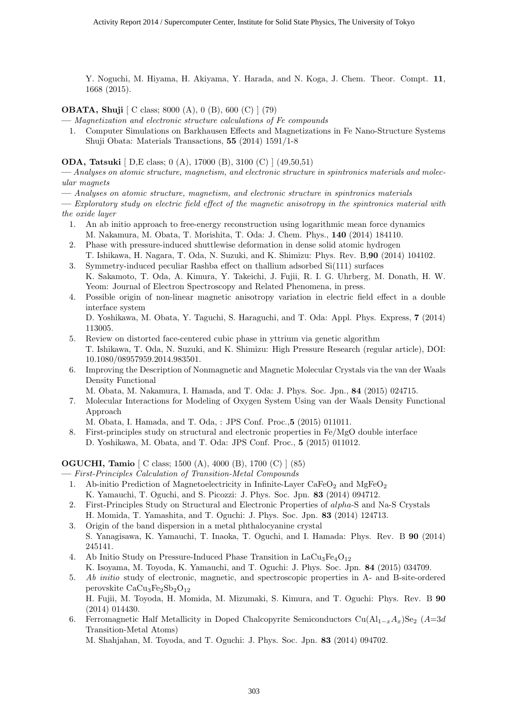Y. Noguchi, M. Hiyama, H. Akiyama, Y. Harada, and N. Koga, J. Chem. Theor. Compt. **11**, 1668 (2015).

**OBATA, Shuji**  $\left[ C \text{ class: } 8000 \text{ (A)}, 0 \text{ (B)}, 600 \text{ (C)} \right] (79)$ 

**—** *Magnetization and electronic structure calculations of Fe compounds*

1. Computer Simulations on Barkhausen Effects and Magnetizations in Fe Nano-Structure Systems Shuji Obata: Materials Transactions, **55** (2014) 1591/1-8

**ODA, Tatsuki** [ D,E class; 0 (A), 17000 (B), 3100 (C) ] (49,50,51)

**—** *Analyses on atomic structure, magnetism, and electronic structure in spintronics materials and molecular magnets*

**—** *Analyses on atomic structure, magnetism, and electronic structure in spintronics materials*

**—** *Exploratory study on electric field effect of the magnetic anisotropy in the spintronics material with the oxide layer*

- 1. An ab initio approach to free-energy reconstruction using logarithmic mean force dynamics M. Nakamura, M. Obata, T. Morishita, T. Oda: J. Chem. Phys., **140** (2014) 184110.
- 2. Phase with pressure-induced shuttlewise deformation in dense solid atomic hydrogen T. Ishikawa, H. Nagara, T. Oda, N. Suzuki, and K. Shimizu: Phys. Rev. B,**90** (2014) 104102.
- 3. Symmetry-induced peculiar Rashba effect on thallium adsorbed Si(111) surfaces K. Sakamoto, T. Oda, A. Kimura, Y. Takeichi, J. Fujii, R. I. G. Uhrberg, M. Donath, H. W. Yeom: Journal of Electron Spectroscopy and Related Phenomena, in press.
- 4. Possible origin of non-linear magnetic anisotropy variation in electric field effect in a double interface system
	- D. Yoshikawa, M. Obata, Y. Taguchi, S. Haraguchi, and T. Oda: Appl. Phys. Express, **7** (2014) 113005.
- 5. Review on distorted face-centered cubic phase in yttrium via genetic algorithm T. Ishikawa, T. Oda, N. Suzuki, and K. Shimizu: High Pressure Research (regular article), DOI: 10.1080/08957959.2014.983501.
- 6. Improving the Description of Nonmagnetic and Magnetic Molecular Crystals via the van der Waals Density Functional

M. Obata, M. Nakamura, I. Hamada, and T. Oda: J. Phys. Soc. Jpn., **84** (2015) 024715.

- 7. Molecular Interactions for Modeling of Oxygen System Using van der Waals Density Functional Approach
	- M. Obata, I. Hamada, and T. Oda, : JPS Conf. Proc.,**5** (2015) 011011.
- 8. First-principles study on structural and electronic properties in Fe/MgO double interface D. Yoshikawa, M. Obata, and T. Oda: JPS Conf. Proc., **5** (2015) 011012.

# **OGUCHI, Tamio** [ C class; 1500 (A), 4000 (B), 1700 (C) ] (85)

**—** *First-Principles Calculation of Transition-Metal Compounds*

- 1. Ab-initio Prediction of Magnetoelectricity in Infinite-Layer  $\text{CaFeO}_2$  and  $\text{MgFeO}_2$ K. Yamauchi, T. Oguchi, and S. Picozzi: J. Phys. Soc. Jpn. **83** (2014) 094712.
- 2. First-Principles Study on Structural and Electronic Properties of *alpha*-S and Na-S Crystals H. Momida, T. Yamashita, and T. Oguchi: J. Phys. Soc. Jpn. **83** (2014) 124713.
- 3. Origin of the band dispersion in a metal phthalocyanine crystal S. Yanagisawa, K. Yamauchi, T. Inaoka, T. Oguchi, and I. Hamada: Phys. Rev. B **90** (2014) 245141.
- 4. Ab Initio Study on Pressure-Induced Phase Transition in  $LaCu<sub>3</sub>Fe<sub>4</sub>O<sub>12</sub>$ K. Isoyama, M. Toyoda, K. Yamauchi, and T. Oguchi: J. Phys. Soc. Jpn. **84** (2015) 034709.
- 5. *Ab initio* study of electronic, magnetic, and spectroscopic properties in A- and B-site-ordered perovskite  $CaCu<sub>3</sub>Fe<sub>2</sub>Sb<sub>2</sub>O<sub>12</sub>$ H. Fujii, M. Toyoda, H. Momida, M. Mizumaki, S. Kimura, and T. Oguchi: Phys. Rev. B **90**
- (2014) 014430. 6. Ferromagnetic Half Metallicity in Doped Chalcopyrite Semiconductors Cu(Al<sub>1</sub><sub> $-x$ </sub> $A_x$ )Se<sub>2</sub> (*A*=3*d*) Transition-Metal Atoms)

M. Shahjahan, M. Toyoda, and T. Oguchi: J. Phys. Soc. Jpn. **83** (2014) 094702.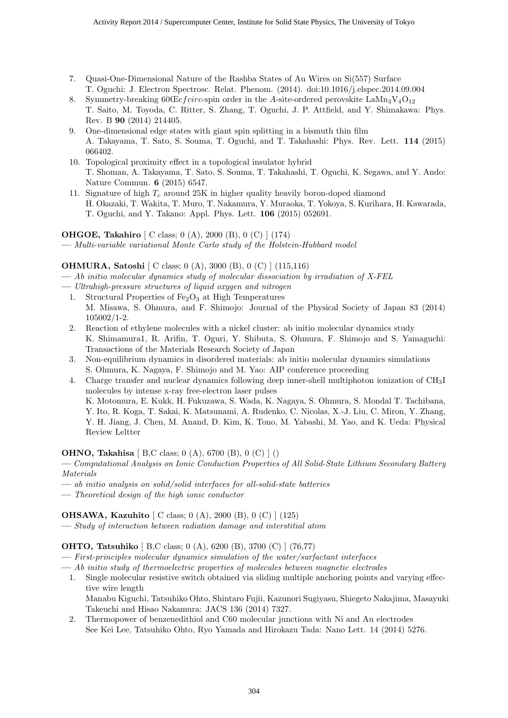- 7. Quasi-One-Dimensional Nature of the Rashba States of Au Wires on Si(557) Surface T. Oguchi: J. Electron Spectrosc. Relat. Phenom. (2014). doi:10.1016/j.elspec.2014.09.004
- 8. Symmetry-breaking  $60 \times e$  *fcirc*-spin order in the *A*-site-ordered perovskite LaMn<sub>3</sub>V<sub>4</sub>O<sub>12</sub> T. Saito, M. Toyoda, C. Ritter, S. Zhang, T. Oguchi, J. P. Attfield, and Y. Shimakawa: Phys. Rev. B **90** (2014) 214405.
- 9. One-dimensional edge states with giant spin splitting in a bismuth thin film A. Takayama, T. Sato, S. Souma, T. Oguchi, and T. Takahashi: Phys. Rev. Lett. **114** (2015) 066402.
- 10. Topological proximity effect in a topological insulator hybrid T. Shoman, A. Takayama, T. Sato, S. Souma, T. Takahashi, T. Oguchi, K. Segawa, and Y. Ando: Nature Commun. **6** (2015) 6547.
- 11. Signature of high *T<sup>c</sup>* around 25K in higher quality heavily boron-doped diamond H. Okazaki, T. Wakita, T. Muro, T. Nakamura, Y. Muraoka, T. Yokoya, S. Kurihara, H. Kawarada, T. Oguchi, and Y. Takano: Appl. Phys. Lett. **106** (2015) 052691.

**OHGOE, Takahiro** [ C class; 0 (A), 2000 (B), 0 (C) ] (174)

**—** *Multi-variable variational Monte Carlo study of the Holstein-Hubbard model*

# **OHMURA, Satoshi** [ C class; 0 (A), 3000 (B), 0 (C) ] (115,116)

**—** *Ab initio molecular dynamics study of molecular dissociation by irradiation of X-FEL*

- **—** *Ultrahigh-pressure structures of liquid oxygen and nitrogen*
- 1. Structural Properties of  $Fe<sub>2</sub>O<sub>3</sub>$  at High Temperatures M. Misawa, S. Ohmura, and F. Shimojo: Journal of the Physical Society of Japan 83 (2014) 105002/1-2.
- 2. Reaction of ethylene molecules with a nickel cluster: ab initio molecular dynamics study K. Shimamura1, R. Arifin, T. Oguri, Y. Shibuta, S. Ohmura, F. Shimojo and S. Yamaguchi: Transactions of the Materials Research Society of Japan
- 3. Non-equilibrium dynamics in disordered materials: ab initio molecular dynamics simulations S. Ohmura, K. Nagaya, F. Shimojo and M. Yao: AIP conference proceeding
- 4. Charge transfer and nuclear dynamics following deep inner-shell multiphoton ionization of CH3I molecules by intense x-ray free-electron laser pulses K. Motomura, E. Kukk, H. Fukuzawa, S. Wada, K. Nagaya, S. Ohmura, S. Mondal T. Tachibana,

Y. Ito, R. Koga, T. Sakai, K. Matsunami, A. Rudenko, C. Nicolas, X.-J. Liu, C. Miron, Y. Zhang, Y. H. Jiang, J. Chen, M. Anand, D. Kim, K. Tono, M. Yabashi, M. Yao, and K. Ueda: Physical Review Leltter

# **OHNO, Takahisa** [ B,C class; 0 (A), 6700 (B), 0 (C) ] ()

**—** *Computational Analysis on Ionic Conduction Properties of All Solid-State Lithium Secondary Battery Materials*

- **—** *ab initio analysis on solid/solid interfaces for all-solid-state batteries*
- **—** *Theoretical design of the high ionic conductor*

# **OHSAWA, Kazuhito** [ C class; 0 (A), 2000 (B), 0 (C) ] (125)

**—** *Study of interaction between radiation damage and interstitial atom*

# **OHTO, Tatsuhiko** [ B,C class; 0 (A), 6200 (B), 3700 (C) ] (76,77)

- **—** *First-principles molecular dynamics simulation of the water/surfactant interfaces*
- **—** *Ab initio study of thermoelectric properties of molecules between magnetic electrodes*
	- 1. Single molecular resistive switch obtained via sliding multiple anchoring points and varying effective wire length

Manabu Kiguchi, Tatsuhiko Ohto, Shintaro Fujii, Kazunori Sugiyasu, Shiegeto Nakajima, Masayuki Takeuchi and Hisao Nakamura: JACS 136 (2014) 7327.

2. Thermopower of benzenedithiol and C60 molecular junctions with Ni and Au electrodes See Kei Lee, Tatsuhiko Ohto, Ryo Yamada and Hirokazu Tada: Nano Lett. 14 (2014) 5276.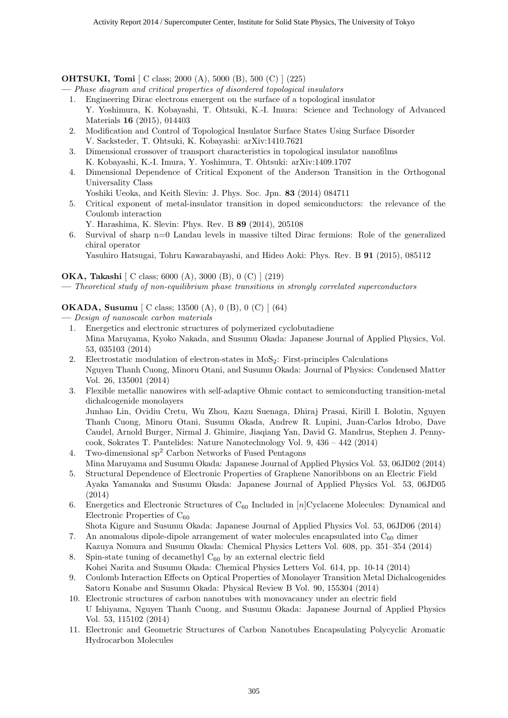# **OHTSUKI, Tomi** [ C class; 2000 (A), 5000 (B), 500 (C) ] (225)

**—** *Phase diagram and critical properties of disordered topological insulators*

- 1. Engineering Dirac electrons emergent on the surface of a topological insulator Y. Yoshimura, K. Kobayashi, T. Ohtsuki, K.-I. Imura: Science and Technology of Advanced Materials **16** (2015), 014403
- 2. Modification and Control of Topological Insulator Surface States Using Surface Disorder V. Sacksteder, T. Ohtsuki, K. Kobayashi: arXiv:1410.7621
- 3. Dimensional crossover of transport characteristics in topological insulator nanofilms K. Kobayashi, K.-I. Imura, Y. Yoshimura, T. Ohtsuki: arXiv:1409.1707
- 4. Dimensional Dependence of Critical Exponent of the Anderson Transition in the Orthogonal Universality Class

Yoshiki Ueoka, and Keith Slevin: J. Phys. Soc. Jpn. **83** (2014) 084711

- 5. Critical exponent of metal-insulator transition in doped semiconductors: the relevance of the Coulomb interaction
	- Y. Harashima, K. Slevin: Phys. Rev. B **89** (2014), 205108
- 6. Survival of sharp n=0 Landau levels in massive tilted Dirac fermions: Role of the generalized chiral operator

Yasuhiro Hatsugai, Tohru Kawarabayashi, and Hideo Aoki: Phys. Rev. B **91** (2015), 085112

**OKA, Takashi** [ C class; 6000 (A), 3000 (B), 0 (C) ] (219)

**—** *Theoretical study of non-equilibrium phase transitions in strongly correlated superconductors*

# **OKADA, Susumu** [ C class; 13500 (A), 0 (B), 0 (C) ] (64)

**—** *Design of nanoscale carbon materials*

- 1. Energetics and electronic structures of polymerized cyclobutadiene Mina Maruyama, Kyoko Nakada, and Susumu Okada: Japanese Journal of Applied Physics, Vol. 53, 035103 (2014)
- 2. Electrostatic modulation of electron-states in MoS<sub>2</sub>: First-principles Calculations Nguyen Thanh Cuong, Minoru Otani, and Susumu Okada: Journal of Physics: Condensed Matter Vol. 26, 135001 (2014)
- 3. Flexible metallic nanowires with self-adaptive Ohmic contact to semiconducting transition-metal dichalcogenide monolayers

Junhao Lin, Ovidiu Cretu, Wu Zhou, Kazu Suenaga, Dhiraj Prasai, Kirill I. Bolotin, Nguyen Thanh Cuong, Minoru Otani, Susumu Okada, Andrew R. Lupini, Juan-Carlos Idrobo, Dave Caudel, Arnold Burger, Nirmal J. Ghimire, Jiaqiang Yan, David G. Mandrus, Stephen J. Pennycook, Sokrates T. Pantelides: Nature Nanotechnology Vol. 9, 436 – 442 (2014)

- 4. Two-dimensional  $sp^2$  Carbon Networks of Fused Pentagons Mina Maruyama and Susumu Okada: Japanese Journal of Applied Physics Vol. 53, 06JD02 (2014)
- 5. Structural Dependence of Electronic Properties of Graphene Nanoribbons on an Electric Field Ayaka Yamanaka and Susumu Okada: Japanese Journal of Applied Physics Vol. 53, 06JD05 (2014)
- 6. Energetics and Electronic Structures of C<sub>60</sub> Included in [*n*]Cyclacene Molecules: Dynamical and Electronic Properties of  $C_{60}$
- Shota Kigure and Susumu Okada: Japanese Journal of Applied Physics Vol. 53, 06JD06 (2014) 7. An anomalous dipole-dipole arrangement of water molecules encapsulated into  $C_{60}$  dimer
- Kazuya Nomura and Susumu Okada: Chemical Physics Letters Vol. 608, pp. 351–354 (2014) 8. Spin-state tuning of decamethyl  $C_{60}$  by an external electric field
- Kohei Narita and Susumu Okada: Chemical Physics Letters Vol. 614, pp. 10-14 (2014)
- 9. Coulomb Interaction Effects on Optical Properties of Monolayer Transition Metal Dichalcogenides Satoru Konabe and Susumu Okada: Physical Review B Vol. 90, 155304 (2014)
- 10. Electronic structures of carbon nanotubes with monovacancy under an electric field U Ishiyama, Nguyen Thanh Cuong, and Susumu Okada: Japanese Journal of Applied Physics Vol. 53, 115102 (2014)
- 11. Electronic and Geometric Structures of Carbon Nanotubes Encapsulating Polycyclic Aromatic Hydrocarbon Molecules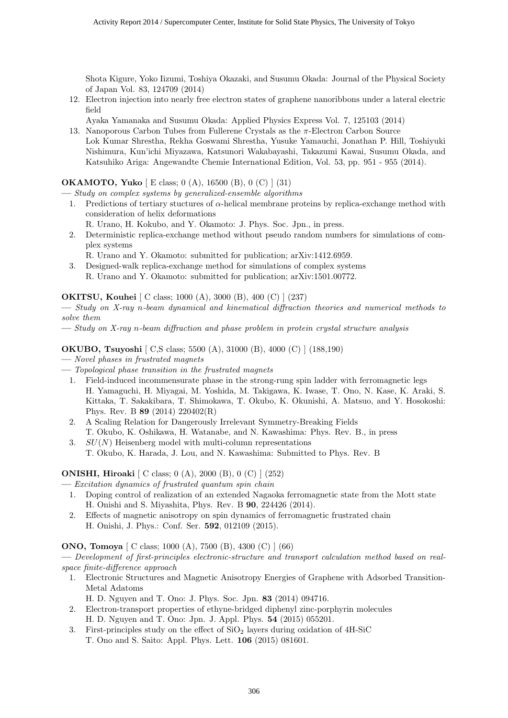Shota Kigure, Yoko Iizumi, Toshiya Okazaki, and Susumu Okada: Journal of the Physical Society of Japan Vol. 83, 124709 (2014)

- 12. Electron injection into nearly free electron states of graphene nanoribbons under a lateral electric field
	- Ayaka Yamanaka and Susumu Okada: Applied Physics Express Vol. 7, 125103 (2014)
- 13. Nanoporous Carbon Tubes from Fullerene Crystals as the *π*-Electron Carbon Source Lok Kumar Shrestha, Rekha Goswami Shrestha, Yusuke Yamauchi, Jonathan P. Hill, Toshiyuki Nishimura, Kun'ichi Miyazawa, Katsunori Wakabayashi, Takazumi Kawai, Susumu Okada, and Katsuhiko Ariga: Angewandte Chemie International Edition, Vol. 53, pp. 951 - 955 (2014).

#### **OKAMOTO, Yuko** [ E class; 0 (A), 16500 (B), 0 (C) ] (31)

**—** *Study on complex systems by generalized-ensemble algorithms*

- 1. Predictions of tertiary stuctures of *α*-helical membrane proteins by replica-exchange method with consideration of helix deformations
	- R. Urano, H. Kokubo, and Y. Okamoto: J. Phys. Soc. Jpn., in press.
- 2. Deterministic replica-exchange method without pseudo random numbers for simulations of complex systems
- R. Urano and Y. Okamoto: submitted for publication; arXiv:1412.6959.
- 3. Designed-walk replica-exchange method for simulations of complex systems R. Urano and Y. Okamoto: submitted for publication; arXiv:1501.00772.

**OKITSU, Kouhei** [ C class; 1000 (A), 3000 (B), 400 (C) ] (237)

**—** *Study on X-ray n-beam dynamical and kinematical diffraction theories and numerical methods to solve them*

**—** *Study on X-ray n-beam diffraction and phase problem in protein crystal structure analysis*

#### **OKUBO, Tsuyoshi** [ C,S class; 5500 (A), 31000 (B), 4000 (C) ] (188,190)

- **—** *Novel phases in frustrated magnets*
- **—** *Topological phase transition in the frustrated magnets*
	- 1. Field-induced incommensurate phase in the strong-rung spin ladder with ferromagnetic legs H. Yamaguchi, H. Miyagai, M. Yoshida, M. Takigawa, K. Iwase, T. Ono, N. Kase, K. Araki, S. Kittaka, T. Sakakibara, T. Shimokawa, T. Okubo, K. Okunishi, A. Matsuo, and Y. Hosokoshi: Phys. Rev. B **89** (2014) 220402(R)
	- 2. A Scaling Relation for Dangerously Irrelevant Symmetry-Breaking Fields T. Okubo, K. Oshikawa, H. Watanabe, and N. Kawashima: Phys. Rev. B., in press
	- 3. *SU*(*N*) Heisenberg model with multi-column representations T. Okubo, K. Harada, J. Lou, and N. Kawashima: Submitted to Phys. Rev. B

#### **ONISHI, Hiroaki** [ C class; 0 (A), 2000 (B), 0 (C) ] (252)

**—** *Excitation dynamics of frustrated quantum spin chain*

- 1. Doping control of realization of an extended Nagaoka ferromagnetic state from the Mott state H. Onishi and S. Miyashita, Phys. Rev. B **90**, 224426 (2014).
- 2. Effects of magnetic anisotropy on spin dynamics of ferromagnetic frustrated chain H. Onishi, J. Phys.: Conf. Ser. **592**, 012109 (2015).

#### **ONO, Tomoya** [ C class; 1000 (A), 7500 (B), 4300 (C) ] (66)

**—** *Development of first-principles electronic-structure and transport calculation method based on realspace finite-difference approach*

- 1. Electronic Structures and Magnetic Anisotropy Energies of Graphene with Adsorbed Transition-Metal Adatoms
	- H. D. Nguyen and T. Ono: J. Phys. Soc. Jpn. **83** (2014) 094716.
- 2. Electron-transport properties of ethyne-bridged diphenyl zinc-porphyrin molecules H. D. Nguyen and T. Ono: Jpn. J. Appl. Phys. **54** (2015) 055201.
- 3. First-principles study on the effect of  $SiO<sub>2</sub>$  layers during oxidation of 4H-SiC T. Ono and S. Saito: Appl. Phys. Lett. **106** (2015) 081601.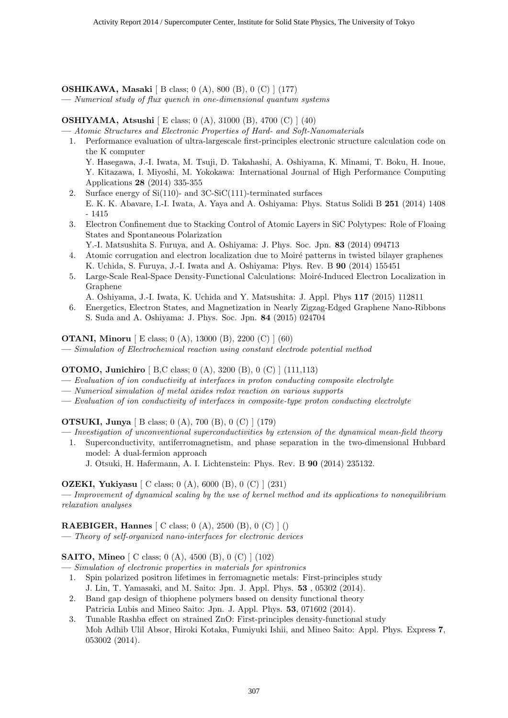#### **OSHIKAWA, Masaki** [ B class; 0 (A), 800 (B), 0 (C) ] (177)

**—** *Numerical study of flux quench in one-dimensional quantum systems*

#### **OSHIYAMA, Atsushi** [ E class; 0 (A), 31000 (B), 4700 (C) ] (40)

**—** *Atomic Structures and Electronic Properties of Hard- and Soft-Nanomaterials*

- 1. Performance evaluation of ultra-largescale first-principles electronic structure calculation code on the K computer Y. Hasegawa, J.-I. Iwata, M. Tsuji, D. Takahashi, A. Oshiyama, K. Minami, T. Boku, H. Inoue, Y. Kitazawa, I. Miyoshi, M. Yokokawa: International Journal of High Performance Computing Applications **28** (2014) 335-355
- 2. Surface energy of Si(110)- and 3C-SiC(111)-terminated surfaces E. K. K. Abavare, I.-I. Iwata, A. Yaya and A. Oshiyama: Phys. Status Solidi B **251** (2014) 1408 - 1415
- 3. Electron Confinement due to Stacking Control of Atomic Layers in SiC Polytypes: Role of Floaing States and Spontaneous Polarization
	- Y.-I. Matsushita S. Furuya, and A. Oshiyama: J. Phys. Soc. Jpn. **83** (2014) 094713
- 4. Atomic corrugation and electron localization due to Moiré patterns in twisted bilayer graphenes K. Uchida, S. Furuya, J.-I. Iwata and A. Oshiyama: Phys. Rev. B **90** (2014) 155451
- 5. Large-Scale Real-Space Density-Functional Calculations: Moiré-Induced Electron Localization in Graphene
- A. Oshiyama, J.-I. Iwata, K. Uchida and Y. Matsushita: J. Appl. Phys **117** (2015) 112811
- 6. Energetics, Electron States, and Magnetization in Nearly Zigzag-Edged Graphene Nano-Ribbons S. Suda and A. Oshiyama: J. Phys. Soc. Jpn. **84** (2015) 024704

#### **OTANI, Minoru** [ E class; 0 (A), 13000 (B), 2200 (C) ] (60)

**—** *Simulation of Electrochemical reaction using constant electrode potential method*

#### **OTOMO, Junichiro** [ B,C class; 0 (A), 3200 (B), 0 (C) ] (111,113)

- **—** *Evaluation of ion conductivity at interfaces in proton conducting composite electrolyte*
- **—** *Numerical simulation of metal oxides redox reaction on various supports*
- **—** *Evaluation of ion conductivity of interfaces in composite-type proton conducting electrolyte*

# **OTSUKI, Junya** [ B class; 0 (A), 700 (B), 0 (C) ] (179)

- **—** *Investigation of unconventional superconductivities by extension of the dynamical mean-field theory*
	- 1. Superconductivity, antiferromagnetism, and phase separation in the two-dimensional Hubbard model: A dual-fermion approach
		- J. Otsuki, H. Hafermann, A. I. Lichtenstein: Phys. Rev. B **90** (2014) 235132.

#### **OZEKI, Yukiyasu** [ C class; 0 (A), 6000 (B), 0 (C) ] (231)

**—** *Improvement of dynamical scaling by the use of kernel method and its applications to nonequilibrium relaxation analyses*

#### **RAEBIGER, Hannes** [ C class; 0 (A), 2500 (B), 0 (C) ] ()

**—** *Theory of self-organized nano-interfaces for electronic devices*

#### **SAITO, Mineo** [ C class; 0 (A), 4500 (B), 0 (C) ] (102)

- **—** *Simulation of electronic properties in materials for spintronics*
- 1. Spin polarized positron lifetimes in ferromagnetic metals: First-principles study J. Lin, T. Yamasaki, and M. Saito: Jpn. J. Appl. Phys. **53** , 05302 (2014).
- 2. Band gap design of thiophene polymers based on density functional theory Patricia Lubis and Mineo Saito: Jpn. J. Appl. Phys. **53**, 071602 (2014).
- 3. Tunable Rashba effect on strained ZnO: First-principles density-functional study Moh Adhib Ulil Absor, Hiroki Kotaka, Fumiyuki Ishii, and Mineo Saito: Appl. Phys. Express **7**, 053002 (2014).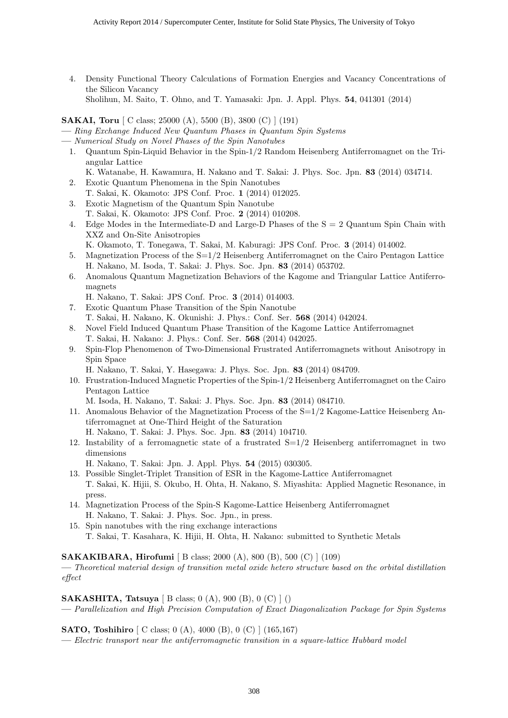4. Density Functional Theory Calculations of Formation Energies and Vacancy Concentrations of the Silicon Vacancy

Sholihun, M. Saito, T. Ohno, and T. Yamasaki: Jpn. J. Appl. Phys. **54**, 041301 (2014)

**SAKAI, Toru** [ C class; 25000 (A), 5500 (B), 3800 (C) ] (191)

**—** *Ring Exchange Induced New Quantum Phases in Quantum Spin Systems*

- **—** *Numerical Study on Novel Phases of the Spin Nanotubes*
	- 1. Quantum Spin-Liquid Behavior in the Spin-1/2 Random Heisenberg Antiferromagnet on the Triangular Lattice

K. Watanabe, H. Kawamura, H. Nakano and T. Sakai: J. Phys. Soc. Jpn. **83** (2014) 034714.

- 2. Exotic Quantum Phenomena in the Spin Nanotubes T. Sakai, K. Okamoto: JPS Conf. Proc. **1** (2014) 012025.
- 3. Exotic Magnetism of the Quantum Spin Nanotube T. Sakai, K. Okamoto: JPS Conf. Proc. **2** (2014) 010208.
- 4. Edge Modes in the Intermediate-D and Large-D Phases of the  $S = 2$  Quantum Spin Chain with XXZ and On-Site Anisotropies

K. Okamoto, T. Tonegawa, T. Sakai, M. Kaburagi: JPS Conf. Proc. **3** (2014) 014002.

- 5. Magnetization Process of the S=1/2 Heisenberg Antiferromagnet on the Cairo Pentagon Lattice H. Nakano, M. Isoda, T. Sakai: J. Phys. Soc. Jpn. **83** (2014) 053702.
- 6. Anomalous Quantum Magnetization Behaviors of the Kagome and Triangular Lattice Antiferromagnets

H. Nakano, T. Sakai: JPS Conf. Proc. **3** (2014) 014003.

- 7. Exotic Quantum Phase Transition of the Spin Nanotube T. Sakai, H. Nakano, K. Okunishi: J. Phys.: Conf. Ser. **568** (2014) 042024.
- 8. Novel Field Induced Quantum Phase Transition of the Kagome Lattice Antiferromagnet T. Sakai, H. Nakano: J. Phys.: Conf. Ser. **568** (2014) 042025.
- 9. Spin-Flop Phenomenon of Two-Dimensional Frustrated Antiferromagnets without Anisotropy in Spin Space

H. Nakano, T. Sakai, Y. Hasegawa: J. Phys. Soc. Jpn. **83** (2014) 084709.

10. Frustration-Induced Magnetic Properties of the Spin-1/2 Heisenberg Antiferromagnet on the Cairo Pentagon Lattice

M. Isoda, H. Nakano, T. Sakai: J. Phys. Soc. Jpn. **83** (2014) 084710.

- 11. Anomalous Behavior of the Magnetization Process of the S=1/2 Kagome-Lattice Heisenberg Antiferromagnet at One-Third Height of the Saturation
	- H. Nakano, T. Sakai: J. Phys. Soc. Jpn. **83** (2014) 104710.
- 12. Instability of a ferromagnetic state of a frustrated  $S=1/2$  Heisenberg antiferromagnet in two dimensions
	- H. Nakano, T. Sakai: Jpn. J. Appl. Phys. **54** (2015) 030305.
- 13. Possible Singlet-Triplet Transition of ESR in the Kagome-Lattice Antiferromagnet T. Sakai, K. Hijii, S. Okubo, H. Ohta, H. Nakano, S. Miyashita: Applied Magnetic Resonance, in press.
- 14. Magnetization Process of the Spin-S Kagome-Lattice Heisenberg Antiferromagnet H. Nakano, T. Sakai: J. Phys. Soc. Jpn., in press.
- 15. Spin nanotubes with the ring exchange interactions T. Sakai, T. Kasahara, K. Hijii, H. Ohta, H. Nakano: submitted to Synthetic Metals

**SAKAKIBARA, Hirofumi** [ B class; 2000 (A), 800 (B), 500 (C) ] (109)

**—** *Theoretical material design of transition metal oxide hetero structure based on the orbital distillation effect*

**SAKASHITA, Tatsuya** [ B class; 0 (A), 900 (B), 0 (C) ] ()

**—** *Parallelization and High Precision Computation of Exact Diagonalization Package for Spin Systems*

**SATO, Toshihiro**  $\begin{bmatrix} C \ \text{class}; 0 \ (A), 4000 \ (B), 0 \ (C) \ \end{bmatrix}$  (165,167)

**—** *Electric transport near the antiferromagnetic transition in a square-lattice Hubbard model*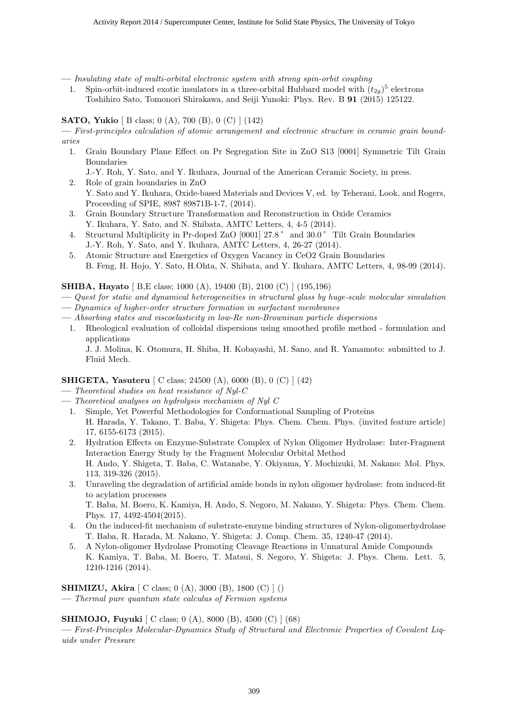**—** *Insulating state of multi-orbital electronic system with strong spin-orbit coupling*

1. Spin-orbit-induced exotic insulators in a three-orbital Hubbard model with  $(t_{2g})^5$  electrons Toshihiro Sato, Tomonori Shirakawa, and Seiji Yunoki: Phys. Rev. B **91** (2015) 125122.

#### **SATO, Yukio** [ B class; 0 (A), 700 (B), 0 (C) ] (142)

**—** *First-principles calculation of atomic arrangement and electronic structure in ceramic grain boundaries*

1. Grain Boundary Plane Effect on Pr Segregation Site in ZnO S13 [0001] Symmetric Tilt Grain Boundaries

J.-Y. Roh, Y. Sato, and Y. Ikuhara, Journal of the American Ceramic Society, in press.

- 2. Role of grain boundaries in ZnO Y. Sato and Y. Ikuhara, Oxide-based Materials and Devices V, ed. by Teherani, Look, and Rogers, Proceeding of SPIE, 8987 89871B-1-7, (2014).
- 3. Grain Boundary Structure Transformation and Reconstruction in Oxide Ceramics Y. Ikuhara, Y. Sato, and N. Shibata, AMTC Letters, 4, 4-5 (2014).
- 4. Structural Multiplicity in Pr-doped ZnO [0001] 27.8° and 30.0° Tilt Grain Boundaries J.-Y. Roh, Y. Sato, and Y. Ikuhara, AMTC Letters, 4, 26-27 (2014).
- 5. Atomic Structure and Energetics of Oxygen Vacancy in CeO2 Grain Boundaries B. Feng, H. Hojo, Y. Sato, H.Ohta, N. Shibata, and Y. Ikuhara, AMTC Letters, 4, 98-99 (2014).

**SHIBA, Hayato** [ B,E class; 1000 (A), 19400 (B), 2100 (C) ] (195,196)

- **—** *Quest for static and dynamical heterogeneities in structural glass by huge-scale molecular simulation*
- **—** *Dynamics of higher-order structure formation in surfactant membranes*
- **—** *Absorbing states and viscoelasticity in low-Re non-Browninan particle dispersions*
	- 1. Rheological evaluation of colloidal dispersions using smoothed profile method formulation and applications

J. J. Molina, K. Otomura, H. Shiba, H. Kobayashi, M. Sano, and R. Yamamoto: submitted to J. Fluid Mech.

# **SHIGETA, Yasuteru** [ C class; 24500 (A), 6000 (B), 0 (C) ] (42)

- **—** *Theoretical studies on heat resistance of Nyl-C*
- **—** *Theoretical analyses on hydrolysis mechanism of Nyl C*
	- 1. Simple, Yet Powerful Methodologies for Conformational Sampling of Proteins H. Harada, Y. Takano, T. Baba, Y. Shigeta: Phys. Chem. Chem. Phys. (invited feature article) 17, 6155-6173 (2015).
	- 2. Hydration Effects on Enzyme-Substrate Complex of Nylon Oligomer Hydrolase: Inter-Fragment Interaction Energy Study by the Fragment Molecular Orbital Method H. Ando, Y. Shigeta, T. Baba, C. Watanabe, Y. Okiyama, Y. Mochizuki, M. Nakano: Mol. Phys. 113, 319-326 (2015).
	- 3. Unraveling the degradation of artificial amide bonds in nylon oligomer hydrolase: from induced-fit to acylation processes

T. Baba, M. Boero, K. Kamiya, H. Ando, S. Negoro, M. Nakano, Y. Shigeta: Phys. Chem. Chem. Phys. 17, 4492-4504(2015).

- 4. On the induced-fit mechanism of substrate-enzyme binding structures of Nylon-oligomerhydrolase T. Baba, R. Harada, M. Nakano, Y. Shigeta: J. Comp. Chem. 35, 1240-47 (2014).
- 5. A Nylon-oligomer Hydrolase Promoting Cleavage Reactions in Unnatural Amide Compounds K. Kamiya, T. Baba, M. Boero, T. Matsui, S. Negoro, Y. Shigeta: J. Phys. Chem. Lett. 5, 1210-1216 (2014).

**SHIMIZU, Akira**  $[ C \text{ class}; 0 (A), 3000 (B), 1800 (C) ]$ 

**—** *Thermal pure quantum state calculus of Fermion systems*

**SHIMOJO, Fuyuki** [ C class; 0 (A), 8000 (B), 4500 (C) ] (68)

**—** *First-Principles Molecular-Dynamics Study of Structural and Electronic Properties of Covalent Liquids under Pressure*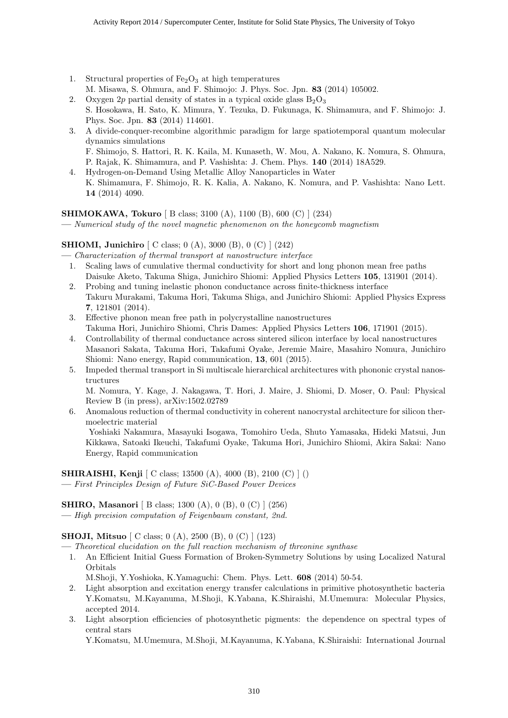- 1. Structural properties of  $Fe<sub>2</sub>O<sub>3</sub>$  at high temperatures
- M. Misawa, S. Ohmura, and F. Shimojo: J. Phys. Soc. Jpn. **83** (2014) 105002.
- 2. Oxygen 2*p* partial density of states in a typical oxide glass  $B_2O_3$ S. Hosokawa, H. Sato, K. Mimura, Y. Tezuka, D. Fukunaga, K. Shimamura, and F. Shimojo: J. Phys. Soc. Jpn. **83** (2014) 114601.
- 3. A divide-conquer-recombine algorithmic paradigm for large spatiotemporal quantum molecular dynamics simulations F. Shimojo, S. Hattori, R. K. Kaila, M. Kunaseth, W. Mou, A. Nakano, K. Nomura, S. Ohmura,
- P. Rajak, K. Shimamura, and P. Vashishta: J. Chem. Phys. **140** (2014) 18A529.
- 4. Hydrogen-on-Demand Using Metallic Alloy Nanoparticles in Water K. Shimamura, F. Shimojo, R. K. Kalia, A. Nakano, K. Nomura, and P. Vashishta: Nano Lett. **14** (2014) 4090.

# **SHIMOKAWA, Tokuro** [ B class; 3100 (A), 1100 (B), 600 (C) ] (234)

**—** *Numerical study of the novel magnetic phenomenon on the honeycomb magnetism*

# **SHIOMI, Junichiro** [ C class; 0 (A), 3000 (B), 0 (C) ] (242)

- **—** *Characterization of thermal transport at nanostructure interface*
	- 1. Scaling laws of cumulative thermal conductivity for short and long phonon mean free paths Daisuke Aketo, Takuma Shiga, Junichiro Shiomi: Applied Physics Letters **105**, 131901 (2014).
	- 2. Probing and tuning inelastic phonon conductance across finite-thickness interface Takuru Murakami, Takuma Hori, Takuma Shiga, and Junichiro Shiomi: Applied Physics Express **7**, 121801 (2014).
	- 3. Effective phonon mean free path in polycrystalline nanostructures Takuma Hori, Junichiro Shiomi, Chris Dames: Applied Physics Letters **106**, 171901 (2015).
	- 4. Controllability of thermal conductance across sintered silicon interface by local nanostructures Masanori Sakata, Takuma Hori, Takafumi Oyake, Jeremie Maire, Masahiro Nomura, Junichiro Shiomi: Nano energy, Rapid communication, **13**, 601 (2015).
	- 5. Impeded thermal transport in Si multiscale hierarchical architectures with phononic crystal nanostructures

M. Nomura, Y. Kage, J. Nakagawa, T. Hori, J. Maire, J. Shiomi, D. Moser, O. Paul: Physical Review B (in press), arXiv:1502.02789

6. Anomalous reduction of thermal conductivity in coherent nanocrystal architecture for silicon thermoelectric material

Yoshiaki Nakamura, Masayuki Isogawa, Tomohiro Ueda, Shuto Yamasaka, Hideki Matsui, Jun Kikkawa, Satoaki Ikeuchi, Takafumi Oyake, Takuma Hori, Junichiro Shiomi, Akira Sakai: Nano Energy, Rapid communication

**SHIRAISHI, Kenji** [ C class; 13500 (A), 4000 (B), 2100 (C) ] () **—** *First Principles Design of Future SiC-Based Power Devices*

# **SHIRO, Masanori** [ B class; 1300 (A), 0 (B), 0 (C) ] (256)

**—** *High precision computation of Feigenbaum constant, 2nd.*

# **SHOJI, Mitsuo** [ C class; 0 (A), 2500 (B), 0 (C) ] (123)

**—** *Theoretical elucidation on the full reaction mechanism of threonine synthase*

1. An Efficient Initial Guess Formation of Broken-Symmetry Solutions by using Localized Natural Orbitals

M.Shoji, Y.Yoshioka, K.Yamaguchi: Chem. Phys. Lett. **608** (2014) 50-54.

- 2. Light absorption and excitation energy transfer calculations in primitive photosynthetic bacteria Y.Komatsu, M.Kayanuma, M.Shoji, K.Yabana, K.Shiraishi, M.Umemura: Molecular Physics, accepted 2014.
- 3. Light absorption efficiencies of photosynthetic pigments: the dependence on spectral types of central stars

Y.Komatsu, M.Umemura, M.Shoji, M.Kayanuma, K.Yabana, K.Shiraishi: International Journal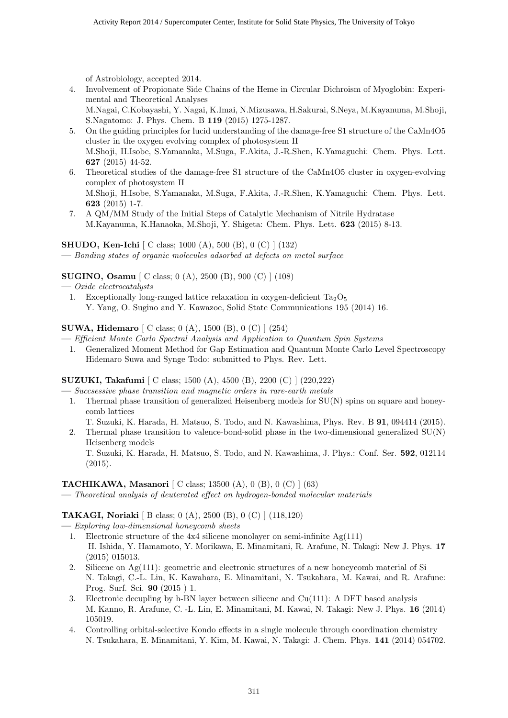of Astrobiology, accepted 2014.

4. Involvement of Propionate Side Chains of the Heme in Circular Dichroism of Myoglobin: Experimental and Theoretical Analyses

M.Nagai, C.Kobayashi, Y. Nagai, K.Imai, N.Mizusawa, H.Sakurai, S.Neya, M.Kayanuma, M.Shoji, S.Nagatomo: J. Phys. Chem. B **119** (2015) 1275-1287.

- 5. On the guiding principles for lucid understanding of the damage-free S1 structure of the CaMn4O5 cluster in the oxygen evolving complex of photosystem II M.Shoji, H.Isobe, S.Yamanaka, M.Suga, F.Akita, J.-R.Shen, K.Yamaguchi: Chem. Phys. Lett. **627** (2015) 44-52.
- 6. Theoretical studies of the damage-free S1 structure of the CaMn4O5 cluster in oxygen-evolving complex of photosystem II M.Shoji, H.Isobe, S.Yamanaka, M.Suga, F.Akita, J.-R.Shen, K.Yamaguchi: Chem. Phys. Lett. **623** (2015) 1-7.
- 7. A QM/MM Study of the Initial Steps of Catalytic Mechanism of Nitrile Hydratase M.Kayanuma, K.Hanaoka, M.Shoji, Y. Shigeta: Chem. Phys. Lett. **623** (2015) 8-13.

**SHUDO, Ken-Ichi** [ C class; 1000 (A), 500 (B), 0 (C) ] (132)

**—** *Bonding states of organic molecules adsorbed at defects on metal surface*

**SUGINO, Osamu** [ C class; 0 (A), 2500 (B), 900 (C) ] (108)

**—** *Oxide electrocatalysts*

1. Exceptionally long-ranged lattice relaxation in oxygen-deficient  $Ta_2O_5$ Y. Yang, O. Sugino and Y. Kawazoe, Solid State Communications 195 (2014) 16.

**SUWA, Hidemaro** [ C class; 0 (A), 1500 (B), 0 (C) ] (254)

- **—** *Efficient Monte Carlo Spectral Analysis and Application to Quantum Spin Systems*
	- 1. Generalized Moment Method for Gap Estimation and Quantum Monte Carlo Level Spectroscopy Hidemaro Suwa and Synge Todo: submitted to Phys. Rev. Lett.

**SUZUKI, Takafumi** [ C class; 1500 (A), 4500 (B), 2200 (C) ] (220,222)

**—** *Succsessive phase transition and magnetic orders in rare-earth metals*

1. Thermal phase transition of generalized Heisenberg models for SU(N) spins on square and honeycomb lattices

T. Suzuki, K. Harada, H. Matsuo, S. Todo, and N. Kawashima, Phys. Rev. B **91**, 094414 (2015).

2. Thermal phase transition to valence-bond-solid phase in the two-dimensional generalized SU(N) Heisenberg models

T. Suzuki, K. Harada, H. Matsuo, S. Todo, and N. Kawashima, J. Phys.: Conf. Ser. **592**, 012114 (2015).

# **TACHIKAWA, Masanori** [ C class; 13500 (A), 0 (B), 0 (C) ] (63)

**—** *Theoretical analysis of deuterated effect on hydrogen-bonded molecular materials*

**TAKAGI, Noriaki** [ B class; 0 (A), 2500 (B), 0 (C) ] (118,120)

**—** *Exploring low-dimensional honeycomb sheets*

- 1. Electronic structure of the 4x4 silicene monolayer on semi-infinite Ag(111) H. Ishida, Y. Hamamoto, Y. Morikawa, E. Minamitani, R. Arafune, N. Takagi: New J. Phys. **17** (2015) 015013.
- 2. Silicene on Ag(111): geometric and electronic structures of a new honeycomb material of Si N. Takagi, C.-L. Lin, K. Kawahara, E. Minamitani, N. Tsukahara, M. Kawai, and R. Arafune: Prog. Surf. Sci. **90** (2015 ) 1.
- 3. Electronic decupling by h-BN layer between silicene and  $Cu(111)$ : A DFT based analysis M. Kanno, R. Arafune, C. -L. Lin, E. Minamitani, M. Kawai, N. Takagi: New J. Phys. **16** (2014) 105019.
- 4. Controlling orbital-selective Kondo effects in a single molecule through coordination chemistry N. Tsukahara, E. Minamitani, Y. Kim, M. Kawai, N. Takagi: J. Chem. Phys. **141** (2014) 054702.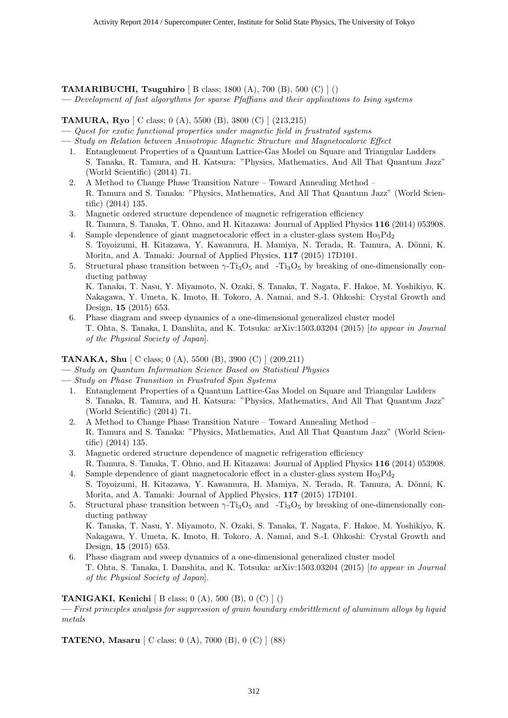**TAMARIBUCHI, Tsuguhiro** [ B class; 1800 (A), 700 (B), 500 (C) ] ()

**—** *Development of fast algorythms for sparse Pfaffians and their applications to Ising systems*

# **TAMURA, Ryo** [ C class; 0 (A), 5500 (B), 3800 (C) ] (213,215)

- **—** *Quest for exotic functional properties under magnetic field in frustrated systems*
- **—** *Study on Relation between Anisotropic Magnetic Structure and Magnetocaloric Effect*
- 1. Entanglement Properties of a Quantum Lattice-Gas Model on Square and Triangular Ladders S. Tanaka, R. Tamura, and H. Katsura: "Physics, Mathematics, And All That Quantum Jazz" (World Scientific) (2014) 71.
- 2. A Method to Change Phase Transition Nature Toward Annealing Method R. Tamura and S. Tanaka: "Physics, Mathematics, And All That Quantum Jazz" (World Scientific) (2014) 135.
- 3. Magnetic ordered structure dependence of magnetic refrigeration efficiency R. Tamura, S. Tanaka, T. Ohno, and H. Kitazawa: Journal of Applied Physics **116** (2014) 053908.
- 4. Sample dependence of giant magnetocaloric effect in a cluster-glass system  $Ho_5Pd_2$ S. Toyoizumi, H. Kitazawa, Y. Kawamura, H. Mamiya, N. Terada, R. Tamura, A. Dönni, K. Morita, and A. Tamaki: Journal of Applied Physics, **117** (2015) 17D101.
- 5. Structural phase transition between  $\gamma$ -Ti<sub>3</sub>O<sub>5</sub> and -Ti<sub>3</sub>O<sub>5</sub> by breaking of one-dimensionally conducting pathway K. Tanaka, T. Nasu, Y. Miyamoto, N. Ozaki, S. Tanaka, T. Nagata, F. Hakoe, M. Yoshikiyo, K. Nakagawa, Y. Umeta, K. Imoto, H. Tokoro, A. Namai, and S.-I. Ohkoshi: Crystal Growth and Design, **15** (2015) 653.
- 6. Phase diagram and sweep dynamics of a one-dimensional generalized cluster model T. Ohta, S. Tanaka, I. Danshita, and K. Totsuka: arXiv:1503.03204 (2015) [*to appear in Journal of the Physical Society of Japan*].

#### **TANAKA, Shu** [ C class; 0 (A), 5500 (B), 3900 (C) ] (209,211)

- **—** *Study on Quantum Information Science Based on Statistical Physics*
- **—** *Study on Phase Transition in Frustrated Spin Systems*
	- 1. Entanglement Properties of a Quantum Lattice-Gas Model on Square and Triangular Ladders S. Tanaka, R. Tamura, and H. Katsura: "Physics, Mathematics, And All That Quantum Jazz" (World Scientific) (2014) 71.
	- 2. A Method to Change Phase Transition Nature Toward Annealing Method R. Tamura and S. Tanaka: "Physics, Mathematics, And All That Quantum Jazz" (World Scientific) (2014) 135.
	- 3. Magnetic ordered structure dependence of magnetic refrigeration efficiency R. Tamura, S. Tanaka, T. Ohno, and H. Kitazawa: Journal of Applied Physics **116** (2014) 053908.
	- 4. Sample dependence of giant magnetocaloric effect in a cluster-glass system  $Ho<sub>5</sub>Pd<sub>2</sub>$ S. Toyoizumi, H. Kitazawa, Y. Kawamura, H. Mamiya, N. Terada, R. Tamura, A. Dönni, K. Morita, and A. Tamaki: Journal of Applied Physics, **117** (2015) 17D101.
	- 5. Structural phase transition between  $\gamma$ -Ti<sub>3</sub>O<sub>5</sub> and -Ti<sub>3</sub>O<sub>5</sub> by breaking of one-dimensionally conducting pathway K. Tanaka, T. Nasu, Y. Miyamoto, N. Ozaki, S. Tanaka, T. Nagata, F. Hakoe, M. Yoshikiyo, K.
	- Nakagawa, Y. Umeta, K. Imoto, H. Tokoro, A. Namai, and S.-I. Ohkoshi: Crystal Growth and Design, **15** (2015) 653. 6. Phase diagram and sweep dynamics of a one-dimensional generalized cluster model
	- T. Ohta, S. Tanaka, I. Danshita, and K. Totsuka: arXiv:1503.03204 (2015) [*to appear in Journal of the Physical Society of Japan*].

#### **TANIGAKI, Kenichi** [ B class; 0 (A), 500 (B), 0 (C) ] ()

**—** *First principles analysis for suppression of grain boundary embrittlement of aluminum alloys by liquid metals*

**TATENO, Masaru** [ C class; 0 (A), 7000 (B), 0 (C) ] (88)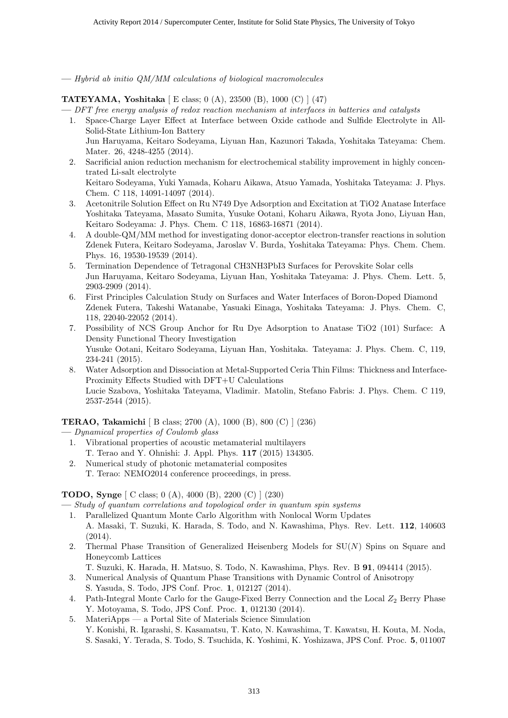**—** *Hybrid ab initio QM/MM calculations of biological macromolecules*

**TATEYAMA, Yoshitaka** [ E class; 0 (A), 23500 (B), 1000 (C) ] (47)

**—** *DFT free energy analysis of redox reaction mechanism at interfaces in batteries and catalysts*

1. Space-Charge Layer Effect at Interface between Oxide cathode and Sulfide Electrolyte in All-Solid-State Lithium-Ion Battery

Jun Haruyama, Keitaro Sodeyama, Liyuan Han, Kazunori Takada, Yoshitaka Tateyama: Chem. Mater. 26, 4248-4255 (2014).

2. Sacrificial anion reduction mechanism for electrochemical stability improvement in highly concentrated Li-salt electrolyte Keitaro Sodeyama, Yuki Yamada, Koharu Aikawa, Atsuo Yamada, Yoshitaka Tateyama: J. Phys.

Chem. C 118, 14091-14097 (2014).

- 3. Acetonitrile Solution Effect on Ru N749 Dye Adsorption and Excitation at TiO2 Anatase Interface Yoshitaka Tateyama, Masato Sumita, Yusuke Ootani, Koharu Aikawa, Ryota Jono, Liyuan Han, Keitaro Sodeyama: J. Phys. Chem. C 118, 16863-16871 (2014).
- 4. A double-QM/MM method for investigating donor-acceptor electron-transfer reactions in solution Zdenek Futera, Keitaro Sodeyama, Jaroslav V. Burda, Yoshitaka Tateyama: Phys. Chem. Chem. Phys. 16, 19530-19539 (2014).
- 5. Termination Dependence of Tetragonal CH3NH3PbI3 Surfaces for Perovskite Solar cells Jun Haruyama, Keitaro Sodeyama, Liyuan Han, Yoshitaka Tateyama: J. Phys. Chem. Lett. 5, 2903-2909 (2014).
- 6. First Principles Calculation Study on Surfaces and Water Interfaces of Boron-Doped Diamond Zdenek Futera, Takeshi Watanabe, Yasuaki Einaga, Yoshitaka Tateyama: J. Phys. Chem. C, 118, 22040-22052 (2014).
- 7. Possibility of NCS Group Anchor for Ru Dye Adsorption to Anatase TiO2 (101) Surface: A Density Functional Theory Investigation Yusuke Ootani, Keitaro Sodeyama, Liyuan Han, Yoshitaka. Tateyama: J. Phys. Chem. C, 119, 234-241 (2015).
- 8. Water Adsorption and Dissociation at Metal-Supported Ceria Thin Films: Thickness and Interface-Proximity Effects Studied with DFT+U Calculations Lucie Szabova, Yoshitaka Tateyama, Vladimir. Matolin, Stefano Fabris: J. Phys. Chem. C 119, 2537-2544 (2015).

**TERAO, Takamichi** [ B class; 2700 (A), 1000 (B), 800 (C) ] (236)

**—** *Dynamical properties of Coulomb glass*

- 1. Vibrational properties of acoustic metamaterial multilayers T. Terao and Y. Ohnishi: J. Appl. Phys. **117** (2015) 134305.
- 2. Numerical study of photonic metamaterial composites T. Terao: NEMO2014 conference proceedings, in press.

# **TODO, Synge** [ C class; 0 (A), 4000 (B), 2200 (C) ] (230)

**—** *Study of quantum correlations and topological order in quantum spin systems*

- 1. Parallelized Quantum Monte Carlo Algorithm with Nonlocal Worm Updates A. Masaki, T. Suzuki, K. Harada, S. Todo, and N. Kawashima, Phys. Rev. Lett. **112**, 140603 (2014).
- 2. Thermal Phase Transition of Generalized Heisenberg Models for SU(*N*) Spins on Square and Honeycomb Lattices
- T. Suzuki, K. Harada, H. Matsuo, S. Todo, N. Kawashima, Phys. Rev. B **91**, 094414 (2015).
- 3. Numerical Analysis of Quantum Phase Transitions with Dynamic Control of Anisotropy S. Yasuda, S. Todo, JPS Conf. Proc. **1**, 012127 (2014).
- 4. Path-Integral Monte Carlo for the Gauge-Fixed Berry Connection and the Local  $Z_2$  Berry Phase Y. Motoyama, S. Todo, JPS Conf. Proc. **1**, 012130 (2014).
- 5. MateriApps a Portal Site of Materials Science Simulation Y. Konishi, R. Igarashi, S. Kasamatsu, T. Kato, N. Kawashima, T. Kawatsu, H. Kouta, M. Noda, S. Sasaki, Y. Terada, S. Todo, S. Tsuchida, K. Yoshimi, K. Yoshizawa, JPS Conf. Proc. **5**, 011007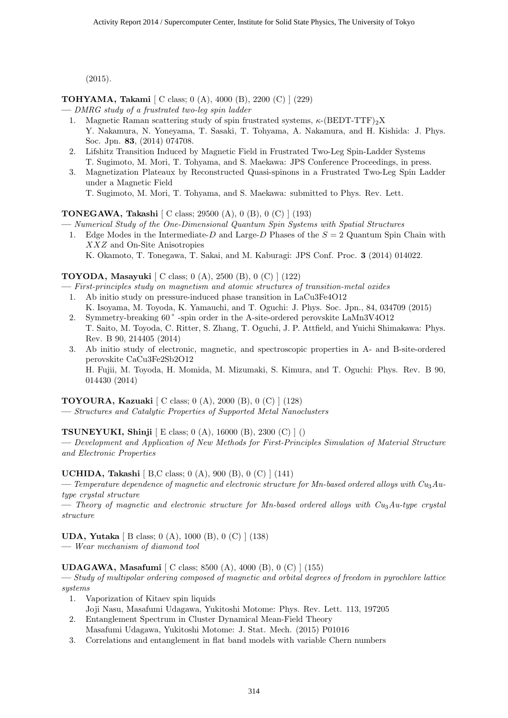(2015).

**TOHYAMA, Takami** [ C class; 0 (A), 4000 (B), 2200 (C) ] (229)

- **—** *DMRG study of a frustrated two-leg spin ladder*
	- 1. Magnetic Raman scattering study of spin frustrated systems, *κ*-(BEDT-TTF)<sub>2</sub>X Y. Nakamura, N. Yoneyama, T. Sasaki, T. Tohyama, A. Nakamura, and H. Kishida: J. Phys. Soc. Jpn. **83**, (2014) 074708.
	- 2. Lifshitz Transition Induced by Magnetic Field in Frustrated Two-Leg Spin-Ladder Systems T. Sugimoto, M. Mori, T. Tohyama, and S. Maekawa: JPS Conference Proceedings, in press.
	- 3. Magnetization Plateaux by Reconstructed Quasi-spinons in a Frustrated Two-Leg Spin Ladder under a Magnetic Field T. Sugimoto, M. Mori, T. Tohyama, and S. Maekawa: submitted to Phys. Rev. Lett.

# **TONEGAWA, Takashi** [ C class; 29500 (A), 0 (B), 0 (C) ] (193)

**—** *Numerical Study of the One-Dimensional Quantum Spin Systems with Spatial Structures*

1. Edge Modes in the Intermediate-*D* and Large-*D* Phases of the *S* = 2 Quantum Spin Chain with *XXZ* and On-Site Anisotropies K. Okamoto, T. Tonegawa, T. Sakai, and M. Kaburagi: JPS Conf. Proc. **3** (2014) 014022.

# **TOYODA, Masayuki** [ C class; 0 (A), 2500 (B), 0 (C) ] (122)

**—** *First-principles study on magnetism and atomic structures of transition-metal oxides*

- 1. Ab initio study on pressure-induced phase transition in LaCu3Fe4O12 K. Isoyama, M. Toyoda, K. Yamauchi, and T. Oguchi: J. Phys. Soc. Jpn., 84, 034709 (2015)
- 2. Symmetry-breaking 60 °-spin order in the A-site-ordered perovskite LaMn3V4O12 T. Saito, M. Toyoda, C. Ritter, S. Zhang, T. Oguchi, J. P. Attfield, and Yuichi Shimakawa: Phys. Rev. B 90, 214405 (2014)
- 3. Ab initio study of electronic, magnetic, and spectroscopic properties in A- and B-site-ordered perovskite CaCu3Fe2Sb2O12 H. Fujii, M. Toyoda, H. Momida, M. Mizumaki, S. Kimura, and T. Oguchi: Phys. Rev. B 90, 014430 (2014)

**TOYOURA, Kazuaki** [ C class; 0 (A), 2000 (B), 0 (C) ] (128)

**—** *Structures and Catalytic Properties of Supported Metal Nanoclusters*

**TSUNEYUKI, Shinji** [ E class; 0 (A), 16000 (B), 2300 (C) ] ()

**—** *Development and Application of New Methods for First-Principles Simulation of Material Structure and Electronic Properties*

# **UCHIDA, Takashi** [ B,C class; 0 (A), 900 (B), 0 (C) ] (141)

— *Temperature dependence of magnetic and electronic structure for Mn-based ordered alloys with Cu<sub>3</sub>Autype crystal structure*

**—** *Theory of magnetic and electronic structure for Mn-based ordered alloys with Cu*3*Au-type crystal structure*

**UDA, Yutaka** [ B class; 0 (A), 1000 (B), 0 (C) ] (138)

**—** *Wear mechanism of diamond tool*

**UDAGAWA, Masafumi** [ C class; 8500 (A), 4000 (B), 0 (C) ] (155)

**—** *Study of multipolar ordering composed of magnetic and orbital degrees of freedom in pyrochlore lattice systems*

- 1. Vaporization of Kitaev spin liquids
- Joji Nasu, Masafumi Udagawa, Yukitoshi Motome: Phys. Rev. Lett. 113, 197205
- 2. Entanglement Spectrum in Cluster Dynamical Mean-Field Theory Masafumi Udagawa, Yukitoshi Motome: J. Stat. Mech. (2015) P01016
- 3. Correlations and entanglement in flat band models with variable Chern numbers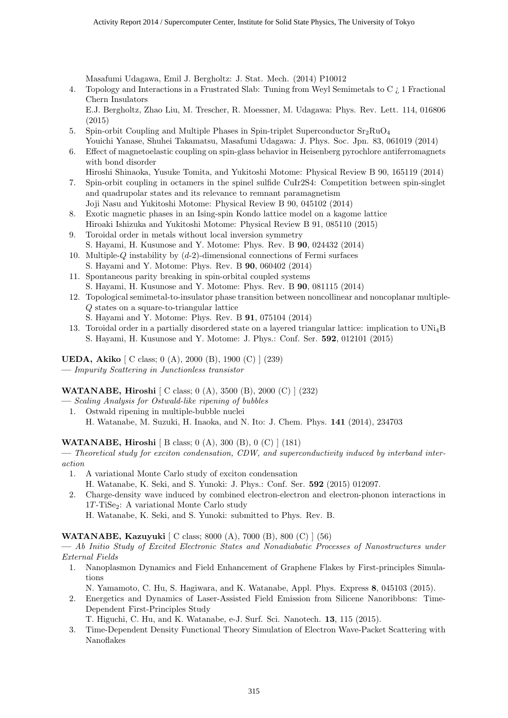Masafumi Udagawa, Emil J. Bergholtz: J. Stat. Mech. (2014) P10012

4. Topology and Interactions in a Frustrated Slab: Tuning from Weyl Semimetals to C ¿ 1 Fractional Chern Insulators

E.J. Bergholtz, Zhao Liu, M. Trescher, R. Moessner, M. Udagawa: Phys. Rev. Lett. 114, 016806 (2015)

- 5. Spin-orbit Coupling and Multiple Phases in Spin-triplet Superconductor  $Sr_2RuO<sub>4</sub>$ Youichi Yanase, Shuhei Takamatsu, Masafumi Udagawa: J. Phys. Soc. Jpn. 83, 061019 (2014)
- 6. Effect of magnetoelastic coupling on spin-glass behavior in Heisenberg pyrochlore antiferromagnets with bond disorder

Hiroshi Shinaoka, Yusuke Tomita, and Yukitoshi Motome: Physical Review B 90, 165119 (2014)

- 7. Spin-orbit coupling in octamers in the spinel sulfide CuIr2S4: Competition between spin-singlet and quadrupolar states and its relevance to remnant paramagnetism Joji Nasu and Yukitoshi Motome: Physical Review B 90, 045102 (2014)
- 8. Exotic magnetic phases in an Ising-spin Kondo lattice model on a kagome lattice Hiroaki Ishizuka and Yukitoshi Motome: Physical Review B 91, 085110 (2015)
- 9. Toroidal order in metals without local inversion symmetry S. Hayami, H. Kusunose and Y. Motome: Phys. Rev. B **90**, 024432 (2014)
- 10. Multiple-*Q* instability by (*d*-2)-dimensional connections of Fermi surfaces S. Hayami and Y. Motome: Phys. Rev. B **90**, 060402 (2014)
- 11. Spontaneous parity breaking in spin-orbital coupled systems S. Hayami, H. Kusunose and Y. Motome: Phys. Rev. B **90**, 081115 (2014)
- 12. Topological semimetal-to-insulator phase transition between noncollinear and noncoplanar multiple-*Q* states on a square-to-triangular lattice
	- S. Hayami and Y. Motome: Phys. Rev. B **91**, 075104 (2014)
- 13. Toroidal order in a partially disordered state on a layered triangular lattice: implication to UNi4B S. Hayami, H. Kusunose and Y. Motome: J. Phys.: Conf. Ser. **592**, 012101 (2015)

**UEDA, Akiko** [ C class; 0 (A), 2000 (B), 1900 (C) ] (239) **—** *Impurity Scattering in Junctionless transistor*

**WATANABE, Hiroshi** [ C class; 0 (A), 3500 (B), 2000 (C) ] (232)

- **—** *Scaling Analysis for Ostwald-like ripening of bubbles*
- 1. Ostwald ripening in multiple-bubble nuclei H. Watanabe, M. Suzuki, H. Inaoka, and N. Ito: J. Chem. Phys. **141** (2014), 234703

**WATANABE, Hiroshi** [ B class; 0 (A), 300 (B), 0 (C) ] (181)

**—** *Theoretical study for exciton condensation, CDW, and superconductivity induced by interband interaction*

- 1. A variational Monte Carlo study of exciton condensation
	- H. Watanabe, K. Seki, and S. Yunoki: J. Phys.: Conf. Ser. **592** (2015) 012097.
- 2. Charge-density wave induced by combined electron-electron and electron-phonon interactions in 1*T*-TiSe2: A variational Monte Carlo study

H. Watanabe, K. Seki, and S. Yunoki: submitted to Phys. Rev. B.

**WATANABE, Kazuyuki** [ C class; 8000 (A), 7000 (B), 800 (C) ] (56)

**—** *Ab Initio Study of Excited Electronic States and Nonadiabatic Processes of Nanostructures under External Fields*

1. Nanoplasmon Dynamics and Field Enhancement of Graphene Flakes by First-principles Simulations

N. Yamamoto, C. Hu, S. Hagiwara, and K. Watanabe, Appl. Phys. Express **8**, 045103 (2015).

2. Energetics and Dynamics of Laser-Assisted Field Emission from Silicene Nanoribbons: Time-Dependent First-Principles Study

T. Higuchi, C. Hu, and K. Watanabe, e-J. Surf. Sci. Nanotech. **13**, 115 (2015).

3. Time-Dependent Density Functional Theory Simulation of Electron Wave-Packet Scattering with Nanoflakes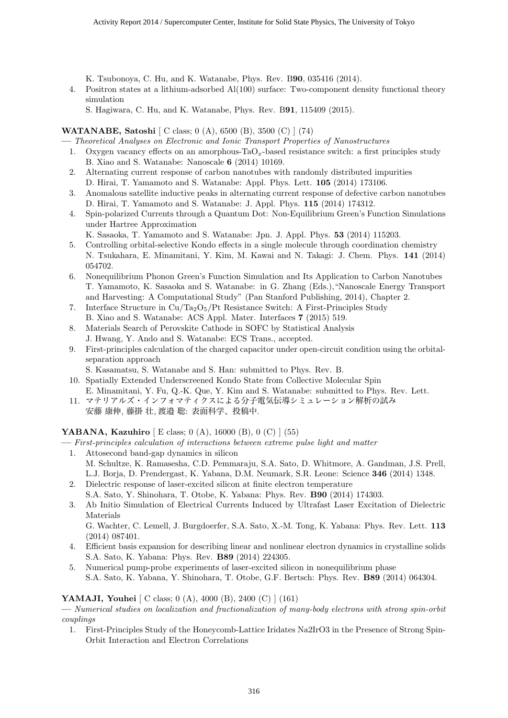K. Tsubonoya, C. Hu, and K. Watanabe, Phys. Rev. B**90**, 035416 (2014).

4. Positron states at a lithium-adsorbed Al(100) surface: Two-component density functional theory simulation

S. Hagiwara, C. Hu, and K. Watanabe, Phys. Rev. B**91**, 115409 (2015).

# **WATANABE, Satoshi** [ C class; 0 (A), 6500 (B), 3500 (C) ] (74)

**—** *Theoretical Analyses on Electronic and Ionic Transport Properties of Nanostructures*

- 1. Oxygen vacancy effects on an amorphous-TaO*x*-based resistance switch: a first principles study B. Xiao and S. Watanabe: Nanoscale **6** (2014) 10169.
- 2. Alternating current response of carbon nanotubes with randomly distributed impurities D. Hirai, T. Yamamoto and S. Watanabe: Appl. Phys. Lett. **105** (2014) 173106.
- 3. Anomalous satellite inductive peaks in alternating current response of defective carbon nanotubes D. Hirai, T. Yamamoto and S. Watanabe: J. Appl. Phys. **115** (2014) 174312.
- 4. Spin-polarized Currents through a Quantum Dot: Non-Equilibrium Green's Function Simulations under Hartree Approximation
	- K. Sasaoka, T. Yamamoto and S. Watanabe: Jpn. J. Appl. Phys. **53** (2014) 115203.
- 5. Controlling orbital-selective Kondo effects in a single molecule through coordination chemistry N. Tsukahara, E. Minamitani, Y. Kim, M. Kawai and N. Takagi: J. Chem. Phys. **141** (2014) 054702.
- 6. Nonequilibrium Phonon Green's Function Simulation and Its Application to Carbon Nanotubes T. Yamamoto, K. Sasaoka and S. Watanabe: in G. Zhang (Eds.),"Nanoscale Energy Transport and Harvesting: A Computational Study" (Pan Stanford Publishing, 2014), Chapter 2.
- 7. Interface Structure in  $Cu/Ta<sub>2</sub>O<sub>5</sub>/Pt$  Resistance Switch: A First-Principles Study B. Xiao and S. Watanabe: ACS Appl. Mater. Interfaces **7** (2015) 519.
- 8. Materials Search of Perovskite Cathode in SOFC by Statistical Analysis J. Hwang, Y. Ando and S. Watanabe: ECS Trans., accepted.
- 9. First-principles calculation of the charged capacitor under open-circuit condition using the orbitalseparation approach

S. Kasamatsu, S. Watanabe and S. Han: submitted to Phys. Rev. B.

- 10. Spatially Extended Underscreened Kondo State from Collective Molecular Spin E. Minamitani, Y. Fu, Q.-K. Que, Y. Kim and S. Watanabe: submitted to Phys. Rev. Lett.
- 11. マテリアルズ・インフォマティクスによる分子電気伝導シミュレーション解析の試み 安藤 康伸, 藤掛 壮, 渡邉 聡: 表面科学、投稿中.

# **YABANA, Kazuhiro** [ E class; 0 (A), 16000 (B), 0 (C) ] (55)

**—** *First-principles calculation of interactions between extreme pulse light and matter*

- 1. Attosecond band-gap dynamics in silicon M. Schultze, K. Ramasesha, C.D. Pemmaraju, S.A. Sato, D. Whitmore, A. Gandman, J.S. Prell, L.J. Borja, D. Prendergast, K. Yabana, D.M. Neumark, S.R. Leone: Science **346** (2014) 1348.
- 2. Dielectric response of laser-excited silicon at finite electron temperature S.A. Sato, Y. Shinohara, T. Otobe, K. Yabana: Phys. Rev. **B90** (2014) 174303.
- 3. Ab Initio Simulation of Electrical Currents Induced by Ultrafast Laser Excitation of Dielectric Materials G. Wachter, C. Lemell, J. Burgdoerfer, S.A. Sato, X.-M. Tong, K. Yabana: Phys. Rev. Lett. **113**

(2014) 087401.

- 4. Efficient basis expansion for describing linear and nonlinear electron dynamics in crystalline solids S.A. Sato, K. Yabana: Phys. Rev. **B89** (2014) 224305.
- 5. Numerical pump-probe experiments of laser-excited silicon in nonequilibrium phase S.A. Sato, K. Yabana, Y. Shinohara, T. Otobe, G.F. Bertsch: Phys. Rev. **B89** (2014) 064304.

# **YAMAJI, Youhei** [ C class; 0 (A), 4000 (B), 2400 (C) ] (161)

**—** *Numerical studies on localization and fractionalization of many-body electrons with strong spin-orbit couplings*

1. First-Principles Study of the Honeycomb-Lattice Iridates Na2IrO3 in the Presence of Strong Spin-Orbit Interaction and Electron Correlations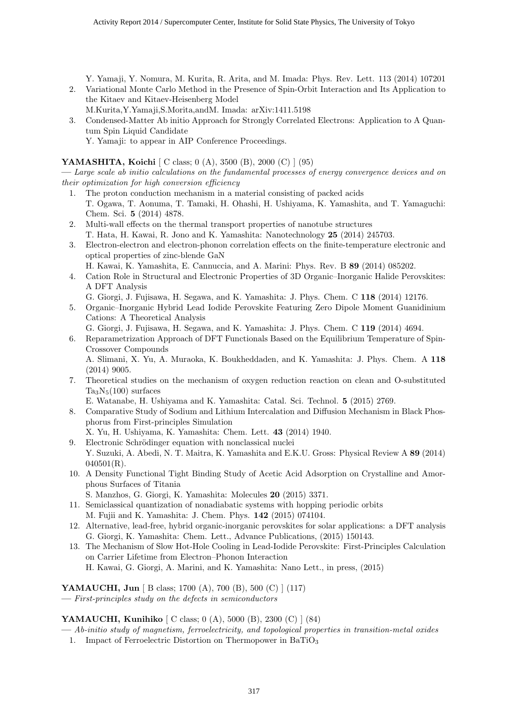Y. Yamaji, Y. Nomura, M. Kurita, R. Arita, and M. Imada: Phys. Rev. Lett. 113 (2014) 107201 2. Variational Monte Carlo Method in the Presence of Spin-Orbit Interaction and Its Application to

- the Kitaev and Kitaev-Heisenberg Model M.Kurita,Y.Yamaji,S.Morita,andM. Imada: arXiv:1411.5198
- 3. Condensed-Matter Ab initio Approach for Strongly Correlated Electrons: Application to A Quantum Spin Liquid Candidate

# Y. Yamaji: to appear in AIP Conference Proceedings.

# **YAMASHITA, Koichi** [ C class; 0 (A), 3500 (B), 2000 (C) ] (95)

**—** *Large scale ab initio calculations on the fundamental processes of energy convergence devices and on their optimization for high conversion efficiency*

- 1. The proton conduction mechanism in a material consisting of packed acids T. Ogawa, T. Aonuma, T. Tamaki, H. Ohashi, H. Ushiyama, K. Yamashita, and T. Yamaguchi: Chem. Sci. **5** (2014) 4878.
- 2. Multi-wall effects on the thermal transport properties of nanotube structures T. Hata, H. Kawai, R. Jono and K. Yamashita: Nanotechnology **25** (2014) 245703.
- 3. Electron-electron and electron-phonon correlation effects on the finite-temperature electronic and optical properties of zinc-blende GaN
- H. Kawai, K. Yamashita, E. Cannuccia, and A. Marini: Phys. Rev. B **89** (2014) 085202.
- 4. Cation Role in Structural and Electronic Properties of 3D Organic–Inorganic Halide Perovskites: A DFT Analysis
- G. Giorgi, J. Fujisawa, H. Segawa, and K. Yamashita: J. Phys. Chem. C **118** (2014) 12176.
- 5. Organic–Inorganic Hybrid Lead Iodide Perovskite Featuring Zero Dipole Moment Guanidinium Cations: A Theoretical Analysis
- G. Giorgi, J. Fujisawa, H. Segawa, and K. Yamashita: J. Phys. Chem. C **119** (2014) 4694.
- 6. Reparametrization Approach of DFT Functionals Based on the Equilibrium Temperature of Spin-Crossover Compounds

A. Slimani, X. Yu, A. Muraoka, K. Boukheddaden, and K. Yamashita: J. Phys. Chem. A **118** (2014) 9005.

7. Theoretical studies on the mechanism of oxygen reduction reaction on clean and O-substituted  $Ta_3N_5(100)$  surfaces

E. Watanabe, H. Ushiyama and K. Yamashita: Catal. Sci. Technol. **5** (2015) 2769.

- 8. Comparative Study of Sodium and Lithium Intercalation and Diffusion Mechanism in Black Phosphorus from First-principles Simulation
- X. Yu, H. Ushiyama, K. Yamashita: Chem. Lett. **43** (2014) 1940.
- 9. Electronic Schrödinger equation with nonclassical nuclei Y. Suzuki, A. Abedi, N. T. Maitra, K. Yamashita and E.K.U. Gross: Physical Review A **89** (2014)  $040501(R)$ .
- 10. A Density Functional Tight Binding Study of Acetic Acid Adsorption on Crystalline and Amorphous Surfaces of Titania
- S. Manzhos, G. Giorgi, K. Yamashita: Molecules **20** (2015) 3371.
- 11. Semiclassical quantization of nonadiabatic systems with hopping periodic orbits M. Fujii and K. Yamashita: J. Chem. Phys. **142** (2015) 074104.
- 12. Alternative, lead-free, hybrid organic-inorganic perovskites for solar applications: a DFT analysis G. Giorgi, K. Yamashita: Chem. Lett., Advance Publications, (2015) 150143.
- 13. The Mechanism of Slow Hot-Hole Cooling in Lead-Iodide Perovskite: First-Principles Calculation on Carrier Lifetime from Electron–Phonon Interaction H. Kawai, G. Giorgi, A. Marini, and K. Yamashita: Nano Lett., in press, (2015)

# **YAMAUCHI, Jun** [ B class; 1700 (A), 700 (B), 500 (C) ] (117)

**—** *First-principles study on the defects in semiconductors*

# **YAMAUCHI, Kunihiko** [ C class; 0 (A), 5000 (B), 2300 (C) ] (84)

- **—** *Ab-initio study of magnetism, ferroelectricity, and topological properties in transition-metal oxides*
- 1. Impact of Ferroelectric Distortion on Thermopower in  $BaTiO<sub>3</sub>$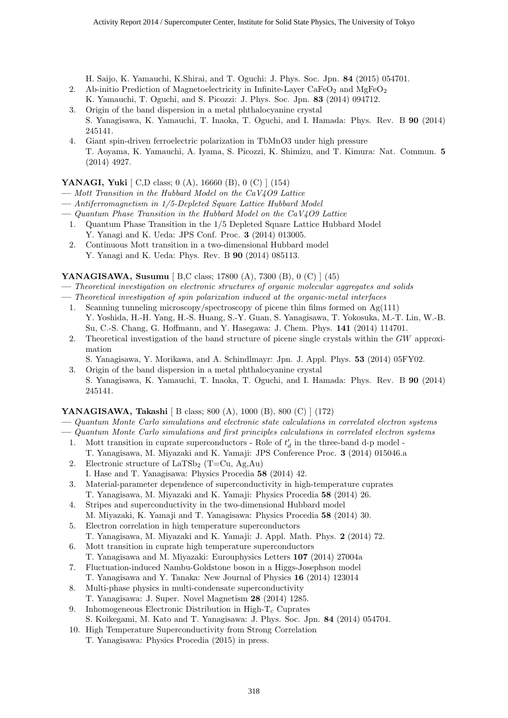H. Saijo, K. Yamauchi, K.Shirai, and T. Oguchi: J. Phys. Soc. Jpn. **84** (2015) 054701.

- 2. Ab-initio Prediction of Magnetoelectricity in Infinite-Layer CaFe $O_2$  and MgFe $O_2$ K. Yamauchi, T. Oguchi, and S. Picozzi: J. Phys. Soc. Jpn. **83** (2014) 094712.
- 3. Origin of the band dispersion in a metal phthalocyanine crystal S. Yanagisawa, K. Yamauchi, T. Inaoka, T. Oguchi, and I. Hamada: Phys. Rev. B **90** (2014) 245141.
- 4. Giant spin-driven ferroelectric polarization in TbMnO3 under high pressure T. Aoyama, K. Yamauchi, A. Iyama, S. Picozzi, K. Shimizu, and T. Kimura: Nat. Commun. **5** (2014) 4927.

# **YANAGI, Yuki** [ C,D class; 0 (A), 16660 (B), 0 (C) ] (154)

- **—** *Mott Transition in the Hubbard Model on the CaV4O9 Lattice*
- **—** *Antiferromagnetism in 1/5-Depleted Square Lattice Hubbard Model*
- **—** *Quantum Phase Transition in the Hubbard Model on the CaV4O9 Lattice*
- 1. Quantum Phase Transition in the 1/5 Depleted Square Lattice Hubbard Model Y. Yanagi and K. Ueda: JPS Conf. Proc. **3** (2014) 013005.
- 2. Continuous Mott transition in a two-dimensional Hubbard model Y. Yanagi and K. Ueda: Phys. Rev. B **90** (2014) 085113.

# **YANAGISAWA, Susumu** [ B,C class; 17800 (A), 7300 (B), 0 (C) ] (45)

- **—** *Theoretical investigation on electronic structures of organic molecular aggregates and solids*
- **—** *Theoretical investigation of spin polarization induced at the organic-metal interfaces*
	- 1. Scanning tunneling microscopy/spectroscopy of picene thin films formed on  $Ag(111)$ Y. Yoshida, H.-H. Yang, H.-S. Huang, S.-Y. Guan, S. Yanagisawa, T. Yokosuka, M.-T. Lin, W.-B. Su, C.-S. Chang, G. Hoffmann, and Y. Hasegawa: J. Chem. Phys. **141** (2014) 114701.
	- 2. Theoretical investigation of the band structure of picene single crystals within the *GW* approximation
	- S. Yanagisawa, Y. Morikawa, and A. Schindlmayr: Jpn. J. Appl. Phys. **53** (2014) 05FY02.
	- 3. Origin of the band dispersion in a metal phthalocyanine crystal S. Yanagisawa, K. Yamauchi, T. Inaoka, T. Oguchi, and I. Hamada: Phys. Rev. B **90** (2014) 245141.

# **YANAGISAWA, Takashi** [ B class; 800 (A), 1000 (B), 800 (C) ] (172)

- **—** *Quantum Monte Carlo simulations and electronic state calculations in correlated electron systems*
- **—** *Quantum Monte Carlo simulations and first principles calculations in correlated electron systems*
	- 1. Mott transition in cuprate superconductors Role of  $t'_{d}$  in the three-band d-p model -
	- T. Yanagisawa, M. Miyazaki and K. Yamaji: JPS Conference Proc. **3** (2014) 015046.a 2. Electronic structure of  $LaTSb<sub>2</sub>$  (T=Cu, Ag,Au)
	- I. Hase and T. Yanagisawa: Physics Procedia **58** (2014) 42.
	- 3. Material-parameter dependence of superconductivity in high-temperature cuprates T. Yanagisawa, M. Miyazaki and K. Yamaji: Physics Procedia **58** (2014) 26.
	- 4. Stripes and superconductivity in the two-dimensional Hubbard model M. Miyazaki, K. Yamaji and T. Yanagisawa: Physics Procedia **58** (2014) 30.
	- 5. Electron correlation in high temperature superconductors T. Yanagisawa, M. Miyazaki and K. Yamaji: J. Appl. Math. Phys. **2** (2014) 72.
	- 6. Mott transition in cuprate high temperature superconductors T. Yanagisawa and M. Miyazaki: Eurouphysics Letters **107** (2014) 27004a
	- 7. Fluctuation-induced Nambu-Goldstone boson in a Higgs-Josephson model T. Yanagisawa and Y. Tanaka: New Journal of Physics **16** (2014) 123014
	- 8. Multi-phase physics in multi-condensate superconductivity T. Yanagisawa: J. Super. Novel Magnetism **28** (2014) 1285.
	- 9. Inhomogeneous Electronic Distribution in High-T*<sup>c</sup>* Cuprates
	- S. Koikegami, M. Kato and T. Yanagisawa: J. Phys. Soc. Jpn. **84** (2014) 054704.
	- 10. High Temperature Superconductivity from Strong Correlation T. Yanagisawa: Physics Procedia (2015) in press.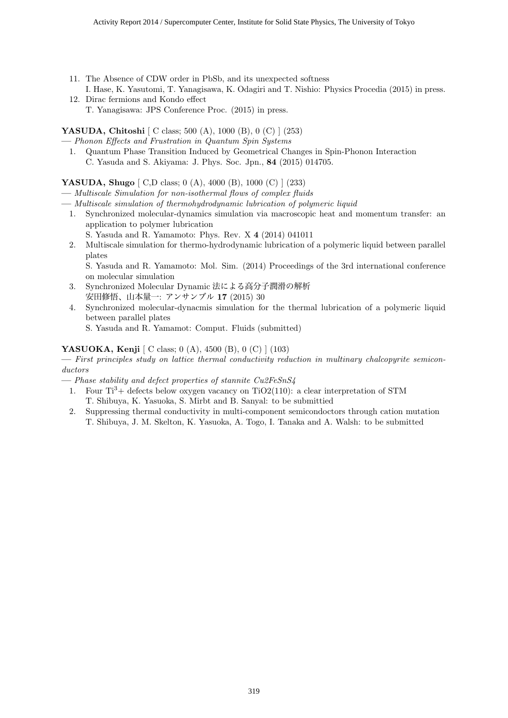- 11. The Absence of CDW order in PbSb, and its unexpected softness I. Hase, K. Yasutomi, T. Yanagisawa, K. Odagiri and T. Nishio: Physics Procedia (2015) in press.
- 12. Dirac fermions and Kondo effect T. Yanagisawa: JPS Conference Proc. (2015) in press.

**YASUDA, Chitoshi** [ C class; 500 (A), 1000 (B), 0 (C) ] (253)

- **—** *Phonon Effects and Frustration in Quantum Spin Systems*
- 1. Quantum Phase Transition Induced by Geometrical Changes in Spin-Phonon Interaction C. Yasuda and S. Akiyama: J. Phys. Soc. Jpn., **84** (2015) 014705.

# **YASUDA, Shugo** [ C,D class; 0 (A), 4000 (B), 1000 (C) ] (233)

- **—** *Multiscale Simulation for non-isothermal flows of complex fluids*
- **—** *Multiscale simulation of thermohydrodynamic lubrication of polymeric liquid*
	- 1. Synchronized molecular-dynamics simulation via macroscopic heat and momentum transfer: an application to polymer lubrication
		- S. Yasuda and R. Yamamoto: Phys. Rev. X **4** (2014) 041011
	- 2. Multiscale simulation for thermo-hydrodynamic lubrication of a polymeric liquid between parallel plates

S. Yasuda and R. Yamamoto: Mol. Sim. (2014) Proceedings of the 3rd international conference on molecular simulation

- 3. Synchronized Molecular Dynamic 法による高分子潤滑の解析 安田修悟、山本量一: アンサンブル **17** (2015) 30
- 4. Synchronized molecular-dynacmis simulation for the thermal lubrication of a polymeric liquid between parallel plates
	- S. Yasuda and R. Yamamot: Comput. Fluids (submitted)

# **YASUOKA, Kenji** [ C class; 0 (A), 4500 (B), 0 (C) ] (103)

**—** *First principles study on lattice thermal conductivity reduction in multinary chalcopyrite semiconductors*

**—** *Phase stability and defect properties of stannite Cu2FeSnS4*

- 1. Four  $Ti^3+$  defects below oxygen vacancy on TiO2(110): a clear interpretation of STM T. Shibuya, K. Yasuoka, S. Mirbt and B. Sanyal: to be submittied
- 2. Suppressing thermal conductivity in multi-component semicondoctors through cation mutation T. Shibuya, J. M. Skelton, K. Yasuoka, A. Togo, I. Tanaka and A. Walsh: to be submitted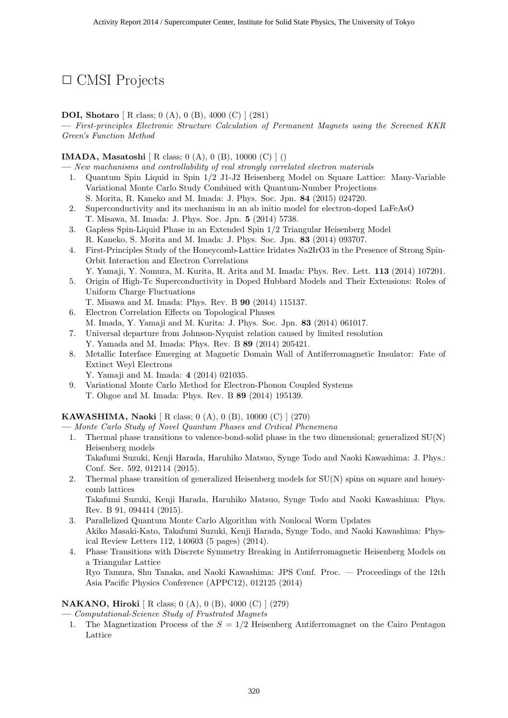# *✷* CMSI Projects

#### **DOI, Shotaro** [ R class; 0 (A), 0 (B), 4000 (C) ] (281)

**—** *First-principles Electronic Structure Calculation of Permanent Magnets using the Screened KKR Green's Function Method*

#### **IMADA, Masatoshi** [ R class; 0 (A), 0 (B), 10000 (C) ] ()

**—** *New machanisms and controllability of real strongly correlated electron materials*

- 1. Quantum Spin Liquid in Spin 1/2 J1-J2 Heisenberg Model on Square Lattice: Many-Variable Variational Monte Carlo Study Combined with Quantum-Number Projections S. Morita, R. Kaneko and M. Imada: J. Phys. Soc. Jpn. **84** (2015) 024720.
- 2. Superconductivity and its mechanism in an ab initio model for electron-doped LaFeAsO T. Misawa, M. Imada: J. Phys. Soc. Jpn. **5** (2014) 5738.
- 3. Gapless Spin-Liquid Phase in an Extended Spin 1/2 Triangular Heisenberg Model R. Kaneko, S. Morita and M. Imada: J. Phys. Soc. Jpn. **83** (2014) 093707.
- 4. First-Principles Study of the Honeycomb-Lattice Iridates Na2IrO3 in the Presence of Strong Spin-Orbit Interaction and Electron Correlations
- Y. Yamaji, Y. Nomura, M. Kurita, R. Arita and M. Imada: Phys. Rev. Lett. **113** (2014) 107201. 5. Origin of High-Tc Superconductivity in Doped Hubbard Models and Their Extensions: Roles of
- Uniform Charge Fluctuations T. Misawa and M. Imada: Phys. Rev. B **90** (2014) 115137.
- 6. Electron Correlation Effects on Topological Phases
- M. Imada, Y. Yamaji and M. Kurita: J. Phys. Soc. Jpn. **83** (2014) 061017.
- 7. Universal departure from Johnson-Nyquist relation caused by limited resolution Y. Yamada and M. Imada: Phys. Rev. B **89** (2014) 205421.
- 8. Metallic Interface Emerging at Magnetic Domain Wall of Antiferromagnetic Insulator: Fate of Extinct Weyl Electrons
	- Y. Yamaji and M. Imada: **4** (2014) 021035.
- 9. Variational Monte Carlo Method for Electron-Phonon Coupled Systems T. Ohgoe and M. Imada: Phys. Rev. B **89** (2014) 195139.

#### **KAWASHIMA, Naoki** [ R class; 0 (A), 0 (B), 10000 (C) ] (270)

**—** *Monte Carlo Study of Novel Quantum Phases and Critical Phenemena*

1. Thermal phase transitions to valence-bond-solid phase in the two dimensional; generalized SU(N) Heisenberg models

Takafumi Suzuki, Kenji Harada, Haruhiko Matsuo, Synge Todo and Naoki Kawashima: J. Phys.: Conf. Ser. 592, 012114 (2015).

2. Thermal phase transition of generalized Heisenberg models for SU(N) spins on square and honeycomb lattices

Takafumi Suzuki, Kenji Harada, Haruhiko Matsuo, Synge Todo and Naoki Kawashima: Phys. Rev. B 91, 094414 (2015).

- 3. Parallelized Quantum Monte Carlo Algorithm with Nonlocal Worm Updates Akiko Masaki-Kato, Takafumi Suzuki, Kenji Harada, Synge Todo, and Naoki Kawashima: Physical Review Letters 112, 140603 (5 pages) (2014).
- 4. Phase Transitions with Discrete Symmetry Breaking in Antiferromagnetic Heisenberg Models on a Triangular Lattice Ryo Tamura, Shu Tanaka, and Naoki Kawashima: JPS Conf. Proc. — Proceedings of the 12th Asia Pacific Physics Conference (APPC12), 012125 (2014)

#### **NAKANO, Hiroki** [ R class; 0 (A), 0 (B), 4000 (C) ] (279)

**—** *Computational-Science Study of Frustrated Magnets*

1. The Magnetization Process of the *S* = 1*/*2 Heisenberg Antiferromagnet on the Cairo Pentagon Lattice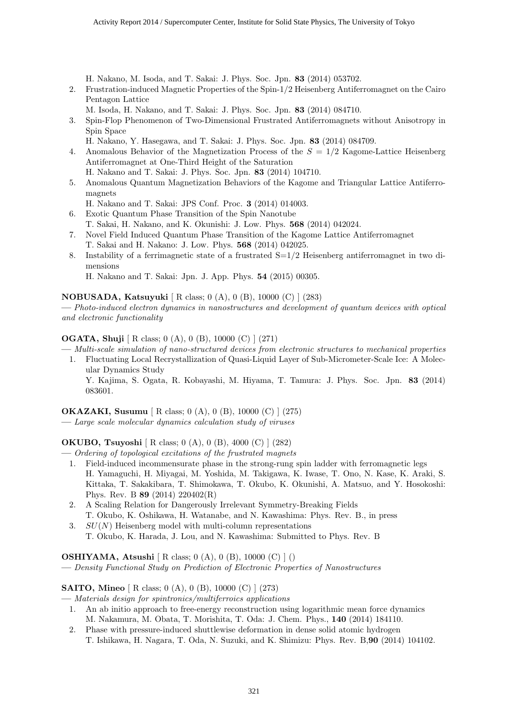H. Nakano, M. Isoda, and T. Sakai: J. Phys. Soc. Jpn. **83** (2014) 053702.

2. Frustration-induced Magnetic Properties of the Spin-1/2 Heisenberg Antiferromagnet on the Cairo Pentagon Lattice

M. Isoda, H. Nakano, and T. Sakai: J. Phys. Soc. Jpn. **83** (2014) 084710.

- 3. Spin-Flop Phenomenon of Two-Dimensional Frustrated Antiferromagnets without Anisotropy in Spin Space
	- H. Nakano, Y. Hasegawa, and T. Sakai: J. Phys. Soc. Jpn. **83** (2014) 084709.
- 4. Anomalous Behavior of the Magnetization Process of the *S* = 1*/*2 Kagome-Lattice Heisenberg Antiferromagnet at One-Third Height of the Saturation
	- H. Nakano and T. Sakai: J. Phys. Soc. Jpn. **83** (2014) 104710.
- 5. Anomalous Quantum Magnetization Behaviors of the Kagome and Triangular Lattice Antiferromagnets

H. Nakano and T. Sakai: JPS Conf. Proc. **3** (2014) 014003.

- 6. Exotic Quantum Phase Transition of the Spin Nanotube T. Sakai, H. Nakano, and K. Okunishi: J. Low. Phys. **568** (2014) 042024.
- 7. Novel Field Induced Quantum Phase Transition of the Kagome Lattice Antiferromagnet T. Sakai and H. Nakano: J. Low. Phys. **568** (2014) 042025.
- 8. Instability of a ferrimagnetic state of a frustrated S=1/2 Heisenberg antiferromagnet in two dimensions

H. Nakano and T. Sakai: Jpn. J. App. Phys. **54** (2015) 00305.

**NOBUSADA, Katsuyuki** [ R class; 0 (A), 0 (B), 10000 (C) ] (283)

**—** *Photo-induced electron dynamics in nanostructures and development of quantum devices with optical and electronic functionality*

**OGATA, Shuji** [ R class; 0 (A), 0 (B), 10000 (C) ] (271)

**—** *Multi-scale simulation of nano-structured devices from electronic structures to mechanical properties*

1. Fluctuating Local Recrystallization of Quasi-Liquid Layer of Sub-Micrometer-Scale Ice: A Molecular Dynamics Study Y. Kajima, S. Ogata, R. Kobayashi, M. Hiyama, T. Tamura: J. Phys. Soc. Jpn. **83** (2014)

083601.

#### **OKAZAKI, Susumu** [ R class; 0 (A), 0 (B), 10000 (C) ] (275)

**—** *Large scale molecular dynamics calculation study of viruses*

**OKUBO, Tsuyoshi** [ R class; 0 (A), 0 (B), 4000 (C) ] (282)

- **—** *Ordering of topological excitations of the frustrated magnets*
	- 1. Field-induced incommensurate phase in the strong-rung spin ladder with ferromagnetic legs H. Yamaguchi, H. Miyagai, M. Yoshida, M. Takigawa, K. Iwase, T. Ono, N. Kase, K. Araki, S. Kittaka, T. Sakakibara, T. Shimokawa, T. Okubo, K. Okunishi, A. Matsuo, and Y. Hosokoshi: Phys. Rev. B **89** (2014) 220402(R)
	- 2. A Scaling Relation for Dangerously Irrelevant Symmetry-Breaking Fields T. Okubo, K. Oshikawa, H. Watanabe, and N. Kawashima: Phys. Rev. B., in press
	- 3. *SU*(*N*) Heisenberg model with multi-column representations T. Okubo, K. Harada, J. Lou, and N. Kawashima: Submitted to Phys. Rev. B

**OSHIYAMA, Atsushi** [ R class; 0 (A), 0 (B), 10000 (C) ] ()

**—** *Density Functional Study on Prediction of Electronic Properties of Nanostructures*

**SAITO, Mineo** [ R class; 0 (A), 0 (B), 10000 (C) ] (273)

**—** *Materials design for spintronics/multiferroics applications*

- 1. An ab initio approach to free-energy reconstruction using logarithmic mean force dynamics M. Nakamura, M. Obata, T. Morishita, T. Oda: J. Chem. Phys., **140** (2014) 184110.
- 2. Phase with pressure-induced shuttlewise deformation in dense solid atomic hydrogen T. Ishikawa, H. Nagara, T. Oda, N. Suzuki, and K. Shimizu: Phys. Rev. B,**90** (2014) 104102.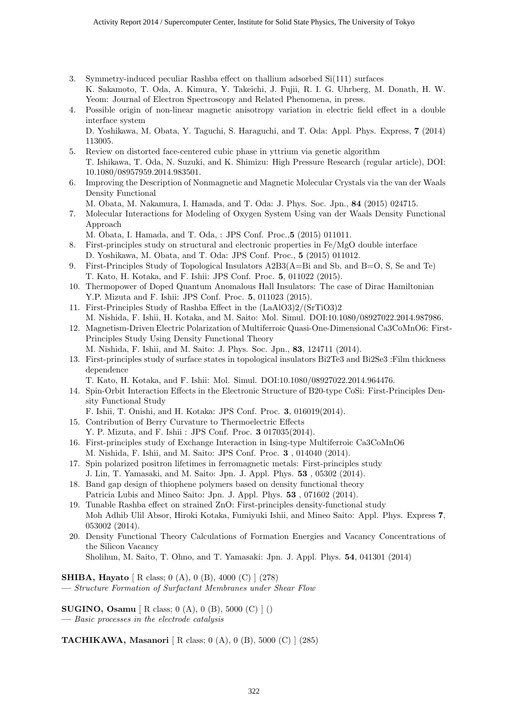- 3. Symmetry-induced peculiar Rashba effect on thallium adsorbed Si(111) surfaces K. Sakamoto, T. Oda, A. Kimura, Y. Takeichi, J. Fujii, R. I. G. Uhrberg, M. Donath, H. W. Yeom: Journal of Electron Spectroscopy and Related Phenomena, in press.
- 4. Possible origin of non-linear magnetic anisotropy variation in electric field effect in a double interface system

D. Yoshikawa, M. Obata, Y. Taguchi, S. Haraguchi, and T. Oda: Appl. Phys. Express, **7** (2014) 113005.

- 5. Review on distorted face-centered cubic phase in yttrium via genetic algorithm T. Ishikawa, T. Oda, N. Suzuki, and K. Shimizu: High Pressure Research (regular article), DOI: 10.1080/08957959.2014.983501.
- 6. Improving the Description of Nonmagnetic and Magnetic Molecular Crystals via the van der Waals Density Functional
	- M. Obata, M. Nakamura, I. Hamada, and T. Oda: J. Phys. Soc. Jpn., **84** (2015) 024715.
- 7. Molecular Interactions for Modeling of Oxygen System Using van der Waals Density Functional Approach
	- M. Obata, I. Hamada, and T. Oda, : JPS Conf. Proc.,**5** (2015) 011011.
- 8. First-principles study on structural and electronic properties in Fe/MgO double interface D. Yoshikawa, M. Obata, and T. Oda: JPS Conf. Proc., **5** (2015) 011012.
- 9. First-Principles Study of Topological Insulators A2B3(A=Bi and Sb, and B=O, S, Se and Te) T. Kato, H. Kotaka, and F. Ishii: JPS Conf. Proc. **5**, 011022 (2015).
- 10. Thermopower of Doped Quantum Anomalous Hall Insulators: The case of Dirac Hamiltonian Y.P. Mizuta and F. Ishii: JPS Conf. Proc. **5**, 011023 (2015).
- 11. First-Principles Study of Rashba Effect in the (LaAlO3)2/(SrTiO3)2 M. Nishida, F. Ishii, H. Kotaka, and M. Saito: Mol. Simul. DOI:10.1080/08927022.2014.987986.
- 12. Magnetism-Driven Electric Polarization of Multiferroic Quasi-One-Dimensional Ca3CoMnO6: First-Principles Study Using Density Functional Theory M. Nishida, F. Ishii, and M. Saito: J. Phys. Soc. Jpn., **83**, 124711 (2014).
- 13. First-principles study of surface states in topological insulators Bi2Te3 and Bi2Se3 :Film thickness dependence

T. Kato, H. Kotaka, and F. Ishii: Mol. Simul. DOI:10.1080/08927022.2014.964476.

14. Spin-Orbit Interaction Effects in the Electronic Structure of B20-type CoSi: First-Principles Density Functional Study

F. Ishii, T. Onishi, and H. Kotaka: JPS Conf. Proc. **3**, 016019(2014).

- 15. Contribution of Berry Curvature to Thermoelectric Effects Y. P. Mizuta, and F. Ishii : JPS Conf. Proc. **3** 017035(2014).
- 16. First-principles study of Exchange Interaction in Ising-type Multiferroic Ca3CoMnO6 M. Nishida, F. Ishii, and M. Saito: JPS Conf. Proc. **3** , 014040 (2014).
- 17. Spin polarized positron lifetimes in ferromagnetic metals: First-principles study J. Lin, T. Yamasaki, and M. Saito: Jpn. J. Appl. Phys. **53** , 05302 (2014).
- 18. Band gap design of thiophene polymers based on density functional theory Patricia Lubis and Mineo Saito: Jpn. J. Appl. Phys. **53** , 071602 (2014).
- 19. Tunable Rashba effect on strained ZnO: First-principles density-functional study Moh Adhib Ulil Absor, Hiroki Kotaka, Fumiyuki Ishii, and Mineo Saito: Appl. Phys. Express **7**, 053002 (2014).
- 20. Density Functional Theory Calculations of Formation Energies and Vacancy Concentrations of the Silicon Vacancy

Sholihun, M. Saito, T. Ohno, and T. Yamasaki: Jpn. J. Appl. Phys. **54**, 041301 (2014)

**SHIBA, Hayato** [ R class; 0 (A), 0 (B), 4000 (C) ] (278)

**—** *Structure Formation of Surfactant Membranes under Shear Flow*

**SUGINO, Osamu** [ R class; 0 (A), 0 (B), 5000 (C) ] ()

**—** *Basic processes in the electrode catalysis*

**TACHIKAWA, Masanori** [ R class; 0 (A), 0 (B), 5000 (C) ] (285)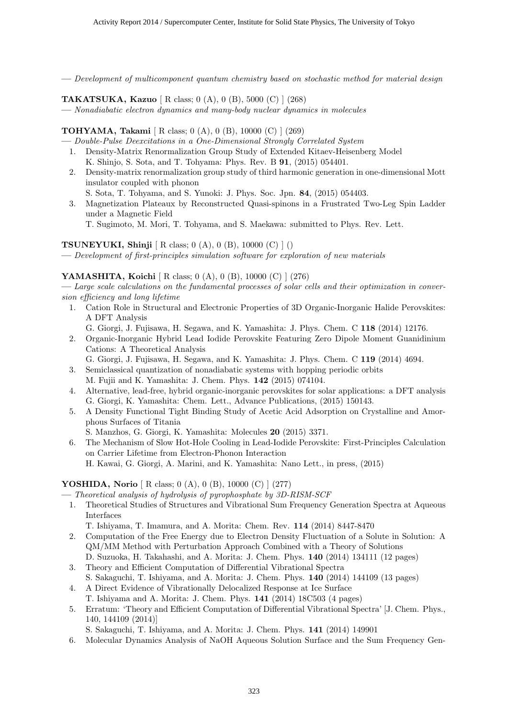**—** *Development of multicomponent quantum chemistry based on stochastic method for material design*

**TAKATSUKA, Kazuo** [ R class; 0 (A), 0 (B), 5000 (C) ] (268)

**—** *Nonadiabatic electron dynamics and many-body nuclear dynamics in molecules*

# **TOHYAMA, Takami** [ R class; 0 (A), 0 (B), 10000 (C) ] (269)

**—** *Double-Pulse Deexcitations in a One-Dimensional Strongly Correlated System*

- 1. Density-Matrix Renormalization Group Study of Extended Kitaev-Heisenberg Model K. Shinjo, S. Sota, and T. Tohyama: Phys. Rev. B **91**, (2015) 054401.
- 2. Density-matrix renormalization group study of third harmonic generation in one-dimensional Mott insulator coupled with phonon S. Sota, T. Tohyama, and S. Yunoki: J. Phys. Soc. Jpn. **84**, (2015) 054403.
- 3. Magnetization Plateaux by Reconstructed Quasi-spinons in a Frustrated Two-Leg Spin Ladder under a Magnetic Field

T. Sugimoto, M. Mori, T. Tohyama, and S. Maekawa: submitted to Phys. Rev. Lett.

# **TSUNEYUKI, Shinji** [ R class; 0 (A), 0 (B), 10000 (C) ] ()

**—** *Development of first-principles simulation software for exploration of new materials*

# **YAMASHITA, Koichi** [ R class; 0 (A), 0 (B), 10000 (C) ] (276)

**—** *Large scale calculations on the fundamental processes of solar cells and their optimization in conversion efficiency and long lifetime*

1. Cation Role in Structural and Electronic Properties of 3D Organic-Inorganic Halide Perovskites: A DFT Analysis

G. Giorgi, J. Fujisawa, H. Segawa, and K. Yamashita: J. Phys. Chem. C **118** (2014) 12176.

- 2. Organic-Inorganic Hybrid Lead Iodide Perovskite Featuring Zero Dipole Moment Guanidinium Cations: A Theoretical Analysis
	- G. Giorgi, J. Fujisawa, H. Segawa, and K. Yamashita: J. Phys. Chem. C **119** (2014) 4694.
- 3. Semiclassical quantization of nonadiabatic systems with hopping periodic orbits
- M. Fujii and K. Yamashita: J. Chem. Phys. **142** (2015) 074104.
- 4. Alternative, lead-free, hybrid organic-inorganic perovskites for solar applications: a DFT analysis G. Giorgi, K. Yamashita: Chem. Lett., Advance Publications, (2015) 150143.
- 5. A Density Functional Tight Binding Study of Acetic Acid Adsorption on Crystalline and Amorphous Surfaces of Titania
- S. Manzhos, G. Giorgi, K. Yamashita: Molecules **20** (2015) 3371. 6. The Mechanism of Slow Hot-Hole Cooling in Lead-Iodide Perovskite: First-Principles Calculation on Carrier Lifetime from Electron-Phonon Interaction

H. Kawai, G. Giorgi, A. Marini, and K. Yamashita: Nano Lett., in press, (2015)

# **YOSHIDA, Norio** [ R class; 0 (A), 0 (B), 10000 (C) ] (277)

**—** *Theoretical analysis of hydrolysis of pyrophosphate by 3D-RISM-SCF*

1. Theoretical Studies of Structures and Vibrational Sum Frequency Generation Spectra at Aqueous Interfaces

T. Ishiyama, T. Imamura, and A. Morita: Chem. Rev. **114** (2014) 8447-8470

- 2. Computation of the Free Energy due to Electron Density Fluctuation of a Solute in Solution: A QM/MM Method with Perturbation Approach Combined with a Theory of Solutions D. Suzuoka, H. Takahashi, and A. Morita: J. Chem. Phys. **140** (2014) 134111 (12 pages)
- 3. Theory and Efficient Computation of Differential Vibrational Spectra
- S. Sakaguchi, T. Ishiyama, and A. Morita: J. Chem. Phys. **140** (2014) 144109 (13 pages) 4. A Direct Evidence of Vibrationally Delocalized Response at Ice Surface
- T. Ishiyama and A. Morita: J. Chem. Phys. **141** (2014) 18C503 (4 pages)
- 5. Erratum: 'Theory and Efficient Computation of Differential Vibrational Spectra' [J. Chem. Phys., 140, 144109 (2014)]

S. Sakaguchi, T. Ishiyama, and A. Morita: J. Chem. Phys. **141** (2014) 149901

6. Molecular Dynamics Analysis of NaOH Aqueous Solution Surface and the Sum Frequency Gen-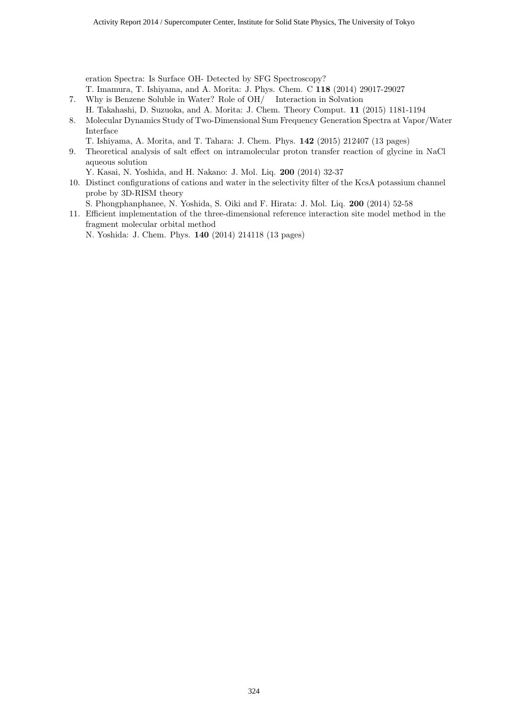eration Spectra: Is Surface OH- Detected by SFG Spectroscopy?

T. Imamura, T. Ishiyama, and A. Morita: J. Phys. Chem. C **118** (2014) 29017-29027

- 7. Why is Benzene Soluble in Water? Role of OH/ Interaction in Solvation
	- H. Takahashi, D. Suzuoka, and A. Morita: J. Chem. Theory Comput. **11** (2015) 1181-1194
- 8. Molecular Dynamics Study of Two-Dimensional Sum Frequency Generation Spectra at Vapor/Water Interface

T. Ishiyama, A. Morita, and T. Tahara: J. Chem. Phys. **142** (2015) 212407 (13 pages)

9. Theoretical analysis of salt effect on intramolecular proton transfer reaction of glycine in NaCl aqueous solution

Y. Kasai, N. Yoshida, and H. Nakano: J. Mol. Liq. **200** (2014) 32-37

10. Distinct configurations of cations and water in the selectivity filter of the KcsA potassium channel probe by 3D-RISM theory

S. Phongphanphanee, N. Yoshida, S. Oiki and F. Hirata: J. Mol. Liq. **200** (2014) 52-58

11. Efficient implementation of the three-dimensional reference interaction site model method in the fragment molecular orbital method

N. Yoshida: J. Chem. Phys. **140** (2014) 214118 (13 pages)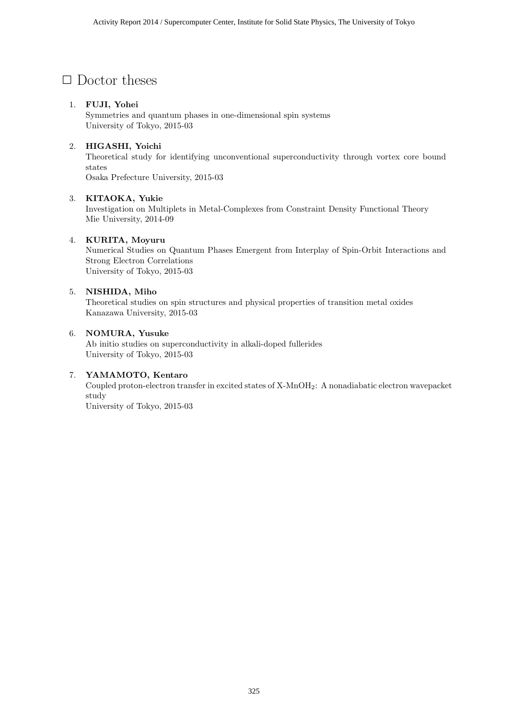# $\Box$  Doctor theses

# 1. FUJI, Yohei

Symmetries and quantum phases in one-dimensional spin systems University of Tokyo, 2015-03

# 2. HIGASHI, Yoichi

Theoretical study for identifying unconventional superconductivity through vortex core bound states

Osaka Prefecture University, 2015-03

# 3. KITAOKA, Yukie

Investigation on Multiplets in Metal-Complexes from Constraint Density Functional Theory Mie University, 2014-09

# 4. KURITA, Moyuru

Numerical Studies on Quantum Phases Emergent from Interplay of Spin-Orbit Interactions and Strong Electron Correlations University of Tokyo, 2015-03

# 5. NISHIDA, Miho

Theoretical studies on spin structures and physical properties of transition metal oxides Kanazawa University, 2015-03

# 6. NOMURA, Yusuke

Ab initio studies on superconductivity in alkali-doped fullerides University of Tokyo, 2015-03

# 7. YAMAMOTO, Kentaro

Coupled proton-electron transfer in excited states of X-MnOH2: A nonadiabatic electron wavepacket study

University of Tokyo, 2015-03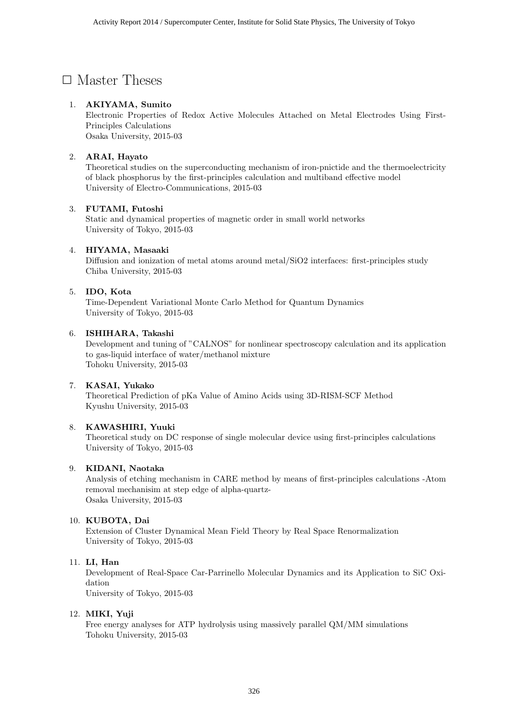# $\square$  Master Theses

# 1. AKIYAMA, Sumito

Electronic Properties of Redox Active Molecules Attached on Metal Electrodes Using First-Principles Calculations Osaka University, 2015-03

# 2. ARAI, Hayato

Theoretical studies on the superconducting mechanism of iron-pnictide and the thermoelectricity of black phosphorus by the first-principles calculation and multiband effective model University of Electro-Communications, 2015-03

# 3. FUTAMI, Futoshi

Static and dynamical properties of magnetic order in small world networks University of Tokyo, 2015-03

#### 4. HIYAMA, Masaaki

Diffusion and ionization of metal atoms around metal/SiO2 interfaces: first-principles study Chiba University, 2015-03

#### 5. IDO, Kota

Time-Dependent Variational Monte Carlo Method for Quantum Dynamics University of Tokyo, 2015-03

#### 6. ISHIHARA, Takashi

Development and tuning of "CALNOS" for nonlinear spectroscopy calculation and its application to gas-liquid interface of water/methanol mixture Tohoku University, 2015-03

# 7. KASAI, Yukako

Theoretical Prediction of pKa Value of Amino Acids using 3D-RISM-SCF Method Kyushu University, 2015-03

# 8. KAWASHIRI, Yuuki

Theoretical study on DC response of single molecular device using first-principles calculations University of Tokyo, 2015-03

# 9. KIDANI, Naotaka

Analysis of etching mechanism in CARE method by means of first-principles calculations -Atom removal mechanisim at step edge of alpha-quartz-Osaka University, 2015-03

#### 10. KUBOTA, Dai

Extension of Cluster Dynamical Mean Field Theory by Real Space Renormalization University of Tokyo, 2015-03

# 11. LI, Han

Development of Real-Space Car-Parrinello Molecular Dynamics and its Application to SiC Oxidation University of Tokyo, 2015-03

# 12. MIKI, Yuji

Free energy analyses for ATP hydrolysis using massively parallel QM/MM simulations Tohoku University, 2015-03